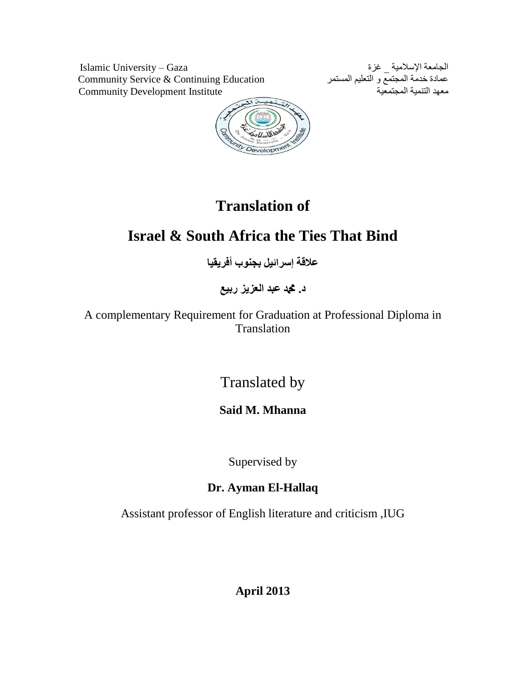الجامعة الإسلامية \_ غزة<br>عمادة خدمة المجتمع و التعليم المستمر<br>معهد التقديمة المجتمع و التعليم المستمر<br>معهد التنمية المجتمعية Gommunity Development Institute Community Service & Continuing Education Community Development Institute



# **Translation of**

## **Israel & South Africa the Ties That Bind**

**عالقة إسرائيل بجنوب أفريقيا**

**د. دمحم عبد العزيز ربيع**

A complementary Requirement for Graduation at Professional Diploma in Translation

Translated by

**Said M. Mhanna**

Supervised by

### **Dr. Ayman El-Hallaq**

Assistant professor of English literature and criticism ,IUG

**April 2013**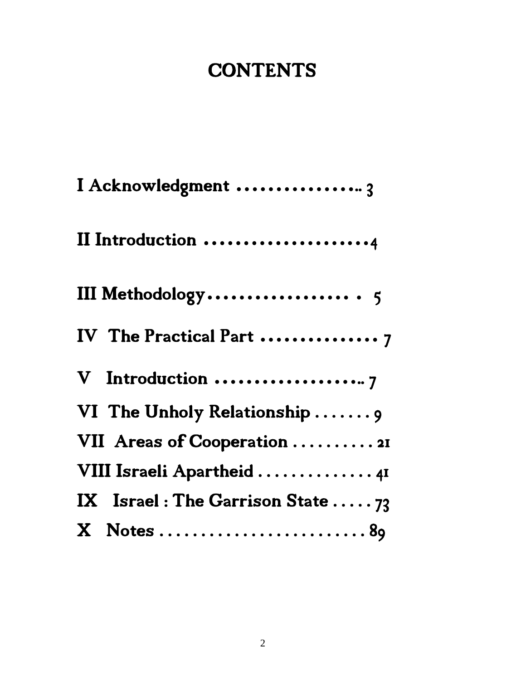# **CONTENTS**

| I Acknowledgment  3                |
|------------------------------------|
| II Introduction 4                  |
|                                    |
| IV The Practical Part  7           |
| V Introduction 7                   |
| VI The Unholy Relationship  9      |
| VII Areas of Cooperation  21       |
| VIII Israeli Apartheid  41         |
| IX Israel: The Garrison State $73$ |
|                                    |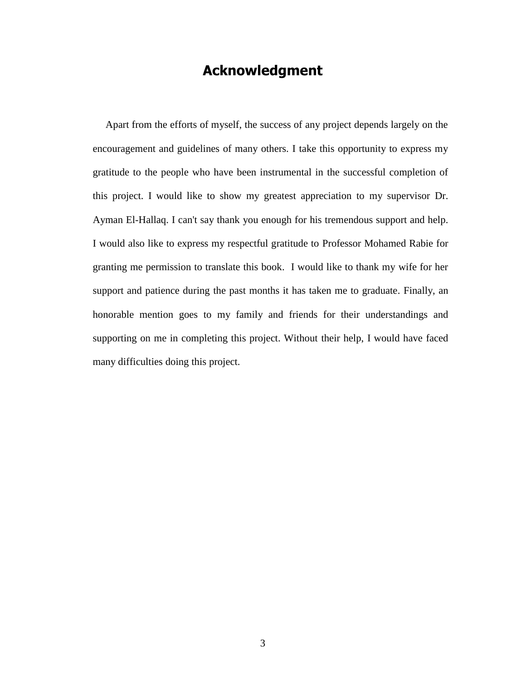### **Acknowledgment**

 Apart from the efforts of myself, the success of any project depends largely on the encouragement and guidelines of many others. I take this opportunity to express my gratitude to the people who have been instrumental in the successful completion of this project. I would like to show my greatest appreciation to my supervisor Dr. Ayman El-Hallaq. I can't say thank you enough for his tremendous support and help. I would also like to express my respectful gratitude to Professor Mohamed Rabie for granting me permission to translate this book. I would like to thank my wife for her support and patience during the past months it has taken me to graduate. Finally, an honorable mention goes to my family and friends for their understandings and supporting on me in completing this project. Without their help, I would have faced many difficulties doing this project.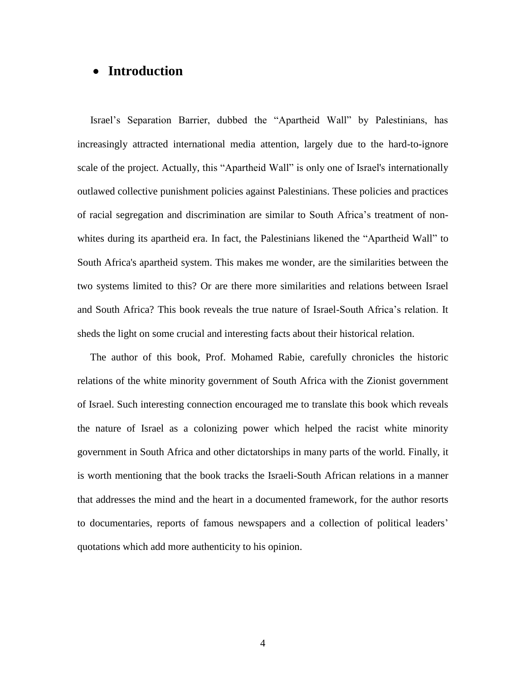#### **Introduction**

 Israel's Separation Barrier, dubbed the "Apartheid Wall" by Palestinians, has increasingly attracted international media attention, largely due to the hard-to-ignore scale of the project. Actually, this "Apartheid Wall" is only one of Israel's internationally outlawed collective punishment policies against Palestinians. These policies and practices of racial segregation and discrimination are similar to South Africa's treatment of nonwhites during its apartheid era. In fact, the Palestinians likened the "Apartheid Wall" to South Africa's apartheid system. This makes me wonder, are the similarities between the two systems limited to this? Or are there more similarities and relations between Israel and South Africa? This book reveals the true nature of Israel-South Africa's relation. It sheds the light on some crucial and interesting facts about their historical relation.

 The author of this book, Prof. Mohamed Rabie, carefully chronicles the historic relations of the white minority government of South Africa with the Zionist government of Israel. Such interesting connection encouraged me to translate this book which reveals the nature of Israel as a colonizing power which helped the racist white minority government in South Africa and other dictatorships in many parts of the world. Finally, it is worth mentioning that the book tracks the Israeli-South African relations in a manner that addresses the mind and the heart in a documented framework, for the author resorts to documentaries, reports of famous newspapers and a collection of political leaders' quotations which add more authenticity to his opinion.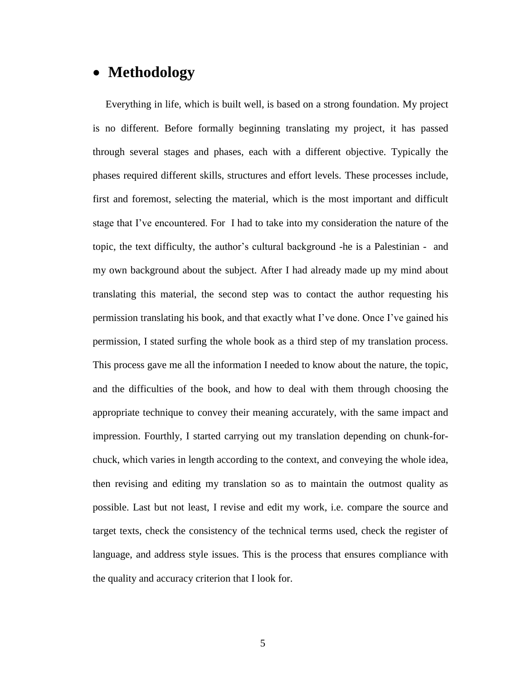### **Methodology**

 Everything in life, which is built well, is based on a strong foundation. My project is no different. Before formally beginning translating my project, it has passed through several stages and phases, each with a different objective. Typically the phases required different skills, structures and effort levels. These processes include, first and foremost, selecting the material, which is the most important and difficult stage that I've encountered. For I had to take into my consideration the nature of the topic, the text difficulty, the author's cultural background -he is a Palestinian - and my own background about the subject. After I had already made up my mind about translating this material, the second step was to contact the author requesting his permission translating his book, and that exactly what I've done. Once I've gained his permission, I stated surfing the whole book as a third step of my translation process. This process gave me all the information I needed to know about the nature, the topic, and the difficulties of the book, and how to deal with them through choosing the appropriate technique to convey their meaning accurately, with the same impact and impression. Fourthly, I started carrying out my translation depending on chunk-forchuck, which varies in length according to the context, and conveying the whole idea, then revising and editing my translation so as to maintain the outmost quality as possible. Last but not least, I revise and edit my work, i.e. compare the source and target texts, check the consistency of the technical terms used, check the register of language, and address style issues. This is the process that ensures compliance with the quality and accuracy criterion that I look for.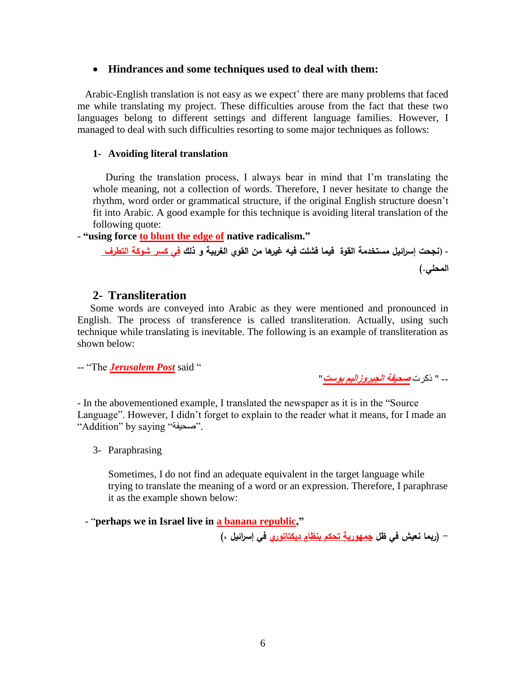#### **Hindrances and some techniques used to deal with them:**

 Arabic-English translation is not easy as we expect' there are many problems that faced me while translating my project. These difficulties arouse from the fact that these two languages belong to different settings and different language families. However, I managed to deal with such difficulties resorting to some major techniques as follows:

#### **1- Avoiding literal translation**

 During the translation process, I always bear in mind that I'm translating the whole meaning, not a collection of words. Therefore, I never hesitate to change the rhythm, word order or grammatical structure, if the original English structure doesn't fit into Arabic. A good example for this technique is avoiding literal translation of the following quote:

- **"using force to blunt the edge of native radicalism."**

- )**نجحت إسرائيل مستخدمة القوة فيما فشلت فيه غيرها من القوي الغربية و ذلك في كسر شوكة التطرف المحلي.(**

#### **2- Transliteration**

 Some words are conveyed into Arabic as they were mentioned and pronounced in English. The process of transference is called transliteration. Actually, using such technique while translating is inevitable. The following is an example of transliteration as shown below:

-- "The *Jerusalem Post* said "

-- " ذكرت **صحيفة الجيروزاليم بوست**"

- In the abovementioned example, I translated the newspaper as it is in the "Source Language". However, I didn't forget to explain to the reader what it means, for I made an "Addition" by saying "صحيفة".

3- Paraphrasing

Sometimes, I do not find an adequate equivalent in the target language while trying to translate the meaning of a word or an expression. Therefore, I paraphrase it as the example shown below:

- "**perhaps we in Israel live in a banana republic,"**

**ديكتاتوري في إسرائيل ،( تحكم بنظامٍ - )ربما نعيش في ظل جمهوريةٍ**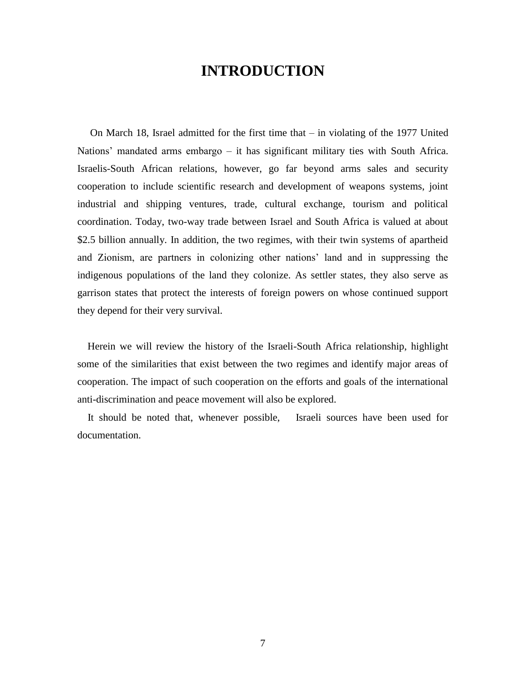### **INTRODUCTION**

On March 18, Israel admitted for the first time that  $-$  in violating of the 1977 United Nations' mandated arms embargo – it has significant military ties with South Africa. Israelis-South African relations, however, go far beyond arms sales and security cooperation to include scientific research and development of weapons systems, joint industrial and shipping ventures, trade, cultural exchange, tourism and political coordination. Today, two-way trade between Israel and South Africa is valued at about \$2.5 billion annually. In addition, the two regimes, with their twin systems of apartheid and Zionism, are partners in colonizing other nations' land and in suppressing the indigenous populations of the land they colonize. As settler states, they also serve as garrison states that protect the interests of foreign powers on whose continued support they depend for their very survival.

 Herein we will review the history of the Israeli-South Africa relationship, highlight some of the similarities that exist between the two regimes and identify major areas of cooperation. The impact of such cooperation on the efforts and goals of the international anti-discrimination and peace movement will also be explored.

 It should be noted that, whenever possible, Israeli sources have been used for documentation.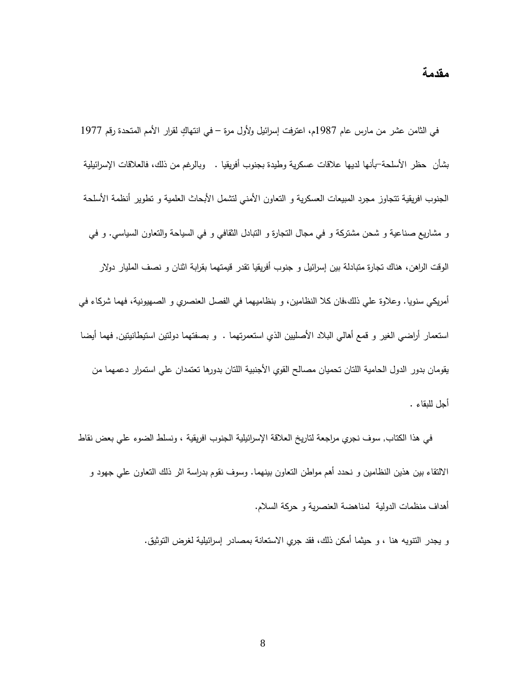في الثامن عشر من مارس عام 1987م، اعترفت إسرائيل ولأول مرة – في انتهاكٍ لقرار الأمم المتحدة رقم 1977 بشأن حظر األسلحة-بأنها لديها عالقات عسكرية وطيدة بجنوب أفريقيا . وبالرغم من ذلك، فالعالقات اإلسرائيلية الجنوب افريقية نتجاوز مجرد المبيعات العسكرية و التعاون الأمنى لتشمل الأبحاث العلمية و نطوير أنظمة الأسلحة و مشاريع صناعية و شحن مشتركة و في مجال التجارة و التبادل الثقافي و في السياحة والتعاون السياسي. و في الوقت الراهن، هناك تجارة متبادلة بين إسرائيل و جنوب أفريقيا تقدر قيمتهما بقرابة اثنان و نصف المليار دوالر أمريكي سنويا. وعالوة علي ذلك،فان كال النظامين، و بنظاميهما في الفصل العنصري و الصهيونية، فهما شركاء في استعمار أراضي الغير و قمع أهالي البالد األصليين الذي استعمرتهما . و بصفتهما دولتين استيطانيتين, فهما أيضا يقومان بدور الدول الحامية اللتان تحميان مصالح القوي األجنبية اللتان بدورها تعتمدان علي استمرار دعمهما من أجل للبقاء .

 في هذا الكتاب, سوف نجري مراجعة لتاريخ العالقة اإلسرائيلية الجنوب افريقية ، ونسلط الضوء علي بعض نقاط االلتقاء بين هذين النظامين و نحدد أهم مواطن التعاون بينهما. وسوف نقوم بدراسة اثر ذلك التعاون علي جهود و أهداف منظمات الدولية لمناهضة العنصرية و حركة السالم.

و يجدر التنويه هنا ، و حيثما أمكن ذلك، فقد جري االستعانة بمصادر إسرائيلية لغرض التوثيق.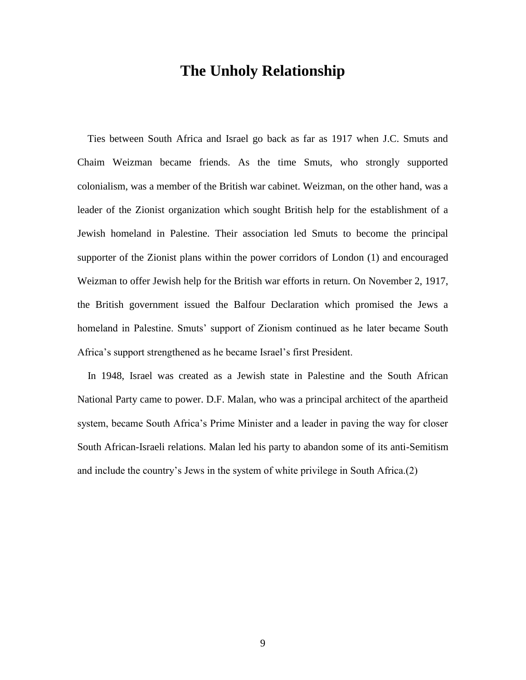### **The Unholy Relationship**

 Ties between South Africa and Israel go back as far as 1917 when J.C. Smuts and Chaim Weizman became friends. As the time Smuts, who strongly supported colonialism, was a member of the British war cabinet. Weizman, on the other hand, was a leader of the Zionist organization which sought British help for the establishment of a Jewish homeland in Palestine. Their association led Smuts to become the principal supporter of the Zionist plans within the power corridors of London (1) and encouraged Weizman to offer Jewish help for the British war efforts in return. On November 2, 1917, the British government issued the Balfour Declaration which promised the Jews a homeland in Palestine. Smuts' support of Zionism continued as he later became South Africa's support strengthened as he became Israel's first President.

 In 1948, Israel was created as a Jewish state in Palestine and the South African National Party came to power. D.F. Malan, who was a principal architect of the apartheid system, became South Africa's Prime Minister and a leader in paving the way for closer South African-Israeli relations. Malan led his party to abandon some of its anti-Semitism and include the country's Jews in the system of white privilege in South Africa.(2)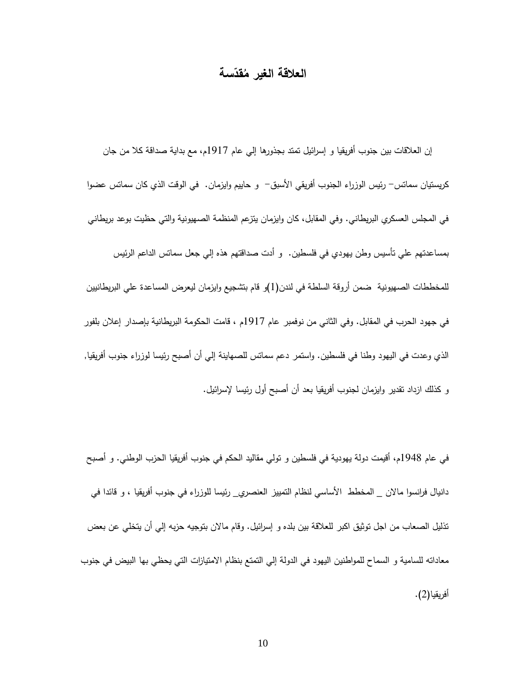# العلاقة الغير مُقدِّسة

 إن العالقات بين جنوب أفريقيا و إسرائيل تمتد بجذورها إلي عام 1719م، مع بداية صداقة كال من جان كريستيان سماتس– رئيس الوزراء الجنوب أفريقي الأسبق– و حاييم وايزمان. في الوقت الذي كان سماتس عضوا في المجلس العسكري البريطاني. وفي المقابل، كان وايزمان يتزعم المنظمة الصهيونية والتي حظيت بوعد بريطاني بمساعدتهم علي تأسيس وطن يهودي في فلسطين. و أدت صداقتهم هذه إلي جعل سماتس الداعم الرئيس للمخططات الصهيونية ضمن أروقة السلطة في لندن)1(و قام بتشجيع وايزمان ليعرض المساعدة علي البريطانيين في جهود الحرب في المقابل. وفي الثاني من نوفمبر عام 1719م ، قامت الحكومة البريطانية بإصدار إعالن بلفور الذي وعدت في اليهود وطنا في فلسطين. واستمر دعم سماتس للصهاينة إلي أن أصبح رئيسا لوزراء جنوب أفريقيا, و كذلك ازداد تقدير وايزمان لجنوب أفريقيا بعد أن أصبح أول رئيسا إلسرائيل.

في عام 1798م، أقيمت دولة يهودية في فلسطين و تولي مقاليد الحكم في جنوب أفريقيا الحزب الوطني. و أصبح دانيال فرانسوا ماالن \_ المخطط األساسي لنظام التمييز العنصري\_ رئيسا للوزراء في جنوب أفريقيا ، و قائدا في تذليل الصعاب من اجل توثيق اكبر للعالقة بين بلده و إسرائيل. وقام ماالن بتوجيه حزبه إلي أن يتخلي عن بعض معاداته للسامية و السماح للمواطنين اليهود في الدولة إلي التمتع بنظام االمتيازات التي يحظي بها البيض في جنوب أفريقيا(2).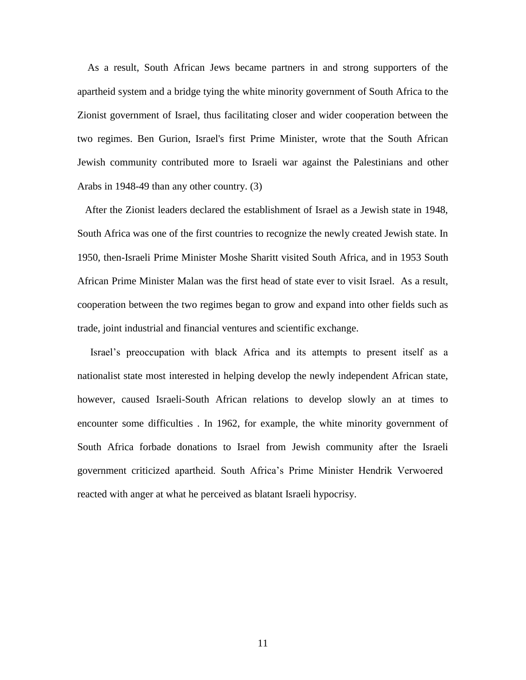As a result, South African Jews became partners in and strong supporters of the apartheid system and a bridge tying the white minority government of South Africa to the Zionist government of Israel, thus facilitating closer and wider cooperation between the two regimes. Ben Gurion, Israel's first Prime Minister, wrote that the South African Jewish community contributed more to Israeli war against the Palestinians and other Arabs in 1948-49 than any other country. (3)

 After the Zionist leaders declared the establishment of Israel as a Jewish state in 1948, South Africa was one of the first countries to recognize the newly created Jewish state. In 1950, then-Israeli Prime Minister Moshe Sharitt visited South Africa, and in 1953 South African Prime Minister Malan was the first head of state ever to visit Israel. As a result, cooperation between the two regimes began to grow and expand into other fields such as trade, joint industrial and financial ventures and scientific exchange.

 Israel's preoccupation with black Africa and its attempts to present itself as a nationalist state most interested in helping develop the newly independent African state, however, caused Israeli-South African relations to develop slowly an at times to encounter some difficulties . In 1962, for example, the white minority government of South Africa forbade donations to Israel from Jewish community after the Israeli government criticized apartheid. South Africa's Prime Minister Hendrik Verwoered reacted with anger at what he perceived as blatant Israeli hypocrisy.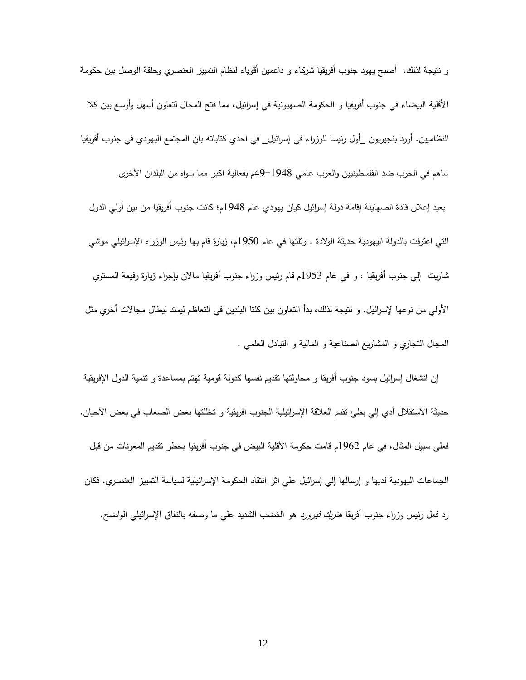و نتيجة لذلك، أصبح يهود جنوب أفريقيا شركاء و داعمين أقوياء لنظام التمييز العنصري وحلقة الوصل بين حكومة األقلية البيضاء في جنوب أفريقيا و الحكومة الصهيونية في إسرائيل، مما فتح المجال لتعاون أسهل وأوسع بين كال النظاميين. أورد بنجيريون \_أول رئيسا للوزراء في إسرائيل\_ في احدي كتاباته بان المجتمع اليهودي في جنوب أفريقيا ساهم في الحرب ضد الفلسطينيين والعرب عامي 97-1798م بفعالية اكبر مما سواه من البلدان األخرى. بعيد إعالن قادة الصهاينة إقامة دولة إسرائيل كيان يهودي عام 1798م؛ كانت جنوب أفريقيا من بين أولي الدول التي اعترفت بالدولة اليهودية حديثة الوالدة . وتلتها في عام 1791م، زيارة قام بها رئيس الوزراء اإلسرائيلي موشي شاريت إلي جنوب أفريقيا ، و في عام 1791م قام رئيس وزراء جنوب أفريقيا ماالن بإجراء زيارة رفيعة المستوي األولي من نوعها إلسرائيل. و نتيجة لذلك، بدأ التعاون بين كلتا البلدين في التعاظم ليمتد ليطال مجاالت أخري مثل المجال التجاري و المشاريع الصناعية و المالية و التبادل العلمي .

 إن انشغال إسرائيل بسود جنوب أفريقا و محاولتها تقديم نفسها كدولة قومية تهتم بمساعدة و تنمية الدول اإلفريقية حديثة الاستقلال أدي إلى بطئ تقدم العلاقة الإسرائيلية الجنوب افريقية و تخللتها بعض الصعاب في بعض الأحيان. فعلي سبيل المثال، في عام 1962م قامت حكومة الأقلية البيض في جنوب أفريقيا بحظر تقديم المعونات من قبل الجماعات اليهودية لديها و إرسالها إلي إسرائيل علي اثر انتقاد الحكومة اإلسرائيلية لسياسة التمييز العنصري. فكان رد فعل رئيس وزراء جنوب أفريقا *هنريك فيرورد* هو الغضب الشديد علي ما وصفه بالنفاق الإسرائيلي الواضح.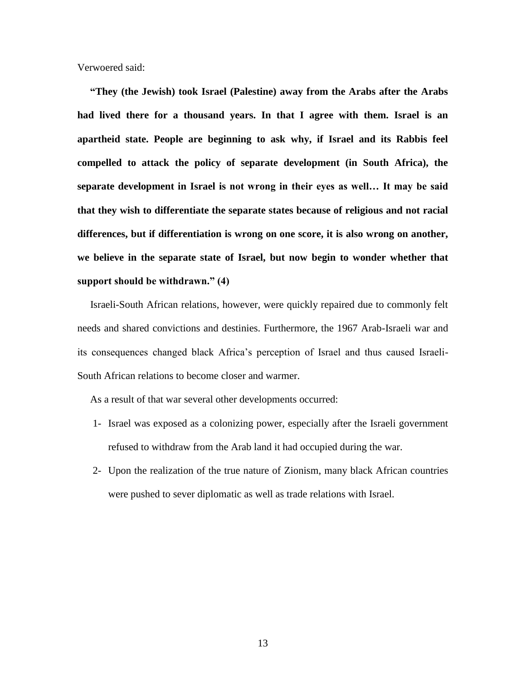Verwoered said:

 **"They (the Jewish) took Israel (Palestine) away from the Arabs after the Arabs had lived there for a thousand years. In that I agree with them. Israel is an apartheid state. People are beginning to ask why, if Israel and its Rabbis feel compelled to attack the policy of separate development (in South Africa), the separate development in Israel is not wrong in their eyes as well… It may be said that they wish to differentiate the separate states because of religious and not racial differences, but if differentiation is wrong on one score, it is also wrong on another, we believe in the separate state of Israel, but now begin to wonder whether that support should be withdrawn." (4)**

 Israeli-South African relations, however, were quickly repaired due to commonly felt needs and shared convictions and destinies. Furthermore, the 1967 Arab-Israeli war and its consequences changed black Africa's perception of Israel and thus caused Israeli-South African relations to become closer and warmer.

As a result of that war several other developments occurred:

- 1- Israel was exposed as a colonizing power, especially after the Israeli government refused to withdraw from the Arab land it had occupied during the war.
- 2- Upon the realization of the true nature of Zionism, many black African countries were pushed to sever diplomatic as well as trade relations with Israel.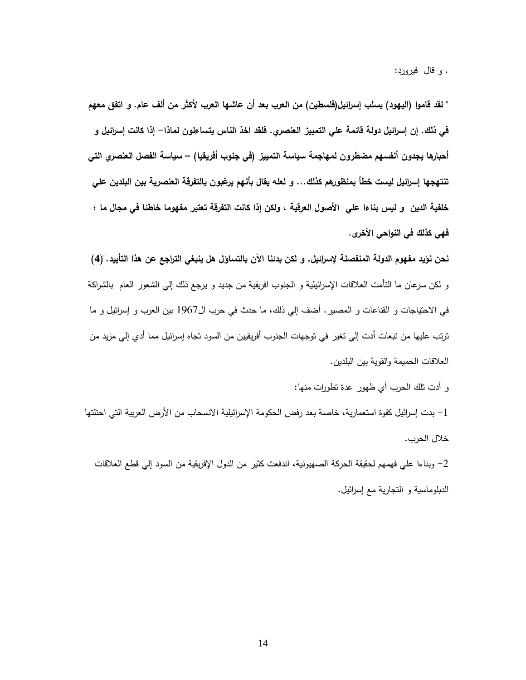. و قال فيرورد:

**" لقد قاموا )اليهود( بسلب إسرائيل)فلسطين( من العرب بعد أن عاشها العرب ألكثر من ألف عام. و اتفق معهم في ذلك. إن إسرائيل دولة قائمة علي التمييز العنصري. فلقد اخذ الناس يتساءلون لماذا- إذا كانت إسرائيل و أحبارها يجدون أنفسهم مضطرون لمهاجمة سياسة التمييز )في جنوب أفريقيا( – سياسة الفصل العنصري التي تنتهجها إسرائيل ليست خطأ بمنظورهم كذلك... و لعله يقال بأنهم يرغبون بالتفرقة العنصرية بين البلدين علي خلفية الدين و ليس بناءا علي األصول العرقية ، ولكن إذا كانت التفرقة تعتبر مفهوما خاطئا في مجال ما ؛ فهي كذلك في النواحي األخرى.** 

**نحن نؤيد مفهوم الدولة المنفصلة إلسرائيل, و لكن بدئنا اآلن بالتساؤل هل ينبغي التراجع عن هذا التأييد.")4(** و لكن سرعان ما التأمت العالقات اإلسرائيلية و الجنوب افريقية من جديد و يرجع ذلك إلي الشعور العام بالشراكة في االحتياجات و القناعات و المصير. أضف إلي ذلك، ما حدث في حرب ال1799 بين العرب و إسرائيل و ما ترتب عليها من تبعات أدت إلي تغير في توجهات الجنوب أفريقيين من السود تجاه إسرائيل مما أدي إلي مزيد من العالقات الحميمة والقوية بين البلدين.

و أدت تلك الحرب أي ظهور عدة تطو رات منها:

-1 بدت إسرائيل كقوة استعمارية، خاصة بعد رفض الحكومة اإلسرائيلية االنسحاب من األرض العربية التي احتلتها خالل الحرب.

-2 وبناءا علي فهمهم لحقيقة الحركة الصهيونية، اندفعت كثير من الدول اإلفريقية من السود إلي قطع العالقات الدبلوماسية و التجارية مع إسرائيل.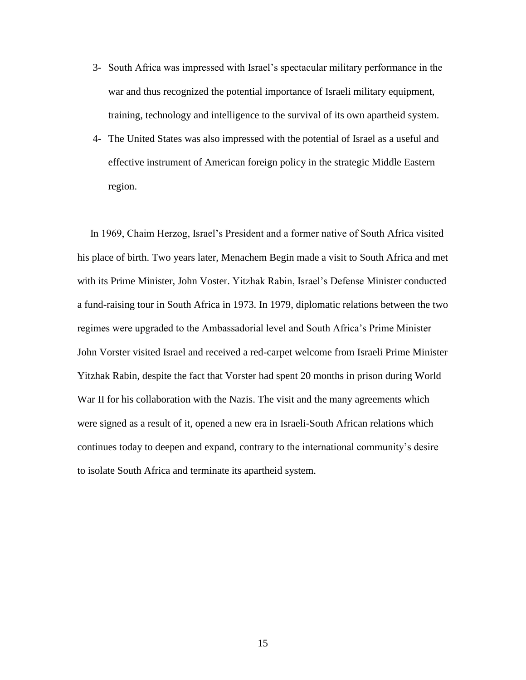- 3- South Africa was impressed with Israel's spectacular military performance in the war and thus recognized the potential importance of Israeli military equipment, training, technology and intelligence to the survival of its own apartheid system.
- 4- The United States was also impressed with the potential of Israel as a useful and effective instrument of American foreign policy in the strategic Middle Eastern region.

 In 1969, Chaim Herzog, Israel's President and a former native of South Africa visited his place of birth. Two years later, Menachem Begin made a visit to South Africa and met with its Prime Minister, John Voster. Yitzhak Rabin, Israel's Defense Minister conducted a fund-raising tour in South Africa in 1973. In 1979, diplomatic relations between the two regimes were upgraded to the Ambassadorial level and South Africa's Prime Minister John Vorster visited Israel and received a red-carpet welcome from Israeli Prime Minister Yitzhak Rabin, despite the fact that Vorster had spent 20 months in prison during World War II for his collaboration with the Nazis. The visit and the many agreements which were signed as a result of it, opened a new era in Israeli-South African relations which continues today to deepen and expand, contrary to the international community's desire to isolate South Africa and terminate its apartheid system.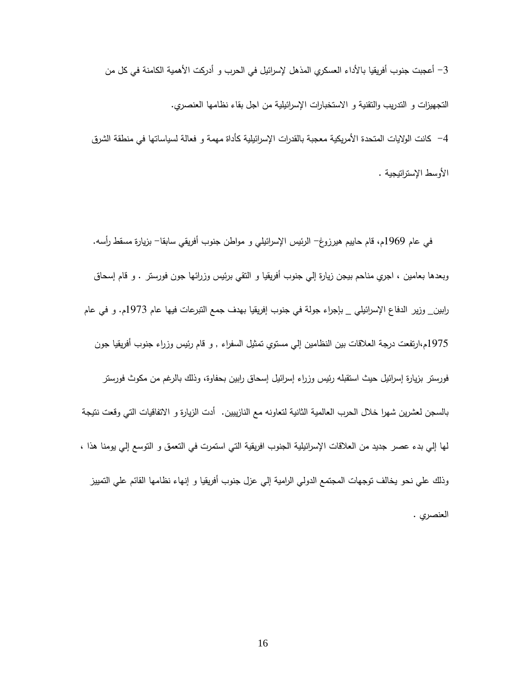3– أعجبت جنوب أفريقيا بالأداء العسكري المذهل لإسرائيل في الحرب و أدركت الأهمية الكامنة في كل من التجهيزات و التدريب والتقنية و االستخبارات اإلسرائيلية من اجل بقاء نظامها العنصري. -9 كانت الواليات المتحدة األمريكية معجبة بالقدرات اإلسرائيلية كأداة مهمة و فعالة لسياساتها في منطقة الشرق الأوسط الإستراتيجية .

 في عام 1797م، قام حاييم هيرزوغ- الرئيس اإلسرائيلي و مواطن جنوب أفريقي سابقا- بزيارة مسقط رأسه. وبعدها بعامين ، اجري مناحم بيجن زيارة إلي جنوب أفريقيا و التقي برئيس وزرائها جون فورستر . و قام إسحاق رابين\_ وزير الدفاع اإلسرائيلي \_ بإجراء جولة في جنوب إفريقيا بهدف جمع التبرعات فيها عام 1791م. و في عام 1799م،ارتفعت درجة العالقات بين النظامين إلي مستوي تمثيل السفراء , و قام رئيس وزراء جنوب أفريقيا جون فورستر بزيارة إسرائيل حيث استقبله رئيس وزراء إسرائيل إسحاق رابين بحفاوة، وذلك بالرغم من مكوث فورستر بالسجن لعشرين شهرا خالل الحرب العالمية الثانية لتعاونه مع النازييين. أدت الزيارة و االتفاقيات التي وقعت نتيجة لها إلي بدء عصر جديد من العالقات اإلسرائيلية الجنوب افريقية التي استمرت في التعمق و التوسع إلي يومنا هذا ، وذلك علي نحو يخالف توجهات المجتمع الدولي الرامية إلي عزل جنوب أفريقيا و إنهاء نظامها القائم علي التمييز العنصري .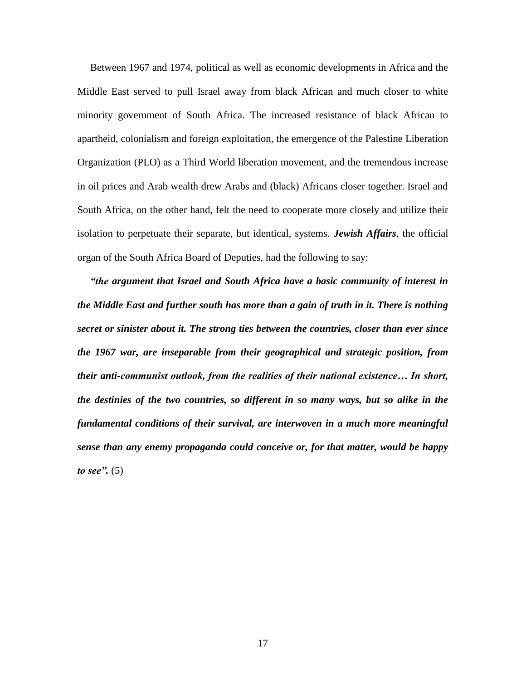Between 1967 and 1974, political as well as economic developments in Africa and the Middle East served to pull Israel away from black African and much closer to white minority government of South Africa. The increased resistance of black African to apartheid, colonialism and foreign exploitation, the emergence of the Palestine Liberation Organization (PLO) as a Third World liberation movement, and the tremendous increase in oil prices and Arab wealth drew Arabs and (black) Africans closer together. Israel and South Africa, on the other hand, felt the need to cooperate more closely and utilize their isolation to perpetuate their separate, but identical, systems. *Jewish Affairs*, the official organ of the South Africa Board of Deputies, had the following to say:

 *"the argument that Israel and South Africa have a basic community of interest in the Middle East and further south has more than a gain of truth in it. There is nothing secret or sinister about it. The strong ties between the countries, closer than ever since the 1967 war, are inseparable from their geographical and strategic position, from their anti-communist outlook, from the realities of their national existence… In short, the destinies of the two countries, so different in so many ways, but so alike in the fundamental conditions of their survival, are interwoven in a much more meaningful sense than any enemy propaganda could conceive or, for that matter, would be happy to see".* (5)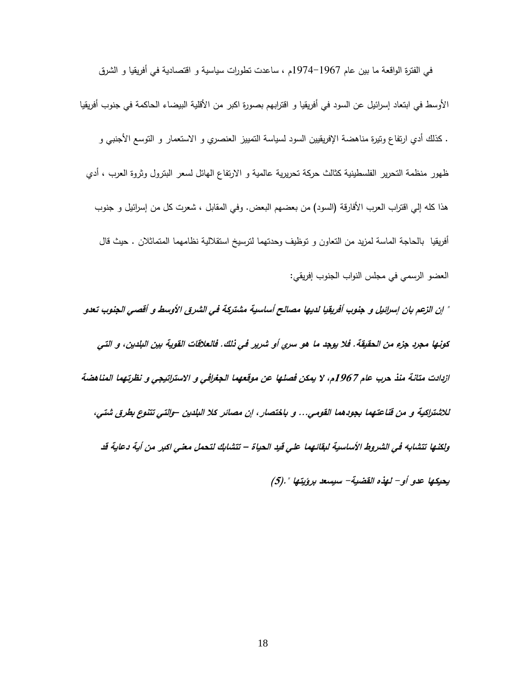في الفترة الواقعة ما بين عام 1799-1799م ، ساعدت تطورات سياسية و اقتصادية في أفريقيا و الشرق الأوسط في ابتعاد إسرائيل عن السود في أفريقيا و اقترابهم بصورة اكبر من الأقلية البيضاء الحاكمة في جنوب أفريقيا . كذلك أدي ارتفاع وتيرة مناهضة اإلفريقيين السود لسياسة التمييز العنصري و االستعمار و التوسع األجنبي و ظهور منظمة التحرير الفلسطينية كثالث حركة تحريرية عالمية و االرتفاع الهائل لسعر البترول وثروة العرب ، أدي هذا كله إلى اقتراب العرب الأفارقة (السود) من بعضهم البعض. وفي المقابل ، شعرت كل من إسرائيل و جنوب أفريقيا بالحاجة الماسة لمزيد من التعاون و توظيف وحدتهما لترسيخ استقاللية نظامهما المتماثالن . حيث قال العضو الرسمي في مجلس النواب الجنوب إفريقي: **" إن الزعم بان إسرائيل و جنوب أفريقيا لديها مصالح أساسية مشتركة في الشرق األوسط و أقصي الجنوب تعدو**

**كونها مجرد جزء من الحقيقة. فال يوجد ما هو سري أو شرير في ذلك. فالعالقات القوية بين البلدين، و التي ازدادت متانة منذ حرب عام 7691م، ال يمكن فصلها عن موقعهما الجغرافي و االستراتيجي و نظرتهما المناهضة لالشتراكية و من قناعتهما بجودهما القومي... و باختصار، إن مصائر كال البلدين –والتي تتنوع بطرق شتي، ولكنها تتشابه في الشروط األساسية لبقائهما علي قيد الحياة – تتشابك لتحمل معني اكبر من أية دعاية قد** 

**يحيكها عدو أو- لهذه القضية- سيسعد برؤيتها ".)5(**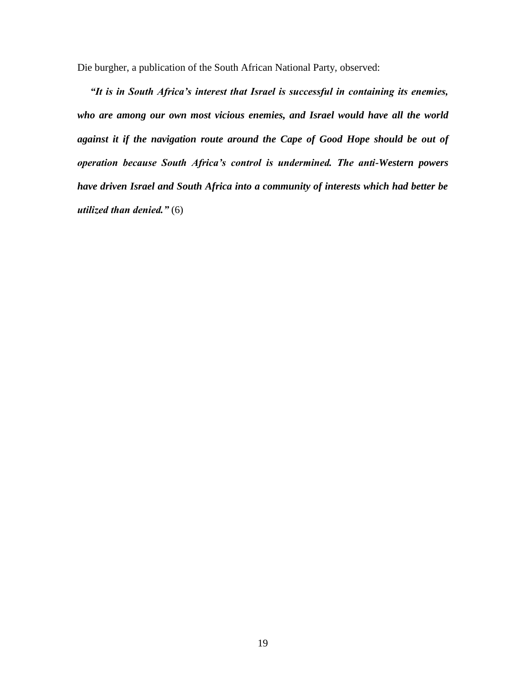Die burgher, a publication of the South African National Party, observed:

 *"It is in South Africa's interest that Israel is successful in containing its enemies, who are among our own most vicious enemies, and Israel would have all the world against it if the navigation route around the Cape of Good Hope should be out of operation because South Africa's control is undermined. The anti-Western powers have driven Israel and South Africa into a community of interests which had better be utilized than denied."* (6)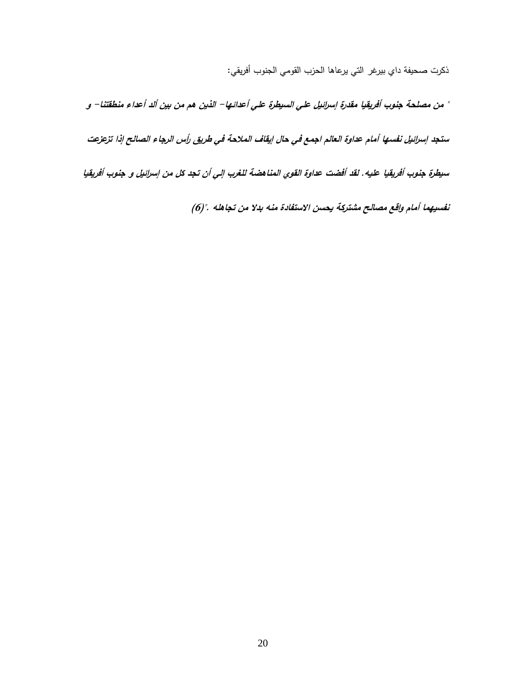ذكرت صحيفة داي بيرغر التي يرعاها الحزب القومي الجنوب أفريقي:

**" من مصلحة جنوب أفريقيا مقدرة إسرائيل علي السيطرة علي أعدائها- الذين هم من بين ألد أعداء منطقتنا- <sup>و</sup> ستجد إسرائيل نفسها أمام عداوة العالم اجمع في حال إيقاف المالحة في طريق رأس الرجاء الصالح إذا تزعزعت سيطرة جنوب أفريقيا عليه. لقد أفضت عداوة القوي المناهضة للغرب إلي أن تجد كل من إسرائيل و جنوب أفريقيا** 

**نفسيهما أمام واقع مصالح مشتركة يحسن االستفادة منه بدال من تجاهله .")9(**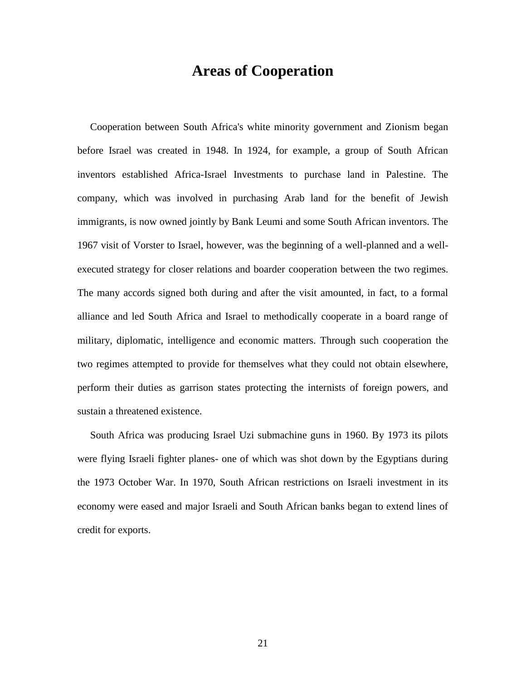### **Areas of Cooperation**

 Cooperation between South Africa's white minority government and Zionism began before Israel was created in 1948. In 1924, for example, a group of South African inventors established Africa-Israel Investments to purchase land in Palestine. The company, which was involved in purchasing Arab land for the benefit of Jewish immigrants, is now owned jointly by Bank Leumi and some South African inventors. The 1967 visit of Vorster to Israel, however, was the beginning of a well-planned and a wellexecuted strategy for closer relations and boarder cooperation between the two regimes. The many accords signed both during and after the visit amounted, in fact, to a formal alliance and led South Africa and Israel to methodically cooperate in a board range of military, diplomatic, intelligence and economic matters. Through such cooperation the two regimes attempted to provide for themselves what they could not obtain elsewhere, perform their duties as garrison states protecting the internists of foreign powers, and sustain a threatened existence.

 South Africa was producing Israel Uzi submachine guns in 1960. By 1973 its pilots were flying Israeli fighter planes- one of which was shot down by the Egyptians during the 1973 October War. In 1970, South African restrictions on Israeli investment in its economy were eased and major Israeli and South African banks began to extend lines of credit for exports.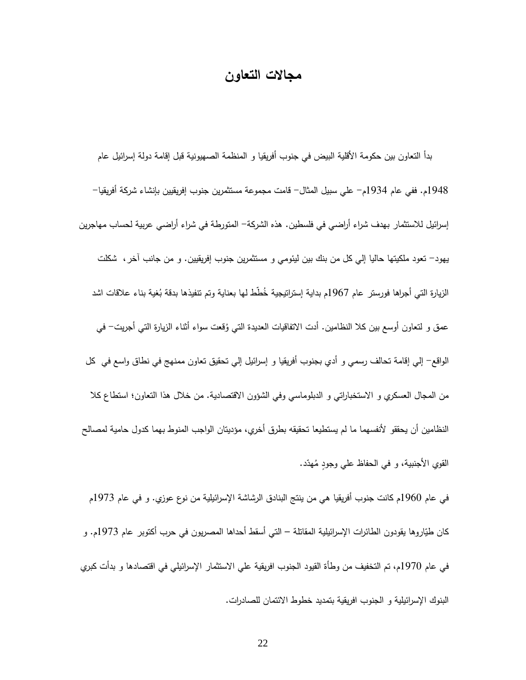### **مجاالت التعاون**

 بدأ التعاون بين حكومة األقلية البيض في جنوب أفريقيا و المنظمة الصهيونية قبل إقامة دولة إسرائيل عام 1798م. ففي عام 1719م- علي سبيل المثال- قامت مجموعة مستثمرين جنوب إفريقيين بإنشاء شركة أفريقيا- إسرائيل لالستثمار بهدف شراء أراضي في فلسطين. هذه الشركة- المتورطة في شراء أراضي عربية لحساب مهاجرين يهود- تعود ملكيتها حاليا إلي كل من بنك بين ليئومي و مستثمرين جنوب إفريقيين. و من جانب آخر، شكلت الزيارة التي أجراها فورستر عام 1967م بداية إستراتيجية خُطط لمها بعناية وتم تتفيذها بدقة بُغية بناء علاقات اشد عمق و لتعاون أوسع بين كلا النظامين. أدت الاتفاقيات العديدة التي وُقعت سواء أثناء الزيارة التي أجريت– في الواقع- إلي إقامة تحالف رسمي و أدي بجنوب أفريقيا و إسرائيل إلي تحقيق تعاون ممنهج في نطاق واسع في كل من المجال العسكري و الاستخباراتي و الدبلوماسي وفي الشؤون الاقتصادية. من خلال هذا التعاون؛ استطاع كلا النظامين أن يحققو لأنفسهما ما لم يستطيعا تحقيقه بطرق أخري، مؤديتان الواجب المنوط بهما كدول حامية لمصالح القوي الأجنبية، و في الحفاظ علي وجودٍ مُهدّد.

في عام 1791م كانت جنوب أفريقيا هي من ينتج البنادق الرشاشة اإلسرائيلية من نوع عوزي. و في عام 1791م كان طُيّاروها يقودون الطائرات الإسرائيلية المقاتلة – التي أسقط أحداها المصريون في حرب أكتوبر عام 1973م. و في عام 1791م، تم التخفيف من وطأة القيود الجنوب افريقية علي االستثمار اإلسرائيلي في اقتصادها و بدأت كبري البنوك اإلسر ائيلية و الجنوب افريقية بتمديد خطوط االئتمان للصادرات.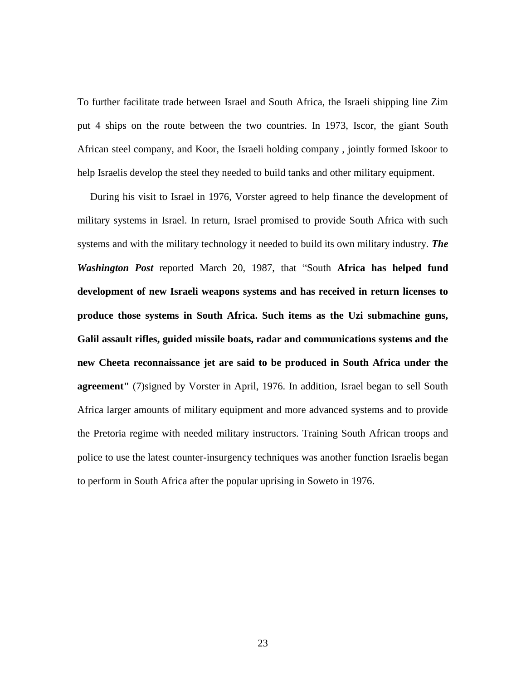To further facilitate trade between Israel and South Africa, the Israeli shipping line Zim put 4 ships on the route between the two countries. In 1973, Iscor, the giant South African steel company, and Koor, the Israeli holding company , jointly formed Iskoor to help Israelis develop the steel they needed to build tanks and other military equipment.

 During his visit to Israel in 1976, Vorster agreed to help finance the development of military systems in Israel. In return, Israel promised to provide South Africa with such systems and with the military technology it needed to build its own military industry. *The Washington Post* reported March 20, 1987, that "South **Africa has helped fund development of new Israeli weapons systems and has received in return licenses to produce those systems in South Africa. Such items as the Uzi submachine guns, Galil assault rifles, guided missile boats, radar and communications systems and the new Cheeta reconnaissance jet are said to be produced in South Africa under the agreement"** (7)signed by Vorster in April, 1976. In addition, Israel began to sell South Africa larger amounts of military equipment and more advanced systems and to provide the Pretoria regime with needed military instructors. Training South African troops and police to use the latest counter-insurgency techniques was another function Israelis began to perform in South Africa after the popular uprising in Soweto in 1976.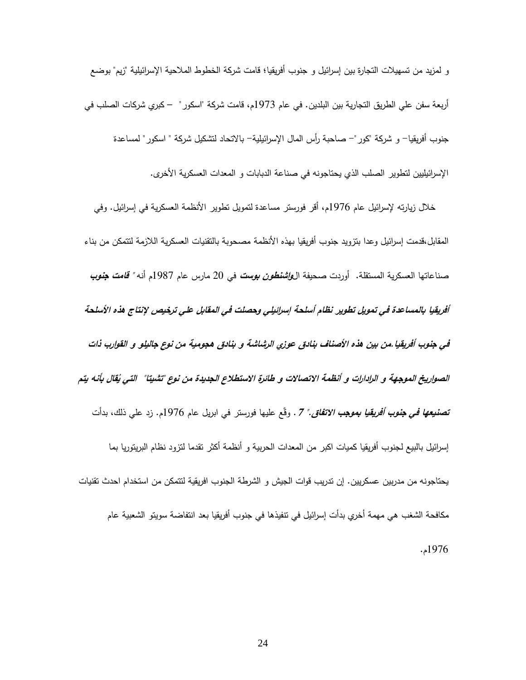و لمزيد من تسهيالت التجارة بين إسرائيل و جنوب أفريقيا؛ قامت شركة الخطوط المالحية اإلسرائيلية "زيم" بوضع أربعة سفن علي الطريق التجارية بين البلدين. في عام 1791م، قامت شركة "اسكور" – كبري شركات الصلب في جنوب أفريقيا- و شركة "كور"- صاحبة رأس المال اإلسرائيلية- باالتحاد لتشكيل شركة " اسكور" لمساعدة اإلسرائيليين لتطوير الصلب الذي يحتاجونه في صناعة الدبابات و المعدات العسكرية األخرى.

خلال زيارته لإسرائيل عام 1976م، أقر فورستر مساعدة لتمويل تطوير الأنظمة العسكرية في إسرائيل. وفي المقابل،قدمت إسرائيل وعدا بتزويد جنوب أفريقيا بهذه الأنظمة مصحوبة بالتقنيات العسكرية اللازمة لتتمكن من بناء صناعاتها العسكرية المستقلة. أوردت صحيفة ال**واشنطون بوست** في 21 مارس عام 1789م أنه **" قامت جنوب أفريقيا بالمساعدة في تمويل تطوير نظام أسلحة إسرائيلي وحصلت في المقابل علي ترخيص إلنتاج هذه األسلحة في جنوب أفريقيا.من بين هذه األصناف بنادق عوزي الرشاشة و بنادق هجومية من نوع جاليلو و القوارب ذات**  الصواريخ الموجهة و الرادارات و أنظمة الاتصالات و طائرة الاستطلاع الجديدة من نوع "تشيتا" التي يُقال بأنه يتم **تصني***عها في جنوب أفريقيا بموجب الاتفاق." 7* **. وقّع عليها فورستر في ابريل عام 1976م. زد علي ذلك، بدأت** إسرائيل بالبيع لجنوب أفريقيا كميات اكبر من المعدات الحربية و أنظمة أكثر تقدما لتزود نظام البريتوريا بما يحتاجونه من مدربين عسكريين. إن تدريب قوات الجيش و الشرطة الجنوب افريقية لتتمكن من استخدام احدث تقنيات مكافحة الشغب هي مهمة أخري بدأت إسرائيل في تنفيذها في جنوب أفريقيا بعد انتفاضة سويتو الشعبية عام 1799م.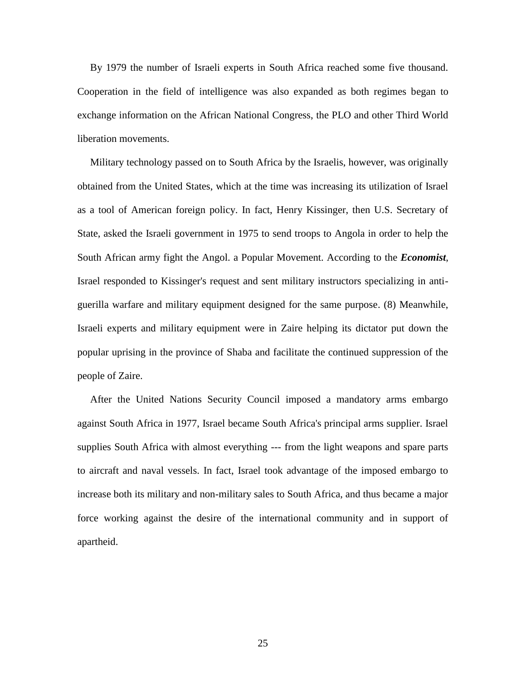By 1979 the number of Israeli experts in South Africa reached some five thousand. Cooperation in the field of intelligence was also expanded as both regimes began to exchange information on the African National Congress, the PLO and other Third World liberation movements.

 Military technology passed on to South Africa by the Israelis, however, was originally obtained from the United States, which at the time was increasing its utilization of Israel as a tool of American foreign policy. In fact, Henry Kissinger, then U.S. Secretary of State, asked the Israeli government in 1975 to send troops to Angola in order to help the South African army fight the Angol. a Popular Movement. According to the *Economist*, Israel responded to Kissinger's request and sent military instructors specializing in antiguerilla warfare and military equipment designed for the same purpose. (8) Meanwhile, Israeli experts and military equipment were in Zaire helping its dictator put down the popular uprising in the province of Shaba and facilitate the continued suppression of the people of Zaire.

 After the United Nations Security Council imposed a mandatory arms embargo against South Africa in 1977, Israel became South Africa's principal arms supplier. Israel supplies South Africa with almost everything --- from the light weapons and spare parts to aircraft and naval vessels. In fact, Israel took advantage of the imposed embargo to increase both its military and non-military sales to South Africa, and thus became a major force working against the desire of the international community and in support of apartheid.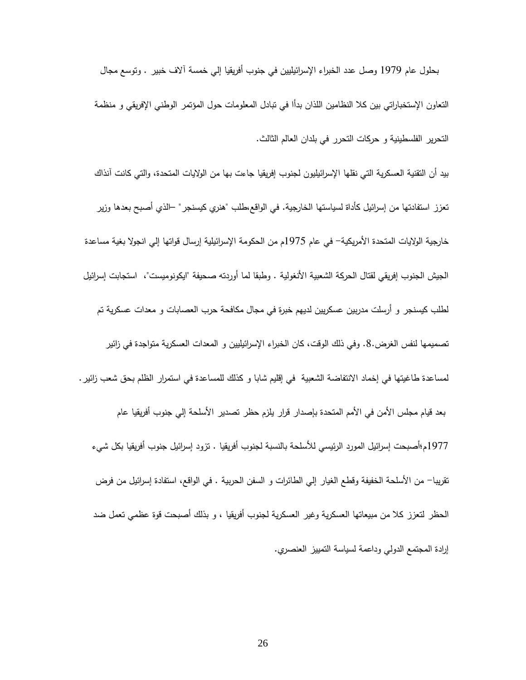بحلول عام 1797 وصل عدد الخبراء اإلسرائيليين في جنوب أفريقيا إلي خمسة آالف خبير . وتوسع مجال التعاون اإلستخباراتي بين كال النظامين اللذان بدأا في تبادل المعلومات حول المؤتمر الوطني اإلفريقي و منظمة التحرير الفلسطينية و حركات التحرر في بلدان العالم الثالث.

بيد أن التقنية العسكرية التي نقلها اإلسرائيليون لجنوب إفريقيا جاءت بها من الواليات المتحدة، والتي كانت آنذاك تعزز استفادتها من إسرائيل كأداة لسياستها الخارجية. في الواقع،طلب "هنري كيسنجر" –الذي أصبح بعدها وزير خارجية الولايات المتحدة الأمريكية– في عام 1975م من الحكومة الإسرائيلية إرسال قواتها إلى انجولا بغية مساعدة الجيش الجنوب إفريقي لقتال الحركة الشعبية األنغولية . وطبقا لما أوردته صحيفة "ايكونوميست"، استجابت إسرائيل لطلب كيسنجر و أرسلت مدربين عسكريين لديهم خبرة في مجال مكافحة حرب العصابات و معدات عسكرية تم تصميمها لنفس الغرض.8. وفي ذلك الوقت، كان الخبراء اإلسرائيليين و المعدات العسكرية متواجدة في زائير لمساعدة طاغيتها في إخماد االنتفاضة الشعبية في إقليم شابا و كذلك للمساعدة في استمرار الظلم بحق شعب زائير. بعد قيام مجلس الأمن في الأمم المتحدة بإصدار قرار يلزم حظر تصدير الأسلحة إلى جنوب أفريقيا عام 1799م؛أصبحت إسرائيل المورد الرئيسي لألسلحة بالنسبة لجنوب أفريقيا . تزود إسرائيل جنوب أفريقيا بكل شيء تقريبا- من األسلحة الخفيفة وقطع الغيار إلي الطائرات و السفن الحربية . في الواقع، استفادة إسرائيل من فرض الحظر لتعزز كال من مبيعاتها العسكرية وغير العسكرية لجنوب أفريقيا ، و بذلك أصبحت قوة عظمي تعمل ضد إرادة المجتمع الدولي وداعمة لسياسة التمييز العنصري.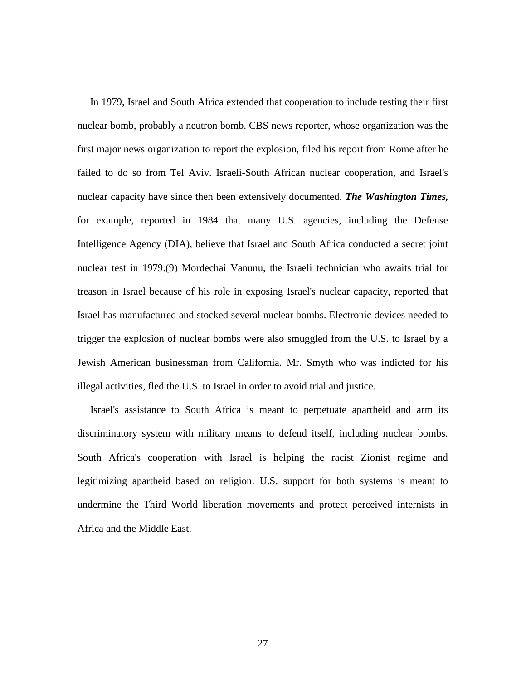In 1979, Israel and South Africa extended that cooperation to include testing their first nuclear bomb, probably a neutron bomb. CBS news reporter, whose organization was the first major news organization to report the explosion, filed his report from Rome after he failed to do so from Tel Aviv. Israeli-South African nuclear cooperation, and Israel's nuclear capacity have since then been extensively documented. *The Washington Times,* for example, reported in 1984 that many U.S. agencies, including the Defense Intelligence Agency (DIA), believe that Israel and South Africa conducted a secret joint nuclear test in 1979.(9) Mordechai Vanunu, the Israeli technician who awaits trial for treason in Israel because of his role in exposing Israel's nuclear capacity, reported that Israel has manufactured and stocked several nuclear bombs. Electronic devices needed to trigger the explosion of nuclear bombs were also smuggled from the U.S. to Israel by a Jewish American businessman from California. Mr. Smyth who was indicted for his illegal activities, fled the U.S. to Israel in order to avoid trial and justice.

 Israel's assistance to South Africa is meant to perpetuate apartheid and arm its discriminatory system with military means to defend itself, including nuclear bombs. South Africa's cooperation with Israel is helping the racist Zionist regime and legitimizing apartheid based on religion. U.S. support for both systems is meant to undermine the Third World liberation movements and protect perceived internists in Africa and the Middle East.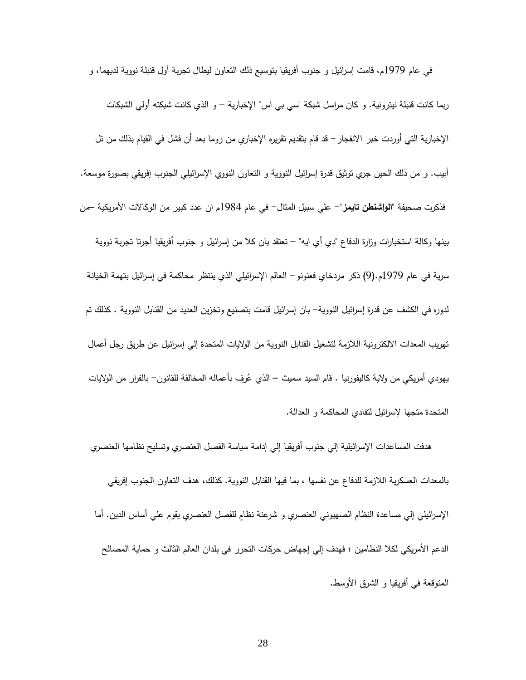في عام 1797م، قامت إسرائيل و جنوب أفريقيا بتوسيع ذلك التعاون ليطال تجربة أول قنبلة نووية لديهما، و ربما كانت قنبلة نيترونية. و كان مراسل شبكة "سي بي اس" اإلخبارية – و الذي كانت شبكته أولي الشبكات اإلخبارية التي أوردت خبر االنفجار- قد قام بتقديم تقريره اإلخباري من روما بعد أن فشل في القيام بذلك من تل أبيب. و من ذلك الحين جري توثيق قدرة إسرائيل النووية و التعاون النووي اإلسرائيلي الجنوب إفريقي بصورة موسعة. فذكرت صحيفة **"الواشنطن تايمز**"- علي سبيل المثال- في عام 1789م ان عدد كبير من الوكاالت األمريكية –من بينها وكالة استخبارات وزارة الدفاع "دي أي ايه" – تعتقد بان كال من إسرائيل و جنوب أفريقيا أجرتا تجربة نووية سرية في عام 1797م.)7( ذكر مردخاي فعنونو- العالم اإلسرائيلي الذي ينتظر محاكمة في إسرائيل بتهمة الخيانة لدوره في الكشف عن قدرة إسرائيل النووية- بان إسر ائيل قامت بتصنيع وتخزين العديد من القنابل النووية . كذلك تم تهريب المعدات االلكترونية الالزمة لتشغيل القنابل النووية من الواليات المتحدة إلي إسرائيل عن طريق رجل أعمال يهودي أمريكي من ولاية كاليفورنيا . قام السيد سميث – الذي عُرف بأعماله المخالفة للقانون– بالفرار من الولايات المتحدة متجها إلسرائيل لتفادي المحاكمة و العدالة.

 هدفت المساعدات اإلسرائيلية إلي جنوب أفريقيا إلي إدامة سياسة الفصل العنصري وتسليح نظامها العنصري بالمعدات العسكرية الالزمة للدفاع عن نفسها ، بما فيها القنابل النووية. كذلك، هدف التعاو ن الجنوب إفريقي الإسرائيلي إلي مساعدة النظام الصهيوني العنصري و شرعنة نظامٍ للفصل العنصري يقوم علي أساس الدين. أما الدعم األمريكي لكال النظامين ؛ فهدف إلي إجهاض حركات التحرر في بلدان العالم الثالث و حماية المصالح المتوقعة في أفريقيا و الشرق األوسط.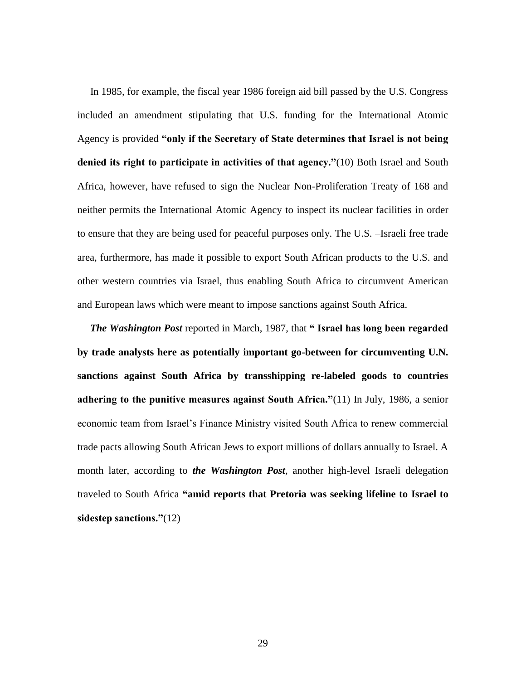In 1985, for example, the fiscal year 1986 foreign aid bill passed by the U.S. Congress included an amendment stipulating that U.S. funding for the International Atomic Agency is provided **"only if the Secretary of State determines that Israel is not being denied its right to participate in activities of that agency."**(10) Both Israel and South Africa, however, have refused to sign the Nuclear Non-Proliferation Treaty of 168 and neither permits the International Atomic Agency to inspect its nuclear facilities in order to ensure that they are being used for peaceful purposes only. The U.S. –Israeli free trade area, furthermore, has made it possible to export South African products to the U.S. and other western countries via Israel, thus enabling South Africa to circumvent American and European laws which were meant to impose sanctions against South Africa.

 *The Washington Post* reported in March, 1987, that **" Israel has long been regarded by trade analysts here as potentially important go-between for circumventing U.N. sanctions against South Africa by transshipping re-labeled goods to countries adhering to the punitive measures against South Africa."**(11) In July, 1986, a senior economic team from Israel's Finance Ministry visited South Africa to renew commercial trade pacts allowing South African Jews to export millions of dollars annually to Israel. A month later, according to *the Washington Post*, another high-level Israeli delegation traveled to South Africa **"amid reports that Pretoria was seeking lifeline to Israel to sidestep sanctions."**(12)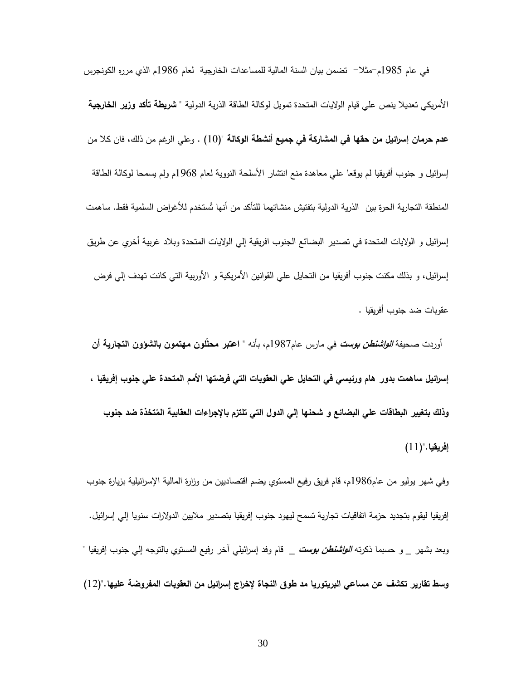في عام 1789م-مثال- تضمن بيان السنة المالية للمساعدات الخارجية لعام 1789م الذي مرره الكونجرس األمريكي تعديال ينص علي قيام الواليات المتحدة تمويل لوكالة الطاقة الذرية الدولية **" شريطة تأكد وزير الخارجية عدم حرمان إسرائيل من حقها في المشاركة في جميع أنشطة الوكالة ")**11( . وعلي الرغم من ذلك، فان كال من إسرائيل و جنوب أفريقيا لم يوقعا علي معاهدة منع انتشار األسلحة النووية لعام 1798م ولم يسمحا لوكالة الطاقة المنطقة التجارية الحرة بين الذرية الدولية بتفتيش منشاتهما للتأكد من أنها تُستخدم للأغراض السلمية فقط. ساهمت إسرائيل و الواليات المتحدة في تصدير البضائع الجنوب افريقية إلي الواليات المتحدة وبالد غربية أخري عن طريق إسرائيل، و بذلك مكنت جنوب أفريقيا من التحايل علي القوانين الأمريكية و الأوربية التي كانت تهدف إلي فرض عقو بات ضد جنوب أفريقيا .

 أوردت صحيفة **الواشنطن بوست** في مارس عام1789م، بأنه **" اعتبر محلّلون مهتمون بالشؤون التجارية أن إسرائيل ساهمت بدور هام ورئيسي في التحايل علي العقوبات التي فرضتها األمم المتحدة علي جنوب إفريقيا ،**  وذلك بتغيير البطاقات علي البضائع و شحنها إلي الدول التي تلتزم بالإجراءات العقابية المُتخذة ضد جنوب **إفريقيا.")**11(

وفي شهر يوليو من عام1789م، قام فريق رفيع المستوي يضم اقتصاديين من وزارة المالية اإلسرائيلية بزيارة جنوب إفريقيا ليقوم بتجديد حزمة اتفاقيات تجارية تسمح ليهود جنوب إفريقيا بتصدير ماليين الدوالرات سنويا إلي إسرائيل. وبعد بشهر \_ و حسبما ذكرته **الواشنطن بوست** \_ قام وفد إسرائيلي آخر رفيع المستوي بالتوجه إلي جنوب إفريقيا " **وسط تقارير تكشف عن مساعي البريتوريا مد طوق النجاة إلخراج إسرائيل من العقوبات المفروضة عليها.**")12(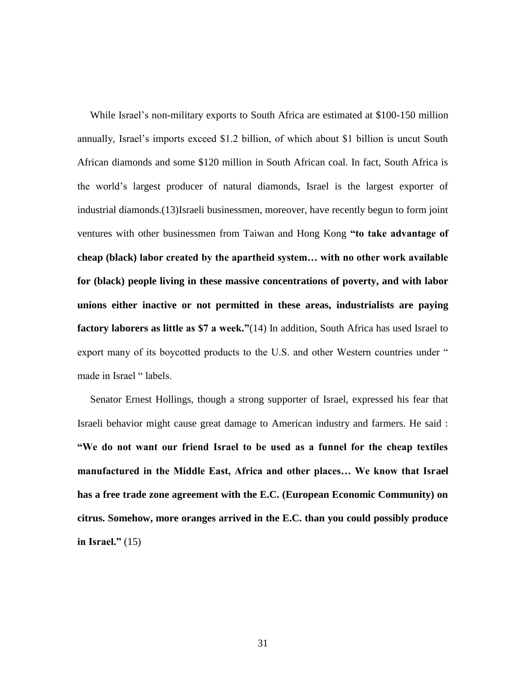While Israel's non-military exports to South Africa are estimated at \$100-150 million annually, Israel's imports exceed \$1.2 billion, of which about \$1 billion is uncut South African diamonds and some \$120 million in South African coal. In fact, South Africa is the world's largest producer of natural diamonds, Israel is the largest exporter of industrial diamonds.(13)Israeli businessmen, moreover, have recently begun to form joint ventures with other businessmen from Taiwan and Hong Kong **"to take advantage of cheap (black) labor created by the apartheid system… with no other work available for (black) people living in these massive concentrations of poverty, and with labor unions either inactive or not permitted in these areas, industrialists are paying factory laborers as little as \$7 a week."**(14) In addition, South Africa has used Israel to export many of its boycotted products to the U.S. and other Western countries under " made in Israel "labels.

 Senator Ernest Hollings, though a strong supporter of Israel, expressed his fear that Israeli behavior might cause great damage to American industry and farmers. He said : **"We do not want our friend Israel to be used as a funnel for the cheap textiles manufactured in the Middle East, Africa and other places… We know that Israel has a free trade zone agreement with the E.C. (European Economic Community) on citrus. Somehow, more oranges arrived in the E.C. than you could possibly produce in Israel."** (15)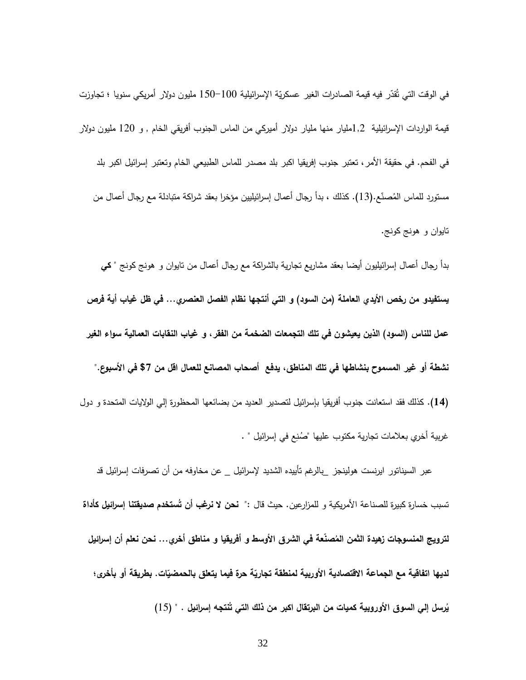في الوقت التي تُقدّر فيه قيمة الصادرات الغير عسكريّة الإسرائيلية 100−150 مليون دولار أمريكي سنويا ؛ تجاوزت قيمة الواردات اإلسرائيلية 1,2مليار منها مليار دوالر أميركي من الماس الجنوب أفريقي الخام , و 121 مليون دوالر في الفحم. في حقيقة األمر، تعتبر جنوب إفريقيا اكبر بلد مصدر للماس الطبيعي الخام وتعتبر إسرائيل اكبر بلد مستورد للماس المُصنّع.(13). كذلك ، بدأ رجال أعمال إسرائيليين مؤخرا بعقد شراكة متبادلة مع رجال أعمال من تايوان و هونج كونج.

بدأ رجال أعمال إسرائيليون أيضا بعقد مشاريع تجارية بالشراكة مع رجال أ عمال من تايوان و هونج كونج " **كي يستفيدو من رخص األيدي العاملة )من السود( و التي أنتجها نظام الفصل العنصري... في ظل غياب أية فرص عمل للناس )السود( الذين يعيشون في تلك التجمعات الضخمة من الفقر، و غياب النقابات العمالية سواء الغير نشطة أو غير المسموح بنشاطها في تلك المناطق، يدفع أصحاب المصانع للعمال اقل من \$1 في األسبوع." )74(.** كذلك فقد استعانت جنوب أفريقيا بإسرائيل لتصدير العديد من بضائعها المحظورة إلي الواليات المتحدة و دول غربية أخري بعلامات تجارية مكتوب عليها "صُنِع في إسرائيل " .

 عبر السيناتور ايرنست هولينجز \_بالرغم تأييده الشديد إلسرائيل \_ عن مخاوفه من أن تصرفات إسرائيل قد تسبب خسارة كبيرة للصناعة الأمريكية و للمزارعين. حيث قال :" **نحن لا نرغب أن تُستخدم صديقتنا إسرائيل كأداة** لترويج المنسوجات زهيدة الثمن المُصنعة في الشرق الأوسط و أفريقيا و مناطق أخري… نحن نعلم أن إسرائيل لديها اتفاقية مع الجماعة الاقتصادية الأوربية لمنطقة تجاريّة حرة فيما يتعلق بالحمضيّات. بطريقة أو بأخرى؛ يُرسِل إلي السوق الأوروبية كميات من البرتقال اكبر من ذلك التي تَنتجه إسرائيل . " (15)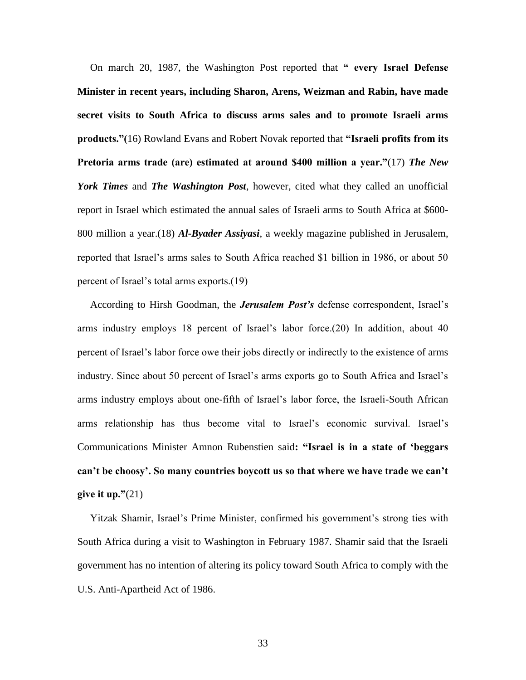On march 20, 1987, the Washington Post reported that **" every Israel Defense Minister in recent years, including Sharon, Arens, Weizman and Rabin, have made secret visits to South Africa to discuss arms sales and to promote Israeli arms products."(**16) Rowland Evans and Robert Novak reported that **"Israeli profits from its Pretoria arms trade (are) estimated at around \$400 million a year."**(17) *The New York Times* and *The Washington Post*, however, cited what they called an unofficial report in Israel which estimated the annual sales of Israeli arms to South Africa at \$600- 800 million a year.(18) *Al-Byader Assiyasi*, a weekly magazine published in Jerusalem, reported that Israel's arms sales to South Africa reached \$1 billion in 1986, or about 50 percent of Israel's total arms exports.(19)

 According to Hirsh Goodman, the *Jerusalem Post's* defense correspondent, Israel's arms industry employs 18 percent of Israel's labor force.(20) In addition, about 40 percent of Israel's labor force owe their jobs directly or indirectly to the existence of arms industry. Since about 50 percent of Israel's arms exports go to South Africa and Israel's arms industry employs about one-fifth of Israel's labor force, the Israeli-South African arms relationship has thus become vital to Israel's economic survival. Israel's Communications Minister Amnon Rubenstien said**: "Israel is in a state of 'beggars can't be choosy'. So many countries boycott us so that where we have trade we can't give it up."**(21)

 Yitzak Shamir, Israel's Prime Minister, confirmed his government's strong ties with South Africa during a visit to Washington in February 1987. Shamir said that the Israeli government has no intention of altering its policy toward South Africa to comply with the U.S. Anti-Apartheid Act of 1986.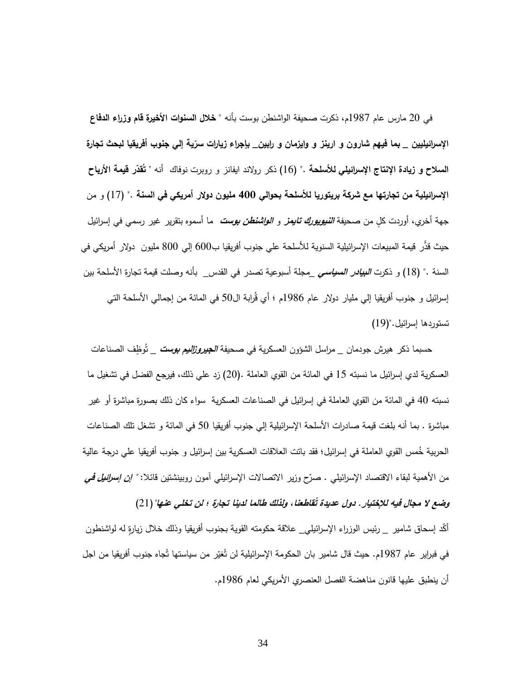في 21 مارس عام 1789م، ذكرت صحيفة الواشنطن بوست بأنه **" خالل السنوات األخيرة قام وزراء الدفاع**  الإسرائيليين \_ بما فيهم شارون و ارينز و وايزمان و رابي<u>ن \_</u> بإجراء زيارات سرّية إل*ي* جنوب أفريقيا لبحث تجارة ا**لسلاح و زيادة الإنتاج الإسرائيلي للأسلحة** ." (16) ذكر رولاند ايفانز و روبرت نوفاك أنه " **تَقَدّر قيمة الأرباح اإلسرائيلية من تجارتها مع شركة بريتوريا لألسلحة بحوالي 444 مليون دوالر أمريكي في السنة ."** )19( و من جهة أخري، أوردت كلٍ من صحيفة *النيويورك تايمز و ال<i>واشنطن بوست* **ما أسموه بتقرير غير رسمي في** إسرائيل حيث قدَّر قيمة المبيعات الإسرائيلية السنوية للأسلحة علي جنوب أفريقيا ب600 إلي 800 مليون دولار أمريكي في السنة ." )18( و ذكرت **البيادر السياسي** \_مجلة أسبوعية تصدر في القدس\_ بأنه وصلت قيمة تجارة األسلحة بين إسرائيل و جنوب أفريقيا إلي مليار دولار عام 1986م ؛ أي قُرابة ال50 في المائة من إجمالي الأسلحة التي تستوردها إسرائيل.")17(

حسبما ذكر هيرش جودمان \_ مراسل الشؤون العسكرية في صحيفة *الجيروز<i>اليم بوست* \_ تُوظِف الصناعات العسكرية لدي إسرائيل ما نسبته 19 في المائة من القوي العاملة .)21( زد علي ذلك، فيرجع الفضل في تشغيل ما نسبته 91 في المائة من القوي العاملة في إسرائيل في الصناعات العسكرية سواء كان ذلك بصورة مباشرة أو غير مباشرة . بما أنه بلغت قيمة صادرات الأسلحة الإسرائيلية إلي جنوب أفريقيا 50 في المائة و تشغل تلك الصناعات الحربية خُمس القوي العاملة في إسرائيل؛ فقد باتت العلاقات العسكرية بين إسرائيل و جنوب أفريقيا علي درجة عالية من الأهمية لبقاء الاقتصاد الإسرائيل*ي . صرّح وزير الانتصالات الإسرائيلي آمون روبينشتين قائلا: <i>" إ<mark>ن إسرائيل في</mark>* 

 **قاطعنا، ولذلك طالما لدينا تجارة ؛ لن تخلي عنها"**)21( **وضع ال مجال فيه لإلختيار. دول عديدة <sup>ت</sup>** أكّد إسحاق شامير \_ رئيس الوزراء الإسرائيلي\_ علاقة حكومته القوية بجنوب أفريقيا وذلك خلال زيارةٍ له لواشنطون في فبراير عام 1987م. حيث قال شامير بان الحكومة الإسرائيلية لن تَغيّر من سياستها تَجاه جنوب أفريقيا من اجل أن ينطبق عليها قانون مناهضة الفصل العنصري الأمريكي لعام 1986م.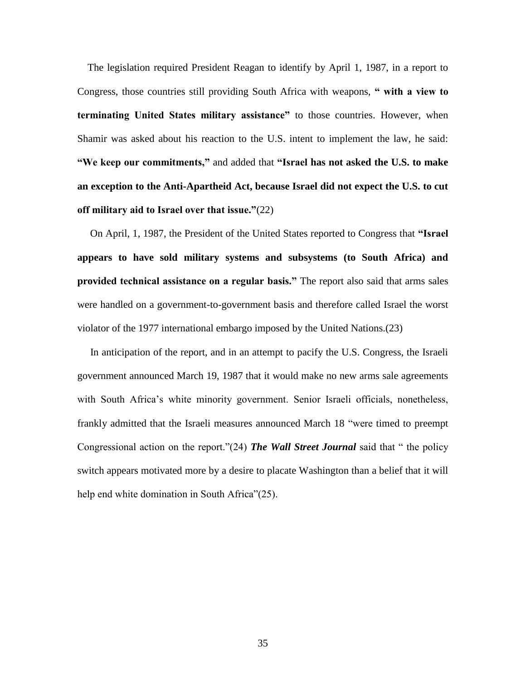The legislation required President Reagan to identify by April 1, 1987, in a report to Congress, those countries still providing South Africa with weapons, **" with a view to terminating United States military assistance"** to those countries. However, when Shamir was asked about his reaction to the U.S. intent to implement the law, he said: **"We keep our commitments,"** and added that **"Israel has not asked the U.S. to make an exception to the Anti-Apartheid Act, because Israel did not expect the U.S. to cut off military aid to Israel over that issue."**(22)

 On April, 1, 1987, the President of the United States reported to Congress that **"Israel appears to have sold military systems and subsystems (to South Africa) and provided technical assistance on a regular basis."** The report also said that arms sales were handled on a government-to-government basis and therefore called Israel the worst violator of the 1977 international embargo imposed by the United Nations.(23)

 In anticipation of the report, and in an attempt to pacify the U.S. Congress, the Israeli government announced March 19, 1987 that it would make no new arms sale agreements with South Africa's white minority government. Senior Israeli officials, nonetheless, frankly admitted that the Israeli measures announced March 18 "were timed to preempt Congressional action on the report."(24) *The Wall Street Journal* said that " the policy switch appears motivated more by a desire to placate Washington than a belief that it will help end white domination in South Africa"(25).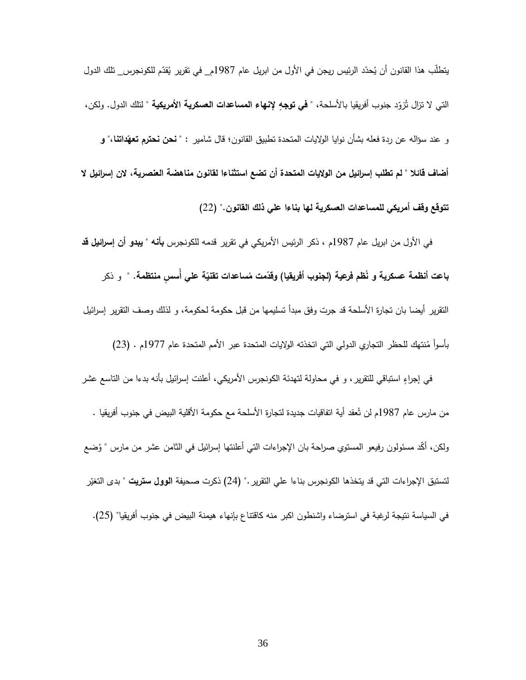يتطلب هذا القانون أن يُحدّد الرئيس ريجن في الأول من ابريل عام 1987م\_ في تقرير يُقدّم للكونجرس\_ تلك الدول<br>. التي لا تزال تُزوّد جنوب أفريقيا بالأسلحة، " **في توجهِ لإنـهاء المساعدات الـعسكريـة الأمريكيـة** " لنثك الدول. ولكن، **ّ** و عند سؤاله عن ردة فعله بشأن نوايا الواليات المتحدة تطبيق القانون؛ قال شامير : **داتنا،" و " نحن نحترم تعه أضاف قائال " لم تطلب إسرائيل من الواليات المتحدة أن تضع استثناءا لقانون مناهضة العنصرية، الن إسرائيل ال تتوقع وقف أمريكي للمساعدات العسكرية لها بناءا علي ذلك القانون."** )22(

 في األول من ابريل عام 1789م ، ذكر الرئيس األمريكي في تقرير قدمه للكونجرس **بأنه " يبدو أن إسرائيل قد ب**اعت أنظمة عسكرية و نُظم فرعية (لجنوب أفريقيا) وقدّمت مُساعدات تقنيّة عل*ي* أسسٍ منتظمة. " و ذكر التقرير أيضا بان تجارة األسلحة قد جرت وفق مبدأ تسليمها من قبل حكومة لحكومة، و لذلك وصف التقرير إسرائيل بأسوأ مُنتهك للحظر التجاري الدولي التي اتخذته الولايات المتحدة عبر الأمم المتحدة عام 1977م . (23)

في إجراءٍ استباقي للتقرير ، و في محاولة لتهدئة الكونجرس الأمريكي، أعلنت إسرائيل بأنه بدءا من التاسع عشر من مارس عام 1987م لن تُعقد أية اتفاقيات جديدة لتجارة الأسلحة مع حكومة الأقلية البيض في جنوب أفريقيا . ولكن، أكّد مسئولون رفيعو المستوي صراحة بان الإجراءات التي أعلنتها إسرائيل في الثامن عشر من مارس " وُضع لتستبق الإجراءات التي قد يتخذها الكونجرس بناءا علي التقرير ." (24) ذكرت صحيفة ا**لوول ستريت** " بدى التغيّر في السياسة نتيجة لرغبة في استرضاء واشنطون اكبر منه كاقتناع بإنهاء هيمنة البيض في جنوب أفريقيا" )29(.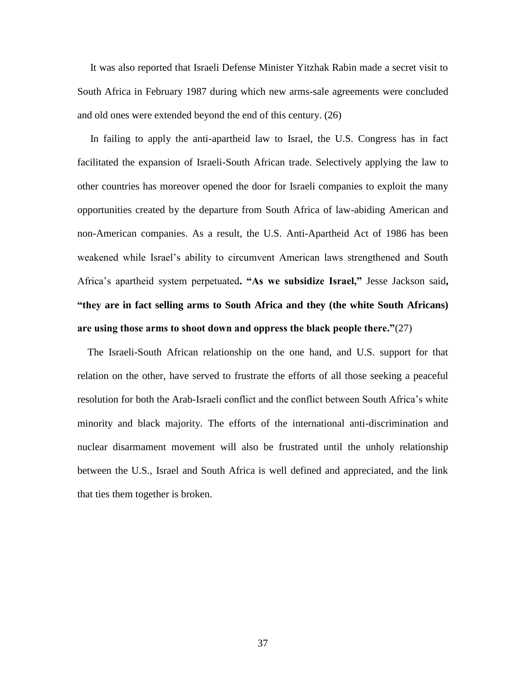It was also reported that Israeli Defense Minister Yitzhak Rabin made a secret visit to South Africa in February 1987 during which new arms-sale agreements were concluded and old ones were extended beyond the end of this century. (26)

 In failing to apply the anti-apartheid law to Israel, the U.S. Congress has in fact facilitated the expansion of Israeli-South African trade. Selectively applying the law to other countries has moreover opened the door for Israeli companies to exploit the many opportunities created by the departure from South Africa of law-abiding American and non-American companies. As a result, the U.S. Anti-Apartheid Act of 1986 has been weakened while Israel's ability to circumvent American laws strengthened and South Africa's apartheid system perpetuated**. "As we subsidize Israel,"** Jesse Jackson said**, "they are in fact selling arms to South Africa and they (the white South Africans) are using those arms to shoot down and oppress the black people there."**(27)

 The Israeli-South African relationship on the one hand, and U.S. support for that relation on the other, have served to frustrate the efforts of all those seeking a peaceful resolution for both the Arab-Israeli conflict and the conflict between South Africa's white minority and black majority. The efforts of the international anti-discrimination and nuclear disarmament movement will also be frustrated until the unholy relationship between the U.S., Israel and South Africa is well defined and appreciated, and the link that ties them together is broken.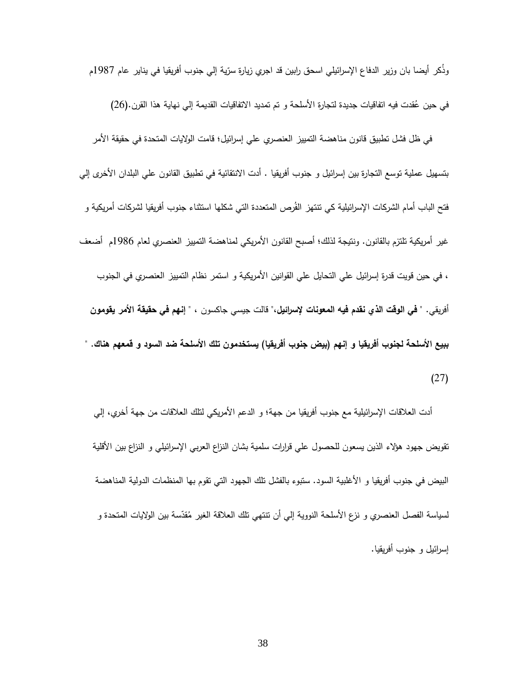وذكر أيضا بان وزير الدفاع الإسرائيلي اسحق رابين قد اجري زيارة سرّية إلي جنوب أفريقيا في يناير عام 1987م

في حين عُقدت فيه اتفاقيات جديدة لتجارة الأسلحة و تم تمديد الاتفاقيات القديمة إلي نهاية هذا القرن.(26)

 في ظل فشل تطبيق قانون مناهضة التمييز العنصري علي إسرائيل؛ قامت الواليات المتحدة في حقيقة األمر بتسهيل عملية توسع التجارة بين إسرائيل و جنوب أفريقيا . أدت االنتقائية في تطبيق القانون علي البلدان األخرى إلي فتح الباب أمام الشركات الإسرائيلية كي تتتهز الفَرص المتعددة التي شكلها استثناء جنوب أفريقيا لشركات أمريكية و غير أمريكية تلتزم بالقانون. ونتيجة لذلك؛ أصبح القانون األمريكي لمناهضة التمييز العنصري لعام 1789م أضعف ، في حين قويت قدرة إسرائيل علي التحايل علي القوانين األمريكية و استمر نظام التمييز العنصري في الجنوب أفريقي. **" في الوقت الذي نقدم فيه المعونات إلسرائيل،"** قالت جيسي جاكسون ، **" إنهم في حقيقة األمر يقومون ببيع األسلحة لجنوب أفريقيا و إنهم )بيض جنوب أفريقيا( يستخدمون تلك األسلحة ضد السود و قمعهم هناك. "**  $(27)$ 

أدت العلاقات الإسرائيلية مع جنوب أفريقيا من جهة؛ و الدعم الأمريكي لنلك العلاقات من جهة أخري، إلي تقويض جهود هؤلاء الذين يسعون للحصول على قرارات سلمية بشان النزاع العربـي الإسرائيلـي و النزاع بين الأقلية البيض في جنوب أفريقيا و األغلبية السود. ستبوء بالفشل تلك الجهود التي تقوم بها المنظمات الدولية المناهضة لسياسة الفصل العنصري و نزع الأسلحة النووية إلي أن تنتهي تلك العلاقة الغير مُقدّسة بين الولايات المتحدة و إسرائيل و جنوب أفريقيا.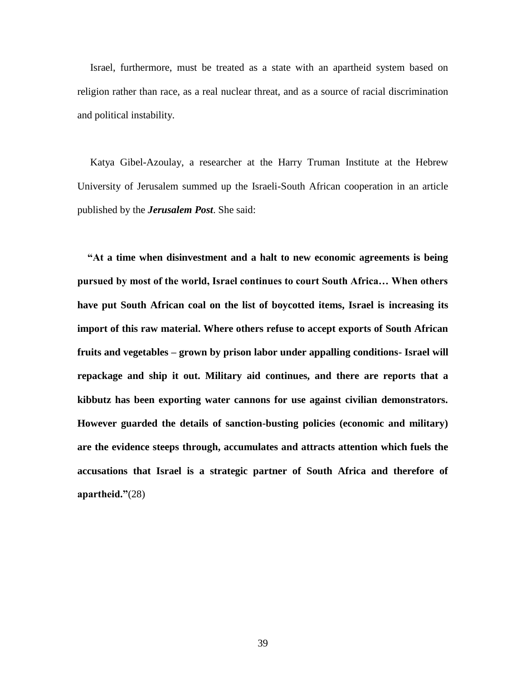Israel, furthermore, must be treated as a state with an apartheid system based on religion rather than race, as a real nuclear threat, and as a source of racial discrimination and political instability.

 Katya Gibel-Azoulay, a researcher at the Harry Truman Institute at the Hebrew University of Jerusalem summed up the Israeli-South African cooperation in an article published by the *Jerusalem Post*. She said:

 **"At a time when disinvestment and a halt to new economic agreements is being pursued by most of the world, Israel continues to court South Africa… When others have put South African coal on the list of boycotted items, Israel is increasing its import of this raw material. Where others refuse to accept exports of South African fruits and vegetables – grown by prison labor under appalling conditions- Israel will repackage and ship it out. Military aid continues, and there are reports that a kibbutz has been exporting water cannons for use against civilian demonstrators. However guarded the details of sanction-busting policies (economic and military) are the evidence steeps through, accumulates and attracts attention which fuels the accusations that Israel is a strategic partner of South Africa and therefore of apartheid."**(28)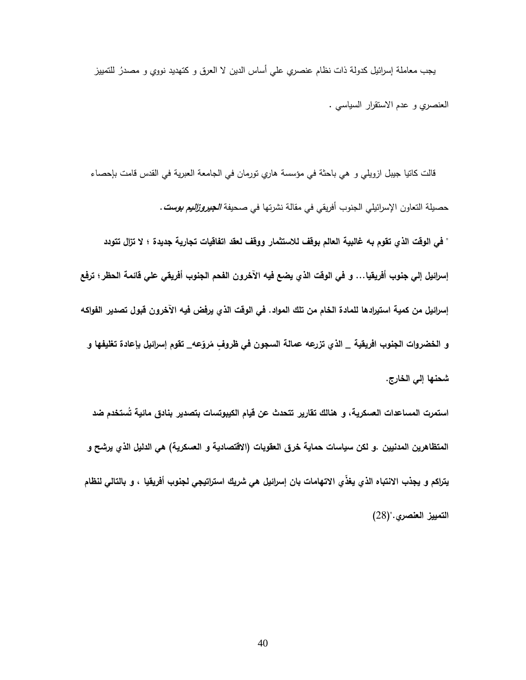يجب معاملة إسرائيل كدولة ذات نظام عنصري علي أساس الدين لا العرق و كتهديد نووي و مصدرُ للتمييز العنصري و عدم االستقرار السياسي .

قالت كاتيا جيبل ازويلي و هي باحثة في مؤسسة هاري تورمان في الجامعة العبرية في القدس قامت بإحصاء حصيلة التعاون اإلسرائيلي الجنوب أفريقي في مقالة نشرتها في صحيفة **الجيروزاليم بوست**. **" في الوقت الذي تقوم به غالبية العالم بوقف لالستثمار ووقف لعقد اتفاقيات تجارية جديدة ؛ ال تزال تتودد إسرائيل إلي جنوب أفريقيا... و في الوقت الذي يضع فيه اآلخرون الفحم الجنوب أفريقي علي قائمة الحظر؛ ترفع إسرائيل من كمية استيرادها للمادة الخام من تلك المواد. في الوقت الذي يرفض فيه اآلخرون قبول تصدير الفواكه**  و الخضروات الجنوب افريقية \_ الذي تزرعه عمالة السجون في ظروفٍ مُروّعه\_ تقوم إسرائيل بإعادة تغليفها و

 **ستخدم ضد استمرت المساعدات العسكرية، و هنالك تقارير تتحدث عن قيام الكيبوتسات بتصدير بنادق مائية ت** المتظاهرين المدنيين .و لكن سياسات حماية خرق العقوبات (الاقتصادية و العسكرية) ه*ي* الدليل الذي يرشح و يتراكم و يجذب الانتباه الذي يغذّي الاتهامات بان إسرائيل هي شريك استراتيجي لجنوب أفريقيا ، و بالتالي لنظام **التمييز العنصري."**)28(

**شحنها إلي الخارج.**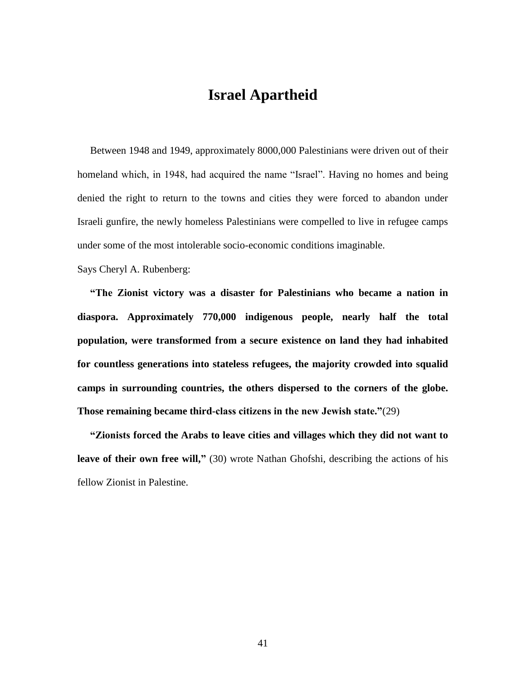## **Israel Apartheid**

 Between 1948 and 1949, approximately 8000,000 Palestinians were driven out of their homeland which, in 1948, had acquired the name "Israel". Having no homes and being denied the right to return to the towns and cities they were forced to abandon under Israeli gunfire, the newly homeless Palestinians were compelled to live in refugee camps under some of the most intolerable socio-economic conditions imaginable.

Says Cheryl A. Rubenberg:

 **"The Zionist victory was a disaster for Palestinians who became a nation in diaspora. Approximately 770,000 indigenous people, nearly half the total population, were transformed from a secure existence on land they had inhabited for countless generations into stateless refugees, the majority crowded into squalid camps in surrounding countries, the others dispersed to the corners of the globe. Those remaining became third-class citizens in the new Jewish state."**(29)

 **"Zionists forced the Arabs to leave cities and villages which they did not want to leave of their own free will,"** (30) wrote Nathan Ghofshi, describing the actions of his fellow Zionist in Palestine.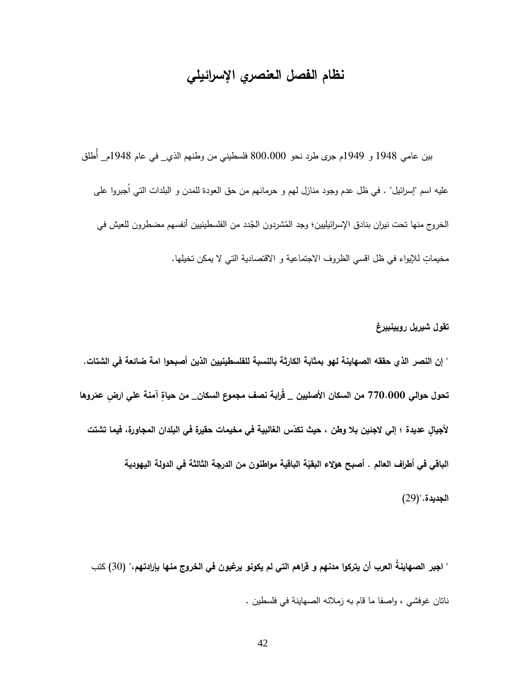## **نظام الفصل العنصري اإلسرائيلي**

 بين عامي 1798 و 1797م جر ى طرد نحو 811.111 فلسطيني من وطنهم الذي\_ في عام 1798م\_ أُطلق عليه اسم "إسرائيل" . في ظل عدم وجود منازل لهم و حرمانهم من حق العودة للمدن و البلدات التي اُجبروا على الخروج منها تحت نيران بنادق الإسرائيليين؛ وجد المُشردون الجُدد من الفلسطينيين أنفسهم مضطرون للعيش في مخيماتٍ للإيواء في ظل اقسي الظروف الاجتماعية و الاقتصادية التي لا يمكن تخيلها.

**تقول شيريل روبينبيرغ " إن النصر الذي حققه الصهاينة لهو بمثابة الكارثة بالنسبة للفلسطينيين الذين أصبحوا امة ضائعة في الشتات. تحول حوالي 114.444 روها ّ آمنة علي ار ٍض عم من السكان األصليين \_ ق اربة نصف مجموع السكان\_ من حياةٍ** لأجيالٍ عديدة ؛ إلى لاجئين بلا وطن ، حيث تكدّس الغالبية في مخيمات حقيرة في البلدان المجاورة، فيما تشتت **الباقي في أطراف العالم . أ ة الباقية مواطنون من الدرجة الثالثة في الدولة اليهودية ّ صبح هؤالء البقي الجديدة.")**27(

**" اجبر الصهاين ة العرب أن يتركوا مدنهم و ق ارهم التي لم يكونو يرغبون في الخروج منها بإرادتهم،"** )11( كتب ناتان غوفشي ، واصفا ما قام به زمالئه الصهاينة في فلسطين .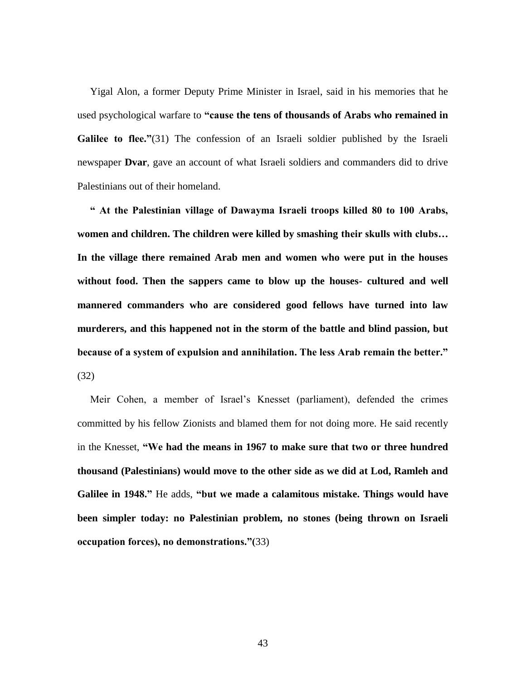Yigal Alon, a former Deputy Prime Minister in Israel, said in his memories that he used psychological warfare to **"cause the tens of thousands of Arabs who remained in Galilee to flee.**"(31) The confession of an Israeli soldier published by the Israeli newspaper **Dvar**, gave an account of what Israeli soldiers and commanders did to drive Palestinians out of their homeland.

 **" At the Palestinian village of Dawayma Israeli troops killed 80 to 100 Arabs, women and children. The children were killed by smashing their skulls with clubs… In the village there remained Arab men and women who were put in the houses without food. Then the sappers came to blow up the houses- cultured and well mannered commanders who are considered good fellows have turned into law murderers, and this happened not in the storm of the battle and blind passion, but because of a system of expulsion and annihilation. The less Arab remain the better."** (32)

 Meir Cohen, a member of Israel's Knesset (parliament), defended the crimes committed by his fellow Zionists and blamed them for not doing more. He said recently in the Knesset, **"We had the means in 1967 to make sure that two or three hundred thousand (Palestinians) would move to the other side as we did at Lod, Ramleh and Galilee in 1948."** He adds, **"but we made a calamitous mistake. Things would have been simpler today: no Palestinian problem, no stones (being thrown on Israeli occupation forces), no demonstrations."(**33)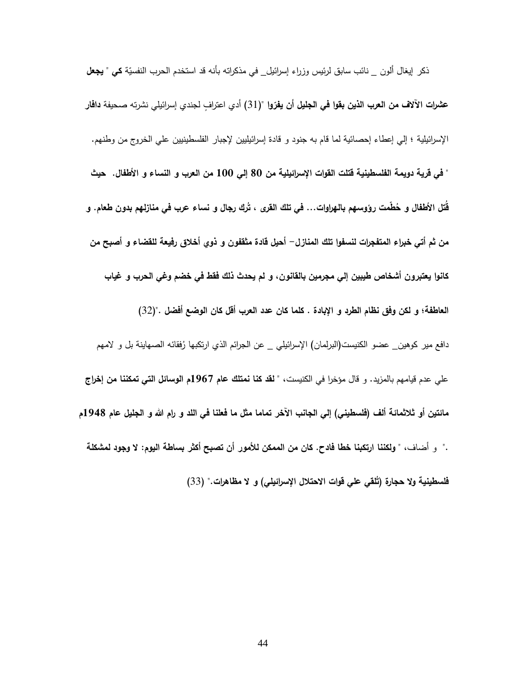ذكر إيغال ألون \_ نائب سابق لرئيس وزراء إسرائيل\_ في مذكراته بأنه قد استخدم الحرب النفسيّة **كي " يجعل** عشرات الآلاف من العرب ا<mark>لذين بقوا في الجليل أن يفرّوا</mark> "(31) أدي اعترافٍ لجندي إسرائيلي نشرته صحيفة **دافا**ر اإلسرائيلية ؛ إلي إعطاء إحصائية لما قام به جنود و قادة إسرائيليين إلجبار الفلسطينيين علي الخروج من وطنهم. **" في قرية دويمة الفلسطينية قتلت القوات اإلسرائيلية من 04 إلي 744 من العرب و النساء و األطفال. حيث**  قتل الأطفال و حُطمت رؤوسهم بالـهراوات… في تلك القرى ، تَرك رجال و نساء عرب في منازلـهم بدون طعام. و **من ثم أتي خبراء المتفجرات لنسفوا تلك المنازل- أحيل قادة مثقفون و ذوي أخالق رفيعة للقضاء و أصبح من كانوا يعتبرون أشخاص طيبين إلي مجرمين بالقانون، و لم يحدث ذلك فقط في خضم وغي الحرب و غياب العاطفة؛ و لكن وفق نظام الطرد و اإلبادة . كلما كان عدد العرب أقل كان الوضع أفضل .")**12**(** دافع مير كوهين\_ عضو الكنيست(البرلمان) الإسرائيلي \_ عن الجرائم الذي ارتكبها رُفقائه الصمهاينة بل و لامهم علي عدم قيامهم بالمزيد. و قال مؤخرا في الكنيست، **" لقد كنا نمتلك عام 7691م الوسائل التي تمكننا من إخراج**  مائتين أو ثلاثمائة ألف (فلسطين*ي)* إلى الجانب الآخر تماما مثل ما فعلنا ف*ي* اللد و رام الله و الجليل عام 1948م ." و أضاف، " **ولكننا ارتكبنا خطا فادح. كان من الممكن لألمور أن تصبح أكثر بساطة اليوم: ال وجود لمشكلة لقي علي قوات االحتالل اإلس ارئيلي( و ال مظاه ارت." فلسطينية وال حجارة )ت** )11(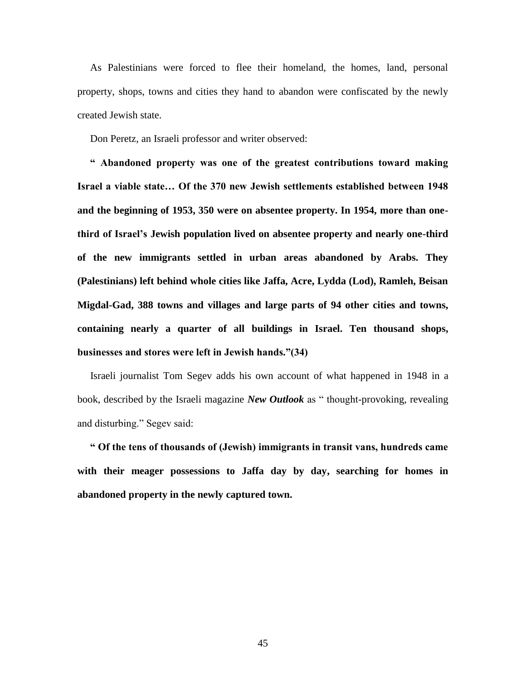As Palestinians were forced to flee their homeland, the homes, land, personal property, shops, towns and cities they hand to abandon were confiscated by the newly created Jewish state.

Don Peretz, an Israeli professor and writer observed:

 **" Abandoned property was one of the greatest contributions toward making Israel a viable state… Of the 370 new Jewish settlements established between 1948 and the beginning of 1953, 350 were on absentee property. In 1954, more than onethird of Israel's Jewish population lived on absentee property and nearly one-third of the new immigrants settled in urban areas abandoned by Arabs. They (Palestinians) left behind whole cities like Jaffa, Acre, Lydda (Lod), Ramleh, Beisan Migdal-Gad, 388 towns and villages and large parts of 94 other cities and towns, containing nearly a quarter of all buildings in Israel. Ten thousand shops, businesses and stores were left in Jewish hands."(34)**

 Israeli journalist Tom Segev adds his own account of what happened in 1948 in a book, described by the Israeli magazine *New Outlook* as " thought-provoking, revealing and disturbing." Segev said:

 **" Of the tens of thousands of (Jewish) immigrants in transit vans, hundreds came with their meager possessions to Jaffa day by day, searching for homes in abandoned property in the newly captured town.**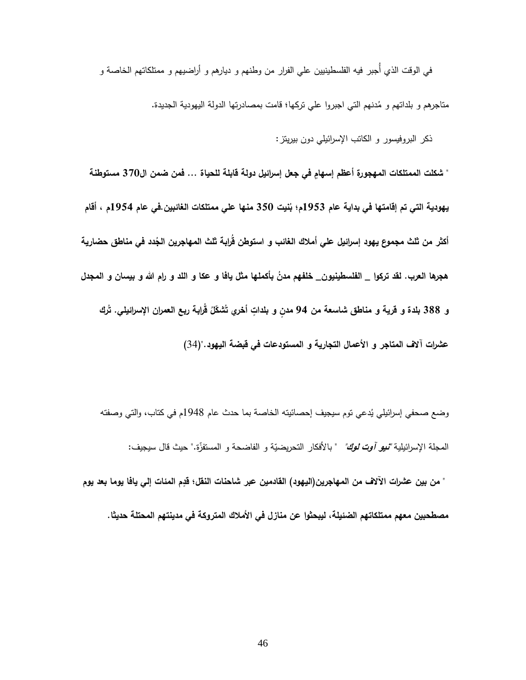في الوقت الذي أُجبر فيه الفلسطينيين علي الفرار من وطنهم و ديارهم و أراضيهم و ممتلكاتهم الخاصة و

متاجرهم و بلداتهم و مُدنهم التي اجبروا علي تركها؛ قامت بمصادرتها الدولة اليهودية الجديدة.

ذكر البروفيسور و الكاتب اإلسرائيلي دون بيريتز:

" شكلت الممتلكات المهجورة أعظم إسهامٍ في جعل إسرائيل دولة قابلة للحياة … فمن ضمن ال370 مستوطنة **يهودية التي تم إقامتها في بداية عام 7650 نيت م؛ ب 054 منها علي ممتلكات الغائبين.في عام 7654م ، أقام**  أكثر من ثلث مجموع يهود إسرائيل علي أملاك الغائب و استوطن قرابة ثلث المهاجرين الجُدد في مناطق حضارية هجرها العرب. لقد تركوا \_ الفلسطينيون\_ خلفهم مدنٌ بأكملها مثّل يافًا و عكا و اللّد و رام الله و بيسان و المجدل و 388 بلدة و قرية و مناطق شاسعة من 94 مدنٍ و بلداتٍ أخرىِ تُشكّلُ قُرابة ربع العمران الإسرائيلي. تُرك **عشرات آالف المتاجر و األعمال التجارية و المستودعات في قبضة اليهود."**)19(

وضع صحفي إسرائيلي يُدعي توم سيجيف إحصائيته الخاصة بما حدث عام 1948م في كتاب، والتي وصفته المجلة الإسرائيلية *"نيو آوت لوك"* " بالأفكار النحريضيّة و الفاضحة و المستفزّة." حيث قال سيجيف:<br>-

**ف من المهاجرين)اليهود( القادمين عبر شاحنات النقل؛ قدٍ " من بين عشرات اآلال م المئات إلي يافا يوما بعد يوم** مصطحبين معهم ممتلكاتهم الضئيلة، ليبحثوا عن منازل في الأملاك المتروكة في مدينتهم المحتلة حديثا.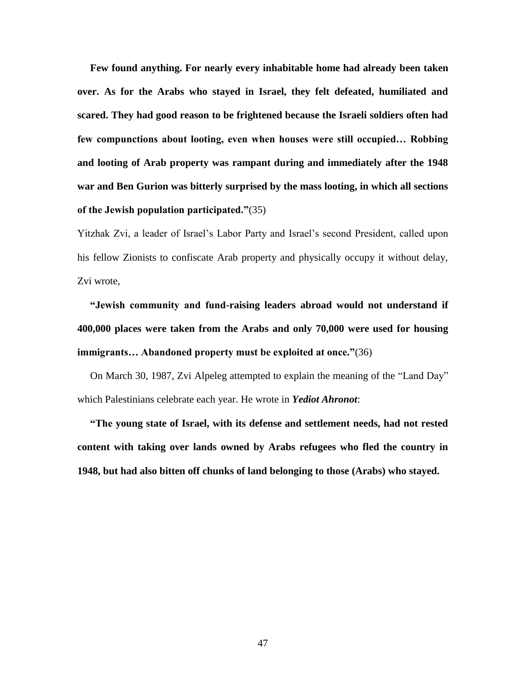**Few found anything. For nearly every inhabitable home had already been taken over. As for the Arabs who stayed in Israel, they felt defeated, humiliated and scared. They had good reason to be frightened because the Israeli soldiers often had few compunctions about looting, even when houses were still occupied… Robbing and looting of Arab property was rampant during and immediately after the 1948 war and Ben Gurion was bitterly surprised by the mass looting, in which all sections of the Jewish population participated."**(35)

Yitzhak Zvi, a leader of Israel's Labor Party and Israel's second President, called upon his fellow Zionists to confiscate Arab property and physically occupy it without delay, Zvi wrote,

 **"Jewish community and fund-raising leaders abroad would not understand if 400,000 places were taken from the Arabs and only 70,000 were used for housing immigrants… Abandoned property must be exploited at once."**(36)

 On March 30, 1987, Zvi Alpeleg attempted to explain the meaning of the "Land Day" which Palestinians celebrate each year. He wrote in *Yediot Ahronot*:

 **"The young state of Israel, with its defense and settlement needs, had not rested content with taking over lands owned by Arabs refugees who fled the country in 1948, but had also bitten off chunks of land belonging to those (Arabs) who stayed.**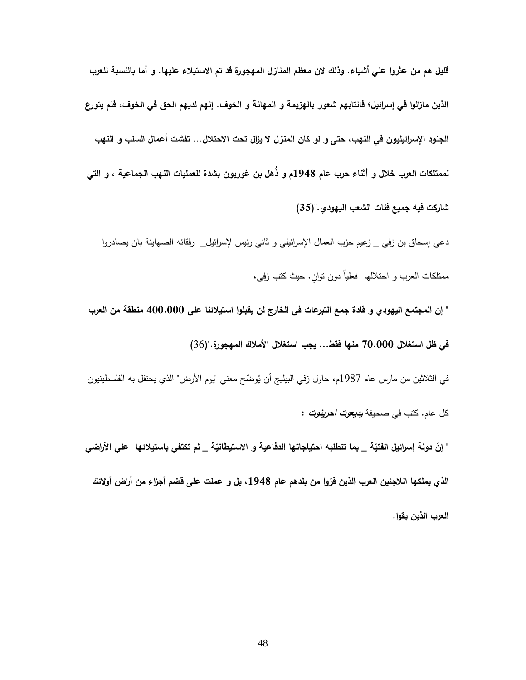**قليل هم من عثروا علي أشياء. وذلك الن معظم المنازل المهجورة قد تم االستيالء عليها. و أما بالنسبة للعرب الذين مازالوا في إسرائيل؛ فانتابهم شعور بالهزيمة و المهانة و الخوف. إنهم لديهم الحق في الخوف، فلم يتورع الجنود اإلسرائيليون في النهب، حتى و لو كان المنزل ال يزال تحت االحتالل... تفشت أعمال السلب و النهب لممتلكات العرب خالل و أثناء حرب عام 7640م و ذهل بن غوريون بشدة للعمليات النهب الجماعية ، و التي شاركت فيه جميع فئات الشعب اليهودي.")05(** 

دعي إسحاق بن زفي \_ زعيم حزب العمال اإلسرائيلي و ثاني رئيس إلسرائيل\_ رفقائه الصهاينة بان يصادروا ممتلكات العرب و احتلالها ً فعلياً دون توان. حيث كتب زفي،

**" إن المجتمع اليهودي و قادة جمع التبرعات في الخارج لن يقبلوا استيالئنا علي 444.444 منطقة من العرب** 

**في ظل استغالل 14.444 منها فقط... يجب استغالل األمالك المهجورة.")**19(

في الثلاثين من مارس عام 1987م، حاول زفي البيليج أن يُوضّح معني "يوم الأرض" الذي يحتفل به الفلسطينيون كل عام. كتب في صحيفة **يديعوت احرينوت** :

" إنّ دولة إسرائيل الفتيّة \_ بما تتطلبه احتياجاتها الدفاعية و الاستيطانيّة \_ لم تكتفي باستيلائها \_ علي الأراضي الذي يملكها اللاجئين العرب الذين فرّوا من بلدهم عام 1948، بل و عملت على قضم أجزاء من أراض أولائك **العرب الذين بقوا.**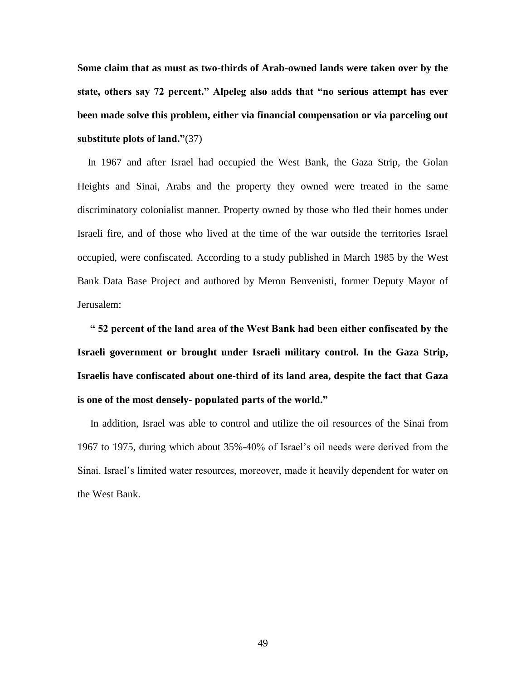**Some claim that as must as two-thirds of Arab-owned lands were taken over by the state, others say 72 percent." Alpeleg also adds that "no serious attempt has ever been made solve this problem, either via financial compensation or via parceling out substitute plots of land."**(37)

 In 1967 and after Israel had occupied the West Bank, the Gaza Strip, the Golan Heights and Sinai, Arabs and the property they owned were treated in the same discriminatory colonialist manner. Property owned by those who fled their homes under Israeli fire, and of those who lived at the time of the war outside the territories Israel occupied, were confiscated. According to a study published in March 1985 by the West Bank Data Base Project and authored by Meron Benvenisti, former Deputy Mayor of Jerusalem:

 **" 52 percent of the land area of the West Bank had been either confiscated by the Israeli government or brought under Israeli military control. In the Gaza Strip, Israelis have confiscated about one-third of its land area, despite the fact that Gaza is one of the most densely- populated parts of the world."**

 In addition, Israel was able to control and utilize the oil resources of the Sinai from 1967 to 1975, during which about 35%-40% of Israel's oil needs were derived from the Sinai. Israel's limited water resources, moreover, made it heavily dependent for water on the West Bank.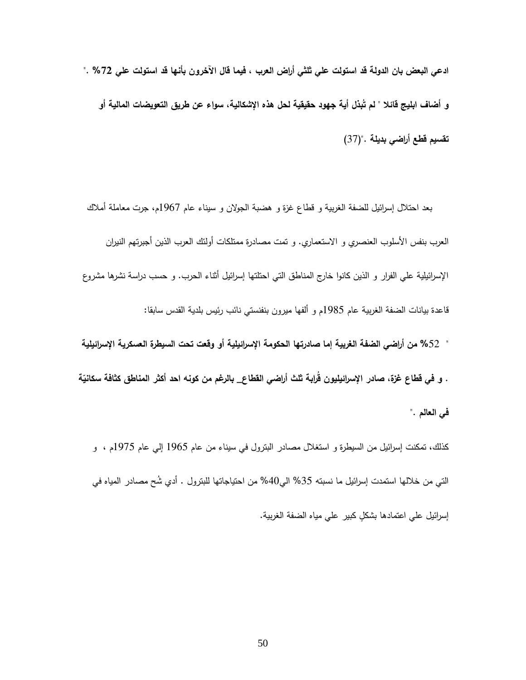**ادعي البعض بان الدولة قد استولت علي ثلثي أراض العرب ، فيما قال اآلخرون بأنها قد استولت علي %17 ."**  و أضاف ابليج قائلا " لم تَبذل أية جهود حقيقية لحل هذه الإشكالية، سواء عن طريق التعويضات المالية أو **تقسيم قطع أراضي بديلة .")**19**(**

 بعد احتالل إسرائيل للضفة الغربية و قطاع غزة و هضبة الجوالن و سيناء عام 1799م، جرت معاملة أمالك العرب بنفس الأسلوب العنصري و الاستعماري. و تمت مصادرة ممتلكات أولئك العرب الذين أجبرتهم النيران اإلسرائيلية علي الفرار و الذين كانوا خارج المناطق التي احتلتها إسرائيل أثناء الحرب. و حسب دراسة نشرها مشروع قاعدة بيانات الضفة الغربية عام 1789م و ألفها ميرون بنفنستي نائب رئيس بلدية القدس سابقا: " **%**92 **من أراضي الضفة الغربية إما صادرتها الحكومة اإلسرائيلية أو وقعت تحت السيطرة العسكرية اإلسرائيلية** 

. و في قطاع غزة، صادر الإسرائيليون قرابة ثلث أراضي القطاع\_ بالرغم من كونـه احد أكثر المناطق كثافة سكانيّة **في العالم .**"

كذلك، تمكنت إسرائيل من السيطرة و استغالل مصادر البترول في سيناء من عام 1799 إلي عام 1799م ، و التي من خلالها استمدت إسرائيل ما نسبته 35% المي40% من احتياجاتها للبترول . أدي شُح مصادر المياه في إسرائيل على اعتمادها بشكل كبير على مياه الضفة الغربية.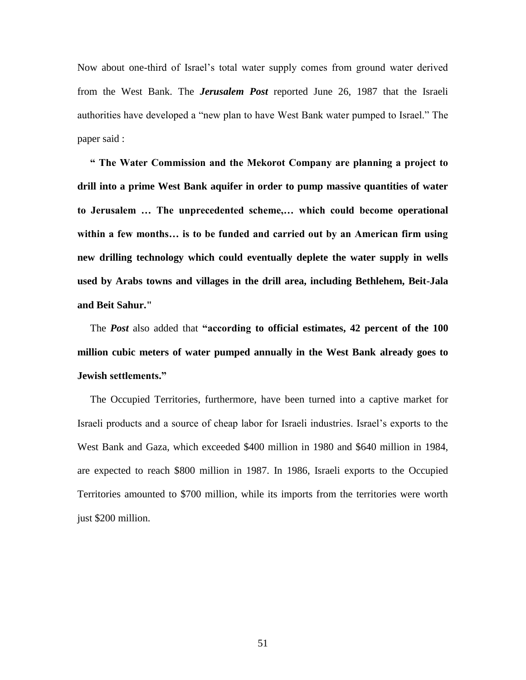Now about one-third of Israel's total water supply comes from ground water derived from the West Bank. The *Jerusalem Post* reported June 26, 1987 that the Israeli authorities have developed a "new plan to have West Bank water pumped to Israel." The paper said :

 **" The Water Commission and the Mekorot Company are planning a project to drill into a prime West Bank aquifer in order to pump massive quantities of water to Jerusalem … The unprecedented scheme,… which could become operational within a few months… is to be funded and carried out by an American firm using new drilling technology which could eventually deplete the water supply in wells used by Arabs towns and villages in the drill area, including Bethlehem, Beit-Jala and Beit Sahur."**

 The *Post* also added that **"according to official estimates, 42 percent of the 100 million cubic meters of water pumped annually in the West Bank already goes to Jewish settlements."**

 The Occupied Territories, furthermore, have been turned into a captive market for Israeli products and a source of cheap labor for Israeli industries. Israel's exports to the West Bank and Gaza, which exceeded \$400 million in 1980 and \$640 million in 1984, are expected to reach \$800 million in 1987. In 1986, Israeli exports to the Occupied Territories amounted to \$700 million, while its imports from the territories were worth just \$200 million.

51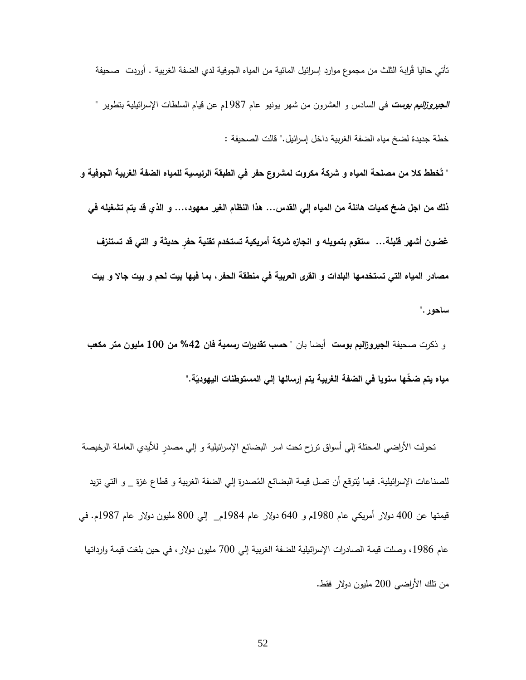نأتي حاليا قُرابة النُّلث من مجموع موارد إسرائيل المائية من المياه الجوفية لدي الضفة الغربية . أوردت صحيفة **الجيروزاليم بوست** في السادس و العشرون من شهر يونيو عام 1789م عن قيام السلطات اإلسرائيلية بتطوير " خطة جديدة لضخ مياه الضفة الغربية داخل إسرائيل." قالت الصحيفة :

" تَخطط كلا من مصلحة المياه و شركة مكروت لمشروع حفر في الطبقة الرئيسية للمياه الضفة الغربية الجوفية و **ذلك من اجل ضخ كميات هائلة من المياه إلي القدس... هذا النظام الغير معهود...، و الذي قد يتم تشغيله في غضون أشهر قليلة... ستقوم بتمويله و انجازه شركة أمريكية تستخدم تقنية حفٍر حديثة و التي قد تستنزف مصادر المياه التي تستخدمها البلدات و القرى العربية في منطقة الحفر، بما فيها بيت لحم و بيت جاال و بيت ساحور."**

و ذكرت صحيفة **الجيروزاليم بوست** أيضا بان **" حسب تقديرات رسمية فان %47 من 744 مليون متر مكعب ة." ّ مياه يتم ض ّخها سنويا في الضفة الغربية يتم إرسالها إلي المستوطنات اليهودي**

تحولت الأراضي المحتلة إلي أسواق ترزح تحت اسر البضائع الإسرائيلية و إلي مصدرٍ للأيدي العاملة الرخيصة للصناعات الإسرائيلية. فيما يُتوقع أن تصل قيمة البضائع المُصدرة إلي الضفة الغربية و قطاع غزة \_ و التي تزيد<br>-قيمتها عن 911 دوالر أمريكي عام 1781م و 991 دوالر عام 1789م\_ إلي 811 مليون دوالر عام 1789م. في عام 1986، وصلت قيمة الصادرات الإسرائيلية للضفة الغربية إلى 700 مليون دولار ، في حين بلغت قيمة وارداتها من تلك الأراضـي 200 مليون دولار فقط.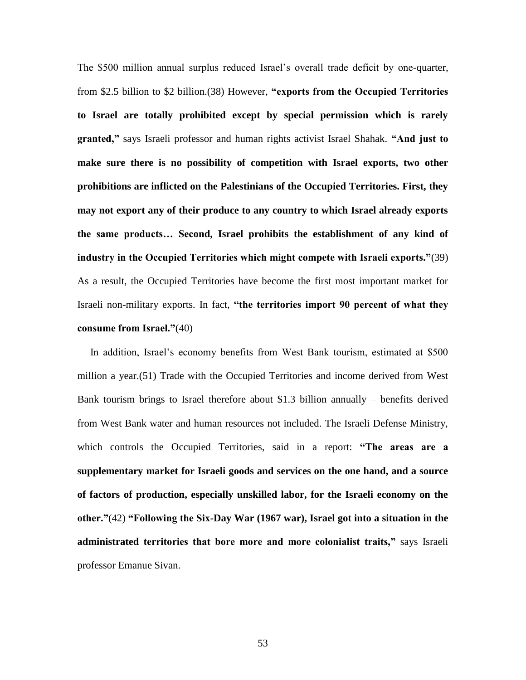The \$500 million annual surplus reduced Israel's overall trade deficit by one-quarter, from \$2.5 billion to \$2 billion.(38) However, **"exports from the Occupied Territories to Israel are totally prohibited except by special permission which is rarely granted,"** says Israeli professor and human rights activist Israel Shahak. **"And just to make sure there is no possibility of competition with Israel exports, two other prohibitions are inflicted on the Palestinians of the Occupied Territories. First, they may not export any of their produce to any country to which Israel already exports the same products… Second, Israel prohibits the establishment of any kind of industry in the Occupied Territories which might compete with Israeli exports."**(39) As a result, the Occupied Territories have become the first most important market for Israeli non-military exports. In fact, **"the territories import 90 percent of what they consume from Israel."**(40)

 In addition, Israel's economy benefits from West Bank tourism, estimated at \$500 million a year.(51) Trade with the Occupied Territories and income derived from West Bank tourism brings to Israel therefore about \$1.3 billion annually – benefits derived from West Bank water and human resources not included. The Israeli Defense Ministry, which controls the Occupied Territories, said in a report: **"The areas are a supplementary market for Israeli goods and services on the one hand, and a source of factors of production, especially unskilled labor, for the Israeli economy on the other."**(42) **"Following the Six-Day War (1967 war), Israel got into a situation in the administrated territories that bore more and more colonialist traits,"** says Israeli professor Emanue Sivan.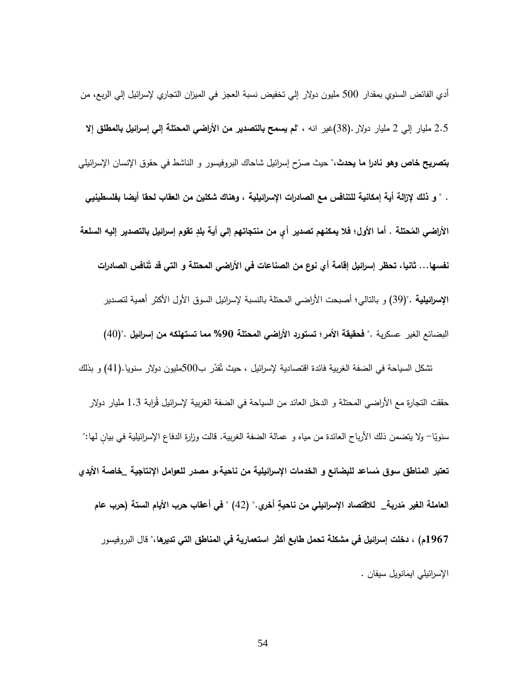أدي الفائض السنوي بمقدار 911 مليون دوالر إلي تخفيض نسبة العجز في الميزان التجاري إلسرائيل إلي الربع، من 2.9 مليار إلي 2 مليار دوالر.)18(غير انه ، **"لم يسمح بالتصدير من األراضي المحتلة إلي إسرائيل بالمطلق إال بتصريح خاص وهو نادرا ما يحدث**،" حيث صرّح إسرائيل شاحاك البروفيسور و الناشط ف*ي* حقوق الإنسان الإسرائيلي . **" و ذلك إلزالة أية إمكانية للتنافس مع الصادرات اإلسرائيلية ، وهناك شكلين من العقاب لحقا أيضا بفلسطينيي**  الأراضي المُحتلة . أما الأول؛ فلا يمكنهم تصدير أيٍ من منتجاتهم إلي أية بلدٍ تقوم إسرائيل بالتصدير إليه السلعة نفسها… ثانيا، تحظر إسرائيل إقامة أي نوع من الصناعات في الأراض*ي* المحتلة و التي قد تَنافس الصادرات **اإلسرائيلية .")**17( و بالتالي؛ أصبحت األراضي المحتلة بالنسبة إلسرائيل السوق األول األكثر أهمية لتصدير البضائع الغير عسكرية .**" فحقيقة األمر؛ تستورد األراضي المحتلة %64 مما تستهلكه من إسرائيل .")**91( تشكل السياحة في الضفة الغربية فائدة اقتصادية لإسرائيل ، حيث تُقدّر ب500مليون دولار سنويا.(41) و بذلك حققت التجارة مع الأراضـي المحتلة و الدخل الـعائد من السياحة في الضفة الـغربية لإسرائيل قُرابـة 1.3 مليار دولار سنويّا– ولا يتضمن ذلك الأرباح العائدة من مياه و عمالة الضفة الغربية. قالت وزارة الدفاع الإسرائيلية في بيانٍ لمها:"  **ساعد للبضائع و الخد تعتبر المناطق سوق م مات اإلسرائيلية من ناحية،و مصدر للعوامل اإلنتاجية \_خاصة األيدي**  العاملة الغير مُدربة\_ للاقتصاد الإسرائيل*ي* من ناحيةٍ أخري." (42) " في أعقاب حرب الأيام الستة (حرب عام **7691م( ، دخلت إسرائيل في مشكلة تحمل طابع أكثر استعمارية في المناطق التي تديرها،**" قال البروفيسور اإلسرائيلي ايمانويل سيفان .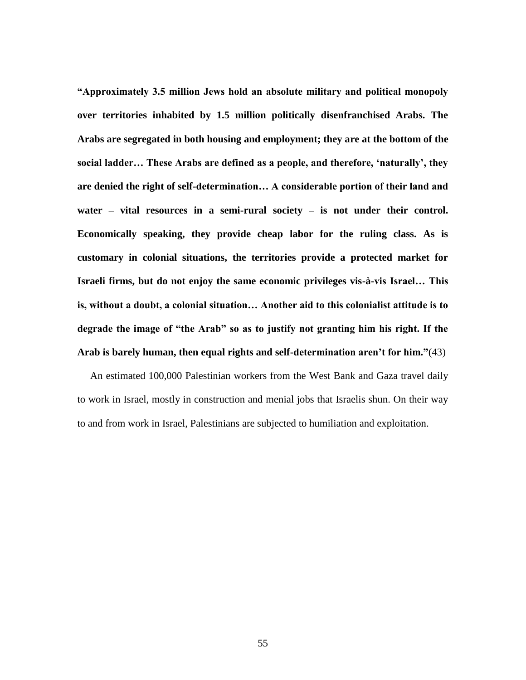**"Approximately 3.5 million Jews hold an absolute military and political monopoly over territories inhabited by 1.5 million politically disenfranchised Arabs. The Arabs are segregated in both housing and employment; they are at the bottom of the social ladder… These Arabs are defined as a people, and therefore, 'naturally', they are denied the right of self-determination… A considerable portion of their land and water – vital resources in a semi-rural society – is not under their control. Economically speaking, they provide cheap labor for the ruling class. As is customary in colonial situations, the territories provide a protected market for Israeli firms, but do not enjoy the same economic privileges vis-à-vis Israel… This is, without a doubt, a colonial situation… Another aid to this colonialist attitude is to degrade the image of "the Arab" so as to justify not granting him his right. If the Arab is barely human, then equal rights and self-determination aren't for him."**(43)

 An estimated 100,000 Palestinian workers from the West Bank and Gaza travel daily to work in Israel, mostly in construction and menial jobs that Israelis shun. On their way to and from work in Israel, Palestinians are subjected to humiliation and exploitation.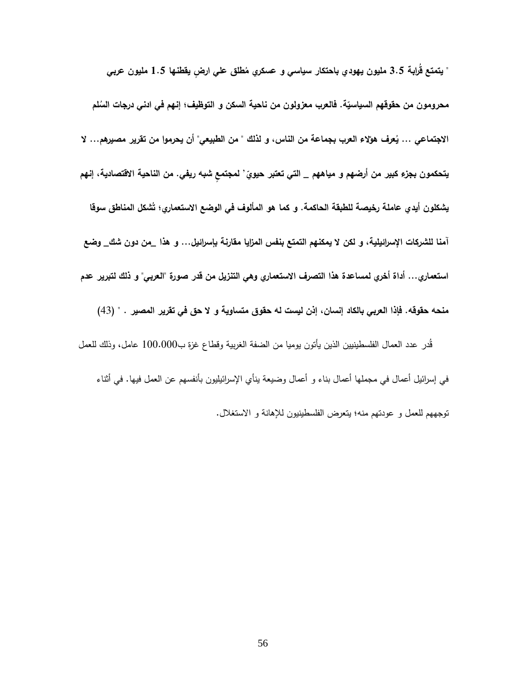" يتمتع قُرابة 3.5 مليون يهودي باحتكار سياسي و عسكري مُطلق علي ارضٍ يقطنـها 1.5 مليون عربي محرومون من حقوقهم السياسيّة. فالعرب معزولون من ناحية السكن و التوظيف؛ إنـهم في ادني درجات السُلم الاجتماع*ي* ... يُعرف هؤلاء العرب بجماعة من الناس، و لذلك " من الطبيعي" أن يحرموا من تقرير مصيرهم... لا يتحكمون بجزءِ كبير من أرضهم و مياههم \_ التي تعتبر حيويٍّ ' لمجتمعٍ شبه ريفي. من الناحية الاقتصادية، إنهم يشكلون أيدي عاملة رخيصة للطبقة الحاكمة. و كما هو المألوف في الوضع الاستع*م*اري؛ تَشكل المناطق سوقا **آمنا للشركات اإلسرائيلية، و لكن ال يمكنهم التمتع بنفس المزايا مقارنة بإسرائيل... و هذا \_من دون شك\_ وضع استعماري... أداة أخري لمساعدة هذا التصرف االستعماري وهي التنزيل من قدر صورة "العربي" و ذلك لتبرير عدم منحه حقوقه. فإذا العربي بالكاد إنسان، إذن ليست له حقوق متساوية و ال حق في تقرير المصير . "** )91( قُدر عدد العمال الفلسطينيين الذين يأتون يوميا من الضفة الغربية وقطاع غزة ب100.000 عامل، وذلك للعمل في إسرائيل أعمال في مجملها أعمال بناء و أعمال وضيعة ينأي اإلسرائيليون بأنفسهم عن العمل فيها. في أثناء

توجههم للعمل و عودتهم منه؛ يتعرض الفلسطينيون لإلهانة و االستغالل.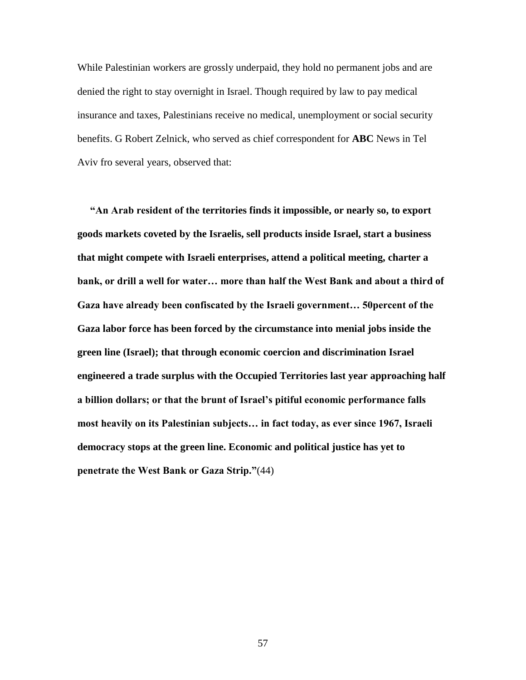While Palestinian workers are grossly underpaid, they hold no permanent jobs and are denied the right to stay overnight in Israel. Though required by law to pay medical insurance and taxes, Palestinians receive no medical, unemployment or social security benefits. G Robert Zelnick, who served as chief correspondent for **ABC** News in Tel Aviv fro several years, observed that:

 **"An Arab resident of the territories finds it impossible, or nearly so, to export goods markets coveted by the Israelis, sell products inside Israel, start a business that might compete with Israeli enterprises, attend a political meeting, charter a bank, or drill a well for water… more than half the West Bank and about a third of Gaza have already been confiscated by the Israeli government… 50percent of the Gaza labor force has been forced by the circumstance into menial jobs inside the green line (Israel); that through economic coercion and discrimination Israel engineered a trade surplus with the Occupied Territories last year approaching half a billion dollars; or that the brunt of Israel's pitiful economic performance falls most heavily on its Palestinian subjects… in fact today, as ever since 1967, Israeli democracy stops at the green line. Economic and political justice has yet to penetrate the West Bank or Gaza Strip."**(44)

57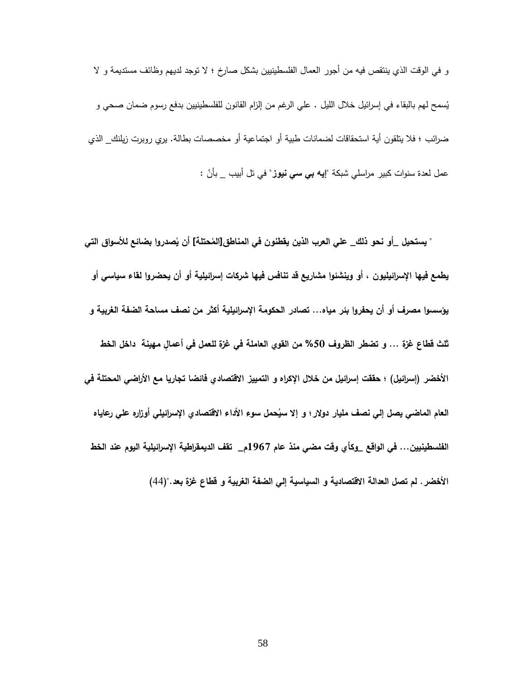و في الوقت الذي ينتقص فيه من أجور العمال الفلسطينيين بشكل صارخ ؛ ال توجد لديهم وظائف مستديمة و ال يُسمح لهم بالبقاء في إسرائيل خلال الليل . علي الرغم من إلزام القانون للفلسطينيين بدفع رسوم ضمان صحي و ضرائب ؛ فال يتلقون أية استحقاقات لضمانات طبية أو اجتماعية أو مخصصات بطالة. يري روبرت زيلنك\_ الذي عمل لعدة سنوات كبير مراسلي شبكة "إ**يه ب***ي سي* **نيوز** " في تل أبيب \_ بأنّ :<br>.

" يستحيل \_أو نحو ذلك\_ علي العرب الذين يقطنون في المناطق[المُحتلة] أن يُصدروا بضائع للأسواق التي **يطمع فيها اإلسرائيليون ، أو وينشئوا مشاريع قد تنافس فيها شركات إسرائيلية أو أن يحضروا لقاء سياسي أو يؤسسوا مصرف أو أن يحفروا بئر مياه... تصادر الحكومة اإلسرائيلية أكثر من نصف مساحة الضفة الغربية و ثلث قطاع غزة ... و تضطر الظروف %54 من القوي العاملة في غزة للعمل في أعماٍل مهينة داخل الخط األخضر )إسرائيل( ؛ حققت إسرائيل من خالل اإلكراه و التمييز االقتصادي فائضا تجاريا مع األراضي المحتلة في حمل سوء العام الماضي يصل إلي نصف مليار دوالر؛ و إال سي األداء االقتصادي اإلسرائيلي أوزاره علي رعاياه الفلسطينيين... في الواقع \_وكأي وقت مضي منذ عام 7691م\_ تقف الديمقراطية اإلسرائيلية اليوم عند الخط األخضر. لم تصل العدالة االقتصادية و السياسية إلي الضفة الغربية و قطاع غزة بعد.")**99(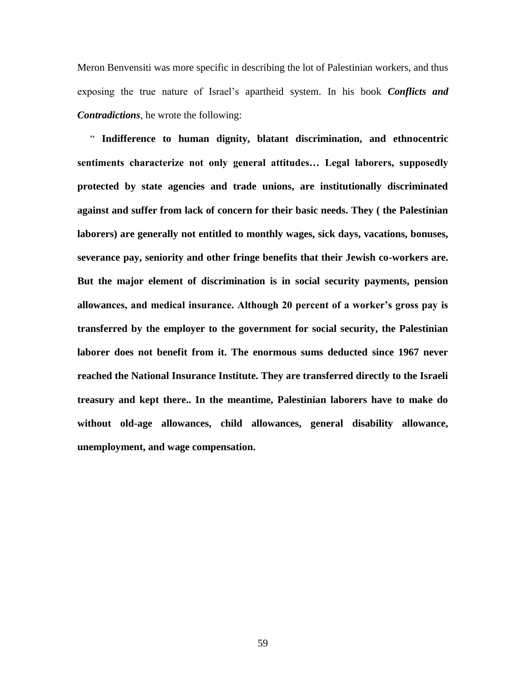Meron Benvensiti was more specific in describing the lot of Palestinian workers, and thus exposing the true nature of Israel's apartheid system. In his book *Conflicts and Contradictions*, he wrote the following:

 " **Indifference to human dignity, blatant discrimination, and ethnocentric sentiments characterize not only general attitudes… Legal laborers, supposedly protected by state agencies and trade unions, are institutionally discriminated against and suffer from lack of concern for their basic needs. They ( the Palestinian laborers) are generally not entitled to monthly wages, sick days, vacations, bonuses, severance pay, seniority and other fringe benefits that their Jewish co-workers are. But the major element of discrimination is in social security payments, pension allowances, and medical insurance. Although 20 percent of a worker's gross pay is transferred by the employer to the government for social security, the Palestinian laborer does not benefit from it. The enormous sums deducted since 1967 never reached the National Insurance Institute. They are transferred directly to the Israeli treasury and kept there.. In the meantime, Palestinian laborers have to make do without old-age allowances, child allowances, general disability allowance, unemployment, and wage compensation.**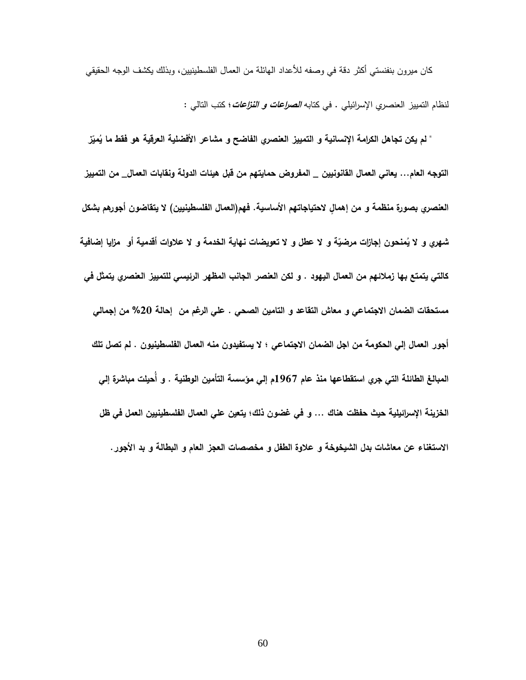كان ميرون بنفنستي أكثر دقة في وصفه لألعداد الهائلة من العمال الفلسطينيين، وبذلك يكشف الوجه الحقيقي لنظام التمييز العنصري اإلسرائيلي . في كتابه **الصراعات و النزاعات**؛ كتب التالي :

 **" لم يكن تجاهل الكرامة اإلنسانية و التمييز العنصري الفاضح و مشاعر األفض ز ّ مي لية العرقية هو فقط ما ي التوجه العام... يعاني العمال القانونيين \_ المفروض حمايتهم من قبل هيئات الدولة ونقابات العمال\_ من التمييز العنصري بصورة منظمة و من إهماٍل الحتياجاتهم األساسية. فهم)العمال الفلسطينيين( ال يتقاضون أجورهم بشكل منحون إجا ّ شهري و ال ي ة و ال ازت مرضي عطل و ال تعويضات نهاية الخدمة و ال عالوات أقدمية أو مزايا إضافية كالتي يتمتع بها زمالئهم من العمال اليهود . و لكن العنصر الجانب المظهر الرئيسي للتمييز العنصري يتمثل في مستحقات الضمان االجتماعي و معاش التقاعد و التامين الصحي . علي الرغم من إحالة %74 من إجمالي أجور العمال إلي الحكومة من اجل الضمان االجتماعي ؛ ال يستفيدون منه العمال الفلسطينيون . لم تصل تلك المبالغ الطائلة التي جري استقطاعها منذ عام 7691م إلي مؤسسة التأمين الوطنية . و أ حيلت مباشرة إلي الخزينة اإلسرائيلية حيث حفظت هناك ... و في غضون ذلك؛ يتعين علي العمال الفلسطينيين العمل في ظل االستغناء عن معاشات بدل الشيخوخة و عالوة الطفل و مخصصات العجز العام و البطالة و بد األجور.**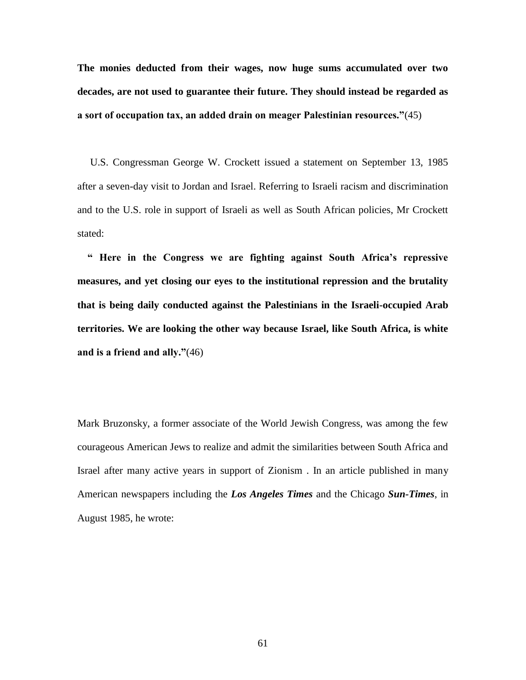**The monies deducted from their wages, now huge sums accumulated over two decades, are not used to guarantee their future. They should instead be regarded as a sort of occupation tax, an added drain on meager Palestinian resources."**(45)

 U.S. Congressman George W. Crockett issued a statement on September 13, 1985 after a seven-day visit to Jordan and Israel. Referring to Israeli racism and discrimination and to the U.S. role in support of Israeli as well as South African policies, Mr Crockett stated:

 **" Here in the Congress we are fighting against South Africa's repressive measures, and yet closing our eyes to the institutional repression and the brutality that is being daily conducted against the Palestinians in the Israeli-occupied Arab territories. We are looking the other way because Israel, like South Africa, is white and is a friend and ally."**(46)

Mark Bruzonsky, a former associate of the World Jewish Congress, was among the few courageous American Jews to realize and admit the similarities between South Africa and Israel after many active years in support of Zionism . In an article published in many American newspapers including the *Los Angeles Times* and the Chicago *Sun-Times*, in August 1985, he wrote: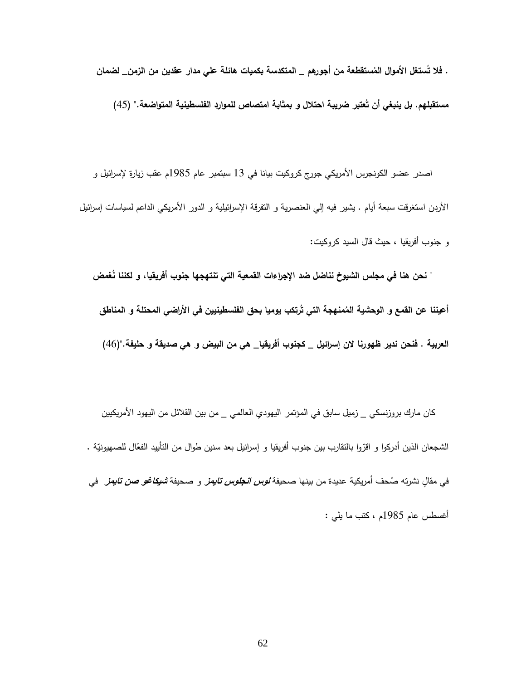. فلا تُستغل الأموال المُستقطعة من أجورهم \_ المتكدسة بكميات هائلة علي مدار عقدين من الزمن\_ لضمان

مستقبلهم. بل ينبغي أن تَعتبر ضريبة احتلال و بمثابة امتصاص للموارد الفلسطينية المتواضعة." (45)

اصدر عضو الكونجرس الأمريكي جورج كروكيت بيانا في 13 سبتمبر عام 1985م عقب زيارة لإسرائيل و الأردن استغرقت سبعة أيام . يشير فيه إلى العنصرية و التفرقة الإسرائيلية و الدور الأمريكي الداعم لسياسات إسرائيل و جنوب أفريقيا ، حيث قال السيد كروكيت:

" نحن هنا في مجلس الشيوخ نناضل ضد الإجراءات القمعية التي تنتهجها جنوب أفريقيا، و لكننا نَغمض أعيننا عن القمع و الوحشية المُمنهجة التي تَرتكب يوميا بحق الفلسطينيين في الأراضي المحتلة و المناطق **العربية . فنحن ندير ظهو رنا الن إسرائيل \_ كجنوب أفريقيا\_ هي من البيض و هي صديقة و حليفة.")**99(

 كان مارك بروزنسكي \_ زميل سابق في المؤتمر اليهودي العالمي \_ من بين القالئل من اليهود األمريكيين الشجعان الذين أدركوا و اقرّوا بالنقارب بين جنوب أفريقيا و إسرائيل بعد سنين طوال من التأييد الفعّال للصهيونيّة .<br>-في مقالٍ نشرته صُحف أمريكية عديدة من بينها صحيفة *لوس انجلوس تايمز* و صحيفة *شيكاغو صن تايمز* في أغسطس عام 1789م ، كتب ما يلي :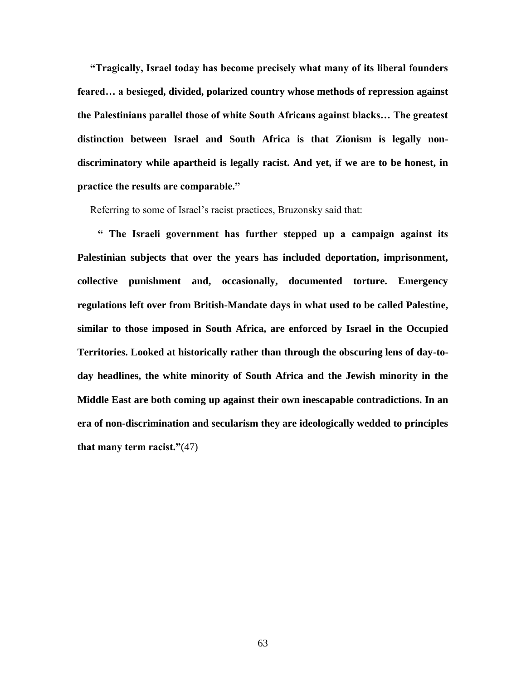**"Tragically, Israel today has become precisely what many of its liberal founders feared… a besieged, divided, polarized country whose methods of repression against the Palestinians parallel those of white South Africans against blacks… The greatest distinction between Israel and South Africa is that Zionism is legally nondiscriminatory while apartheid is legally racist. And yet, if we are to be honest, in practice the results are comparable."**

Referring to some of Israel's racist practices, Bruzonsky said that:

 **" The Israeli government has further stepped up a campaign against its Palestinian subjects that over the years has included deportation, imprisonment, collective punishment and, occasionally, documented torture. Emergency regulations left over from British-Mandate days in what used to be called Palestine, similar to those imposed in South Africa, are enforced by Israel in the Occupied Territories. Looked at historically rather than through the obscuring lens of day-today headlines, the white minority of South Africa and the Jewish minority in the Middle East are both coming up against their own inescapable contradictions. In an era of non-discrimination and secularism they are ideologically wedded to principles that many term racist."**(47)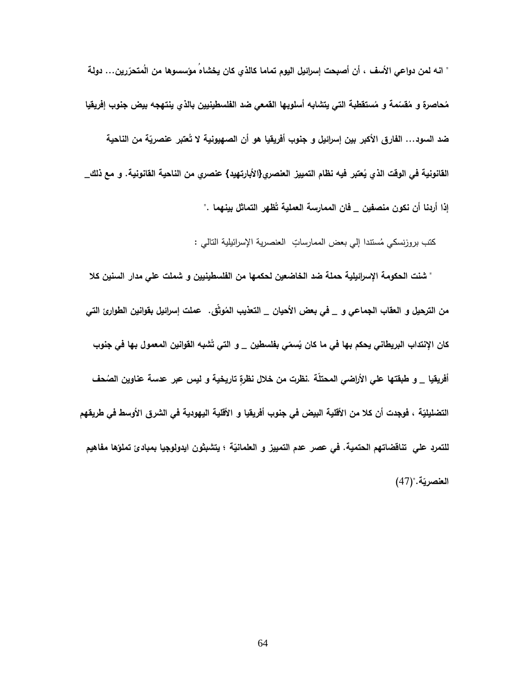" انـه لمن دواعي الأسف ، أن أصبحت إسرائيل اليوم تماما كالذي كان يخشاه مؤسسوها من المتحرّرين… دولة مُحاصرة و مُقسّمة و مُستقطبة التي يتشابه أسلوبها القمعي ضد الفلسطينيين بالذي ينتهجه بيض جنوب إفريقيا ضد السود… الفارق الأكبر بين إسرائيل و جنوب أفريقيا هو أن الصهيونية لا تَعتبر عنصريّة من الناحية **عتبر فيه نظام التمي القانونية في الوقت الذي ي يز العنصري}األبارتهيد{ عنصري من الناحية القانونية. و مع ذلك\_ ظهر التماثل بينهما ." إذا أردنا أن نكون منصفين \_ فان الممارسة العملية ت**

كتب بروزنسكي مُستندا إلي بعض الممارساتٍ العنصرية الإسرائيلية النالي :

 **" شنت الحكومة اإلسرائيلية حملة ضد الخاضعين لحكمها من الفلسطينيين و شملت علي مدار السنين كال**  من الترحيل و العقاب الجماعي و \_ في بعض الأحيان \_ التعذيب المُوثق. عملت إسرائيل بقوانين الطوارئ التي كان الإنتداب البريطان*ي* يحكم بها ف*ي* ما كان يُ*سمّي ب*فلسطين \_ و التي تَشْبه القوانين المع*مو*ل بها ف*ي* جنوب أفريقيا \_ و طبقتها علي الأراضي المحتلّة .نظرت من خلال نظرةٍ تاريخية و ليس عبر عدسة عناوين الصُحف التضليليّة ، فوجدت أن كلا من الأقلية البيض في جنوب أفريقيا و الأقلية اليهودية في الشرق الأوسط في طريقهم **ة ؛ يتشبثون ّ للتمرد علي تناقضاتهم الحتمية. في عصر عدم التمييز و العلماني ايدولوجيا بمبادئ تملؤها مفاهيم**  ا**لعنصريّة.**"(47)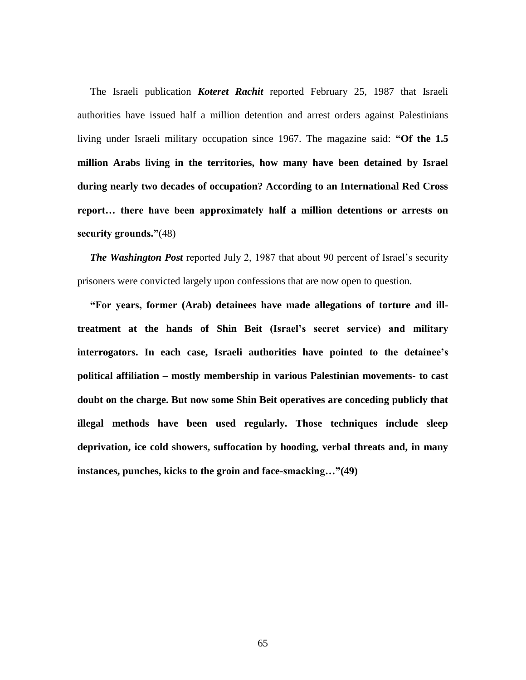The Israeli publication *Koteret Rachit* reported February 25, 1987 that Israeli authorities have issued half a million detention and arrest orders against Palestinians living under Israeli military occupation since 1967. The magazine said: **"Of the 1.5 million Arabs living in the territories, how many have been detained by Israel during nearly two decades of occupation? According to an International Red Cross report… there have been approximately half a million detentions or arrests on security grounds."**(48)

*The Washington Post* reported July 2, 1987 that about 90 percent of Israel's security prisoners were convicted largely upon confessions that are now open to question.

 **"For years, former (Arab) detainees have made allegations of torture and illtreatment at the hands of Shin Beit (Israel's secret service) and military interrogators. In each case, Israeli authorities have pointed to the detainee's political affiliation – mostly membership in various Palestinian movements- to cast doubt on the charge. But now some Shin Beit operatives are conceding publicly that illegal methods have been used regularly. Those techniques include sleep deprivation, ice cold showers, suffocation by hooding, verbal threats and, in many instances, punches, kicks to the groin and face-smacking…"(49)**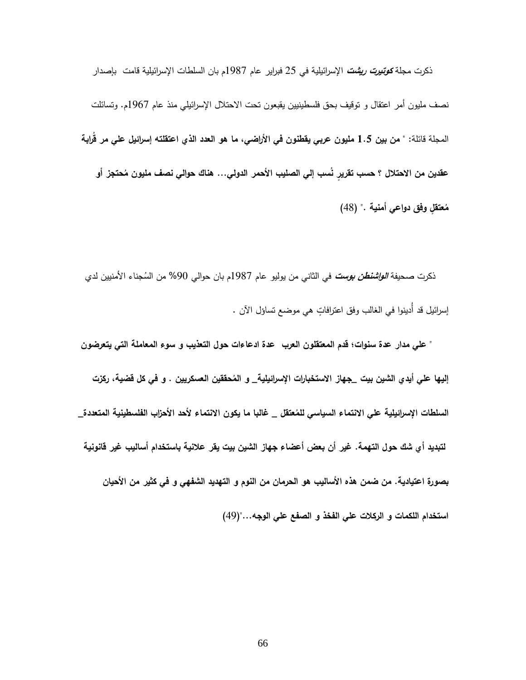ذكرت مجلة **كوتيرت ريشت** اإلسرائيلية في 29 فبراير عام 1789م بان السلطات اإلسرائيلية قامت بإصدار نصف مليون أمر اعتقال و توقيف بحق فلسطينيين يقبعون تحت االحتالل اإلسرائيلي منذ عام 1799م. وتسائلت المجلة قائلة: **" من بين 7.5 مليون عربي يقطنون في األ ارضي، ما هو العدد الذي اعتقلته إس ارئيل علي مر ق اربة** عقدين من الاحتلال ؟ حسب تقريرٍ نَسب إلي الصليب الأحمر الدولي… هناك حوالي نصف مليون مُحتجز أو **عتقٍل وفق دواعي أمنية . م "** )98(

ذكرت صحيفة *الواشنطن بوست في* الثاني من يوليو عام 1987م بان حوالي 90% من السُجناء الأمنيين لدي إسرائيل قد أُدينوا في الغالب وفق اعترافاتٍ هي موضع تساؤل الآن .

 **" علي مدار عدة سنوات؛ قدم المعتقلون العرب عدة ادعاءات حول التعذيب و سوء المعاملة التي يتعرضون**  إليها علي أيدي الشين بيت \_جهاز الاستخبارات الإسرائيلية\_ و المُحققين العسكريين . و في كل قضية، ركزت السلطات الإسرائيلية علي الانتماء السياسي للمُعتقل \_ غالبا ما يكون الانتماء لأحد الأحزاب الفلسطينية المتعددة\_ **لتبديد أي شك حول التهمة. غير أن بعض أعضاء جهاز الشين بيت يقر عالنية باستخدام أساليب غير قانونية بصورة اعتيادية. من ضمن هذه األساليب هو الحرمان من النوم و التهديد الشفهي و في كثير من األحيان استخدام اللكمات و الركالت علي الفخذ و الصفع علي الوجه...")**97(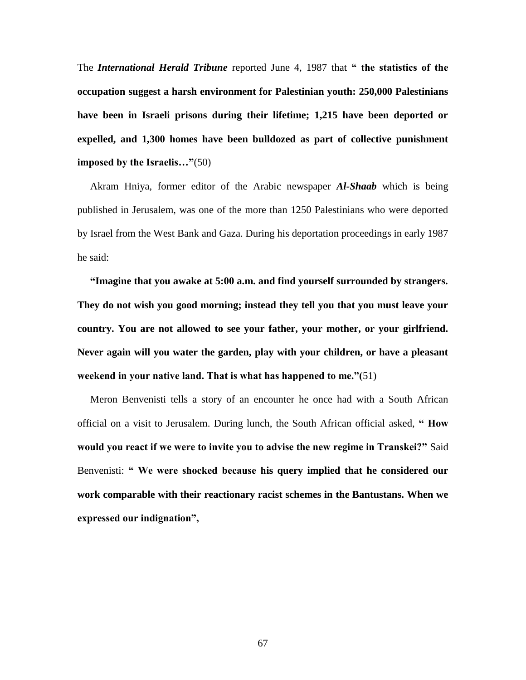The *International Herald Tribune* reported June 4, 1987 that **" the statistics of the occupation suggest a harsh environment for Palestinian youth: 250,000 Palestinians have been in Israeli prisons during their lifetime; 1,215 have been deported or expelled, and 1,300 homes have been bulldozed as part of collective punishment imposed by the Israelis…"**(50)

 Akram Hniya, former editor of the Arabic newspaper *Al-Shaab* which is being published in Jerusalem, was one of the more than 1250 Palestinians who were deported by Israel from the West Bank and Gaza. During his deportation proceedings in early 1987 he said:

 **"Imagine that you awake at 5:00 a.m. and find yourself surrounded by strangers. They do not wish you good morning; instead they tell you that you must leave your country. You are not allowed to see your father, your mother, or your girlfriend. Never again will you water the garden, play with your children, or have a pleasant weekend in your native land. That is what has happened to me."(**51)

 Meron Benvenisti tells a story of an encounter he once had with a South African official on a visit to Jerusalem. During lunch, the South African official asked, **" How would you react if we were to invite you to advise the new regime in Transkei?"** Said Benvenisti: **" We were shocked because his query implied that he considered our work comparable with their reactionary racist schemes in the Bantustans. When we expressed our indignation",**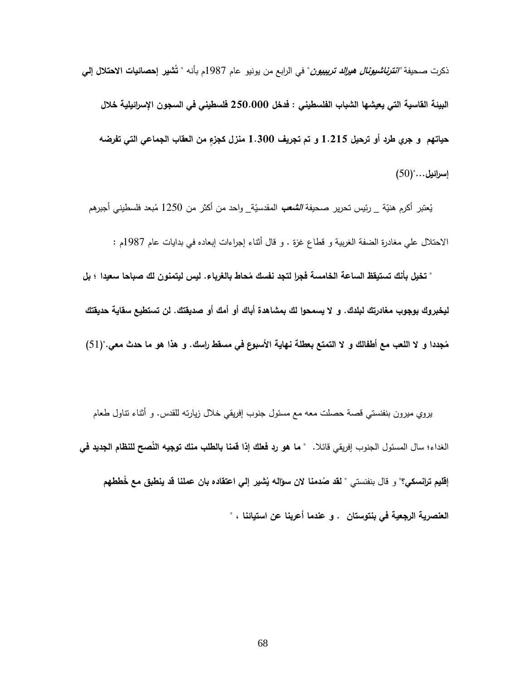ذكرت صحيفة **"انترناشيونال هيرالد تريبيون**" في الرابع من يونيو عام 1789م بأنه **شير إحصائيات االحتالل إلي " ت البيئة القاسية التي يعيشها الشباب الفلسطيني : فدخل 754.444 فلسطيني في السجون اإلسرائيلية خالل حياتهم و جري طرد أو ترحيل 7.775 و تم تجريف 7.044 منزل كجزٍء من العقاب الجماعي التي تفرضه إسرائيل..."**)91(

يُعتبر أكرم هنيّة <sub>ـــ</sub> رئيس تحرير صحيفة *الشُعب* المقدسيّة\_ واحد من أكثر من 1250 مُبعد فلسطيني أجبرهم االحتالل علي مغادرة الضفة الغربية و قطاع غزة . و قال أثناء إجراءات إبعاده في بدايات عام 1789م :

" تخيل بأنك تستيقظ الساعة الخامسة فجرا لتجد نفسك مُحاط بالغرباء. ليس ليتمنون لك صباحا سعيدا ؛ بل **ليخبروك بوجوب مغادرتك لبلدك. و ال يسمحوا لك بمشاهدة أباك أو أمك أو صديقتك. لن تستطيع سقاية حديقتك**  مُجددا و لا اللعب مع أطفالك و لا التمتع بعطلة نهاية الأسبوع في مسقط راسك. و هذا هو ما حدث معي."(51)

 يروي ميرون بنفنستي قصة حصلت معه مع مسئول جنوب إفريقي خالل زيارته للقدس. و أثناء تناول طعام الغداء؛ سال المسئول الجنوب إفريقي قائلا. " **ما هو رد فعلك إذا قمنا بالطلب منك توجيه النّصح للنظام ا<b>لجديد في** إقليم ترانسكي؟" و قال بنفنستي " **لقد** صُدمنا لان سؤالـه يُشير إلـي اعتقاده بـان عملنا قد ينطبق مـع خَططهم **العنصرية الرجعية في بنتوستان . و عندما أعربنا عن استيائنا ، "**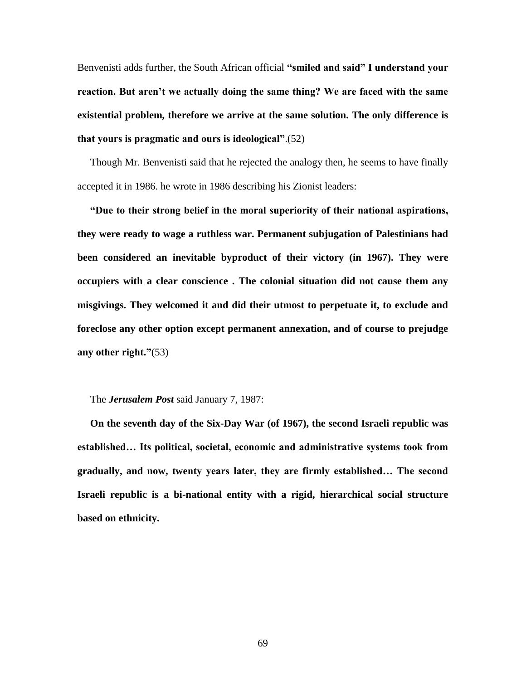Benvenisti adds further, the South African official **"smiled and said" I understand your reaction. But aren't we actually doing the same thing? We are faced with the same existential problem, therefore we arrive at the same solution. The only difference is that yours is pragmatic and ours is ideological"**.(52)

 Though Mr. Benvenisti said that he rejected the analogy then, he seems to have finally accepted it in 1986. he wrote in 1986 describing his Zionist leaders:

 **"Due to their strong belief in the moral superiority of their national aspirations, they were ready to wage a ruthless war. Permanent subjugation of Palestinians had been considered an inevitable byproduct of their victory (in 1967). They were occupiers with a clear conscience . The colonial situation did not cause them any misgivings. They welcomed it and did their utmost to perpetuate it, to exclude and foreclose any other option except permanent annexation, and of course to prejudge any other right."**(53)

## The *Jerusalem Post* said January 7, 1987:

 **On the seventh day of the Six-Day War (of 1967), the second Israeli republic was established… Its political, societal, economic and administrative systems took from gradually, and now, twenty years later, they are firmly established… The second Israeli republic is a bi-national entity with a rigid, hierarchical social structure based on ethnicity.**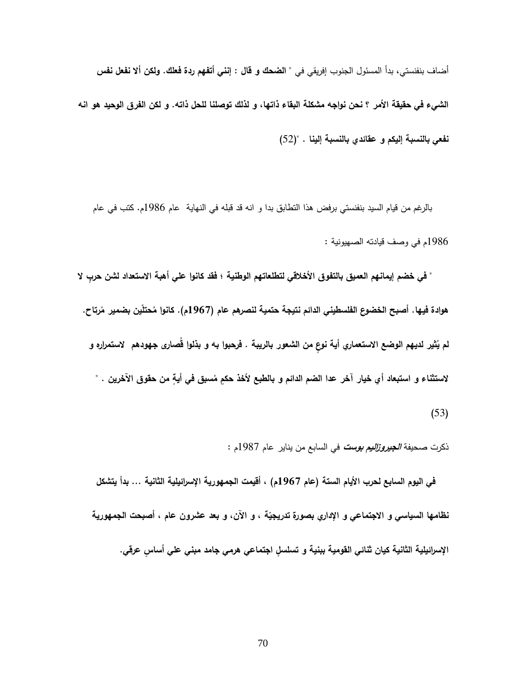أضاف بنفنستي، بدأ المسئول الجنوب إفريقي في **" الضحك و قال : إنني أتفهم ردة فعلك. ولكن أال نفعل نفس الشيء في حقيقة األمر ؟ نحن نواجه مشكلة البقاء ذاتها، و لذلك توصلنا للحل ذاته. و لكن الفرق الوحيد هو انه نفعي بالنسبة إليكم و عقائدي بالنسبة إلينا .** ")92(

 بالرغم من قيام السيد بنفنستي برفض هذا التطابق بدا و انه قد قبله في النهاية عام 1789م. كتب في عام 1789م في وصف قيادته الصهيونية :

" في خضم إيمانهم العميق بالتفوق الأخلاقي لتطلعاتهم الوطنية ؛ فقد كانوا على أهبة الاستعداد لشن حرب لا هوادة فيها . أصبح الخضوع الفلسطيني الدائم نتيجة حتمية لنصرهم عام (1967م). كانوا مُحتلين بضمير مُرتاح. لم يُثير لديهم الوضع الاستعماري أية نوعٍ من الشعور بالريبة . فرحبوا به و بذلوا قصارى جهودهم لاستمراره و لاستثناء و استبعاد أي خيار آخر عدا الضم الدائم و بالطبع لأخذ حكمٍ مُسبق في أيةٍ من حقوق الآخرين . "  $(53)$ 

ذكرت صحيفة **الجيروزاليم بوست** في السابع من يناير عام 1789م :

 **في اليوم السابع لحرب األيام الستة )عام 7691م( ، أقيمت الجمهورية اإلسرائيلية الثانية ... بدأ يتشكل**  نظامها السياسي و الاجتماعي و الإداري بصورة تدريجيّة ، و الان، و بعد عشرون عام ، أصبحت الجمهورية الإسرائيلية الثانية كيان ثنائي القومية ببنية و تسلسلِ اجتماعي هرمي جامد مبني علي أساسِ عرقي.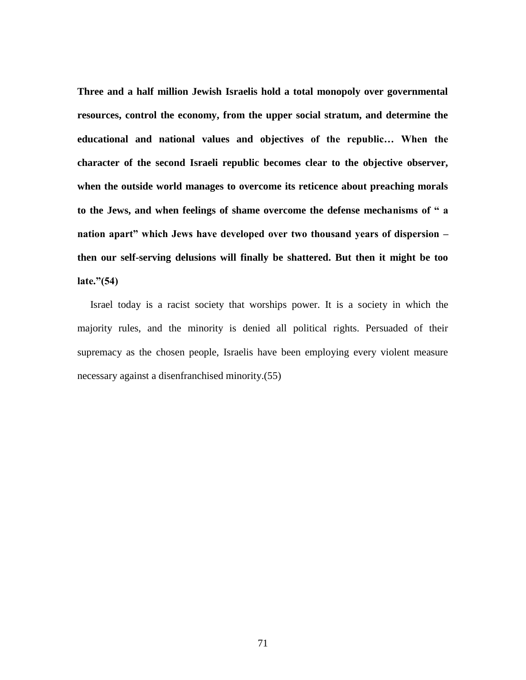**Three and a half million Jewish Israelis hold a total monopoly over governmental resources, control the economy, from the upper social stratum, and determine the educational and national values and objectives of the republic… When the character of the second Israeli republic becomes clear to the objective observer, when the outside world manages to overcome its reticence about preaching morals to the Jews, and when feelings of shame overcome the defense mechanisms of " a nation apart" which Jews have developed over two thousand years of dispersion – then our self-serving delusions will finally be shattered. But then it might be too late."(54)**

Israel today is a racist society that worships power. It is a society in which the majority rules, and the minority is denied all political rights. Persuaded of their supremacy as the chosen people, Israelis have been employing every violent measure necessary against a disenfranchised minority.(55)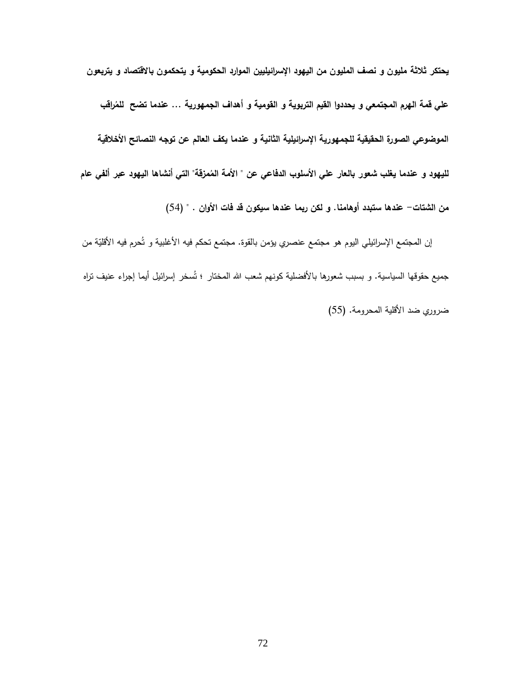**يحتكر ثالثة مليون و نصف المليون من اليهود اإلسرائيليين الموارد الحكومية و يتحكمون باالقتصاد و يتربعون**  علي قمة الهرم المجتمعي و يحددوا القيم التربوية و القومية و أهداف الجمهورية … عندما تضح للمُراقب **الموضوعي الصورة الحقيقية للجمهورية اإلسرائيلية الثانية و عندما يكف العالم عن توجه النصائح األخالقية**  لليهود و عندما يغلب شعور بالعار علي الأسلوب الدفاعي عن " الأمة المُمزقَّة" التي أنشاها اليهود عبر ألفي عام **من الشتات- عندها ستبدد أوهامنا. و لكن ربما عندها سيكون قد فات األوان .** " )99(

إن المجتمع الإسرائيلي اليوم هو مجتمع عنصري يؤمن بالقوة. مجتمع تحكم فيه الأغلبية و تُحرم فيه الأقليّة من جميع حقوقها السياسية. و بسبب شعورها بالأفضلية كونهم شعب الله المختار ؛ تُسخر ٳسرائيل أيما ٳجراء عنيف نزاه ضروري ضد الأقلية المحرومة. (55)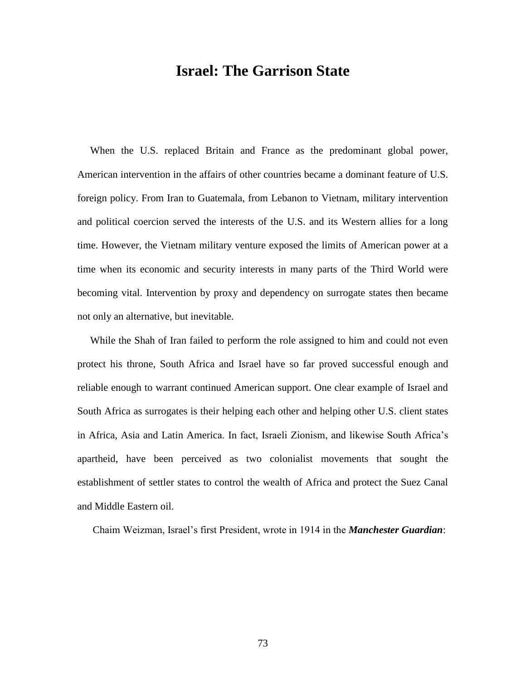## **Israel: The Garrison State**

 When the U.S. replaced Britain and France as the predominant global power, American intervention in the affairs of other countries became a dominant feature of U.S. foreign policy. From Iran to Guatemala, from Lebanon to Vietnam, military intervention and political coercion served the interests of the U.S. and its Western allies for a long time. However, the Vietnam military venture exposed the limits of American power at a time when its economic and security interests in many parts of the Third World were becoming vital. Intervention by proxy and dependency on surrogate states then became not only an alternative, but inevitable.

 While the Shah of Iran failed to perform the role assigned to him and could not even protect his throne, South Africa and Israel have so far proved successful enough and reliable enough to warrant continued American support. One clear example of Israel and South Africa as surrogates is their helping each other and helping other U.S. client states in Africa, Asia and Latin America. In fact, Israeli Zionism, and likewise South Africa's apartheid, have been perceived as two colonialist movements that sought the establishment of settler states to control the wealth of Africa and protect the Suez Canal and Middle Eastern oil.

Chaim Weizman, Israel's first President, wrote in 1914 in the *Manchester Guardian*: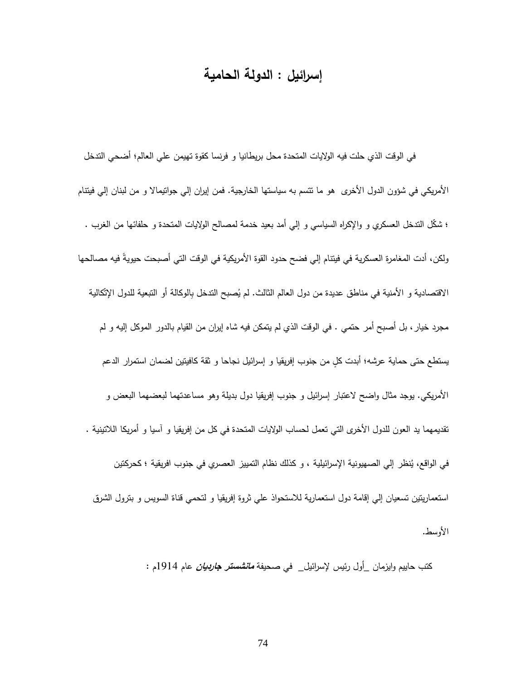## **إسرائيل : الدولة الحامية**

 في الوقت الذي حلت فيه الواليات المتحدة محل بريطانيا و فرنسا كقوة تهيمن علي العالم؛ أضحي التدخل الأمريكي في شؤون الدول الأخرى هو ما تتسم به سياستها الخارجية. فمن إيران إلي جواتيمالا و من لبنان إلي فيتتام ؛ شكّل التدخل العسكري و والإكراه السياسي و إلي أمد بعيد خدمة لمصالح الولايات المتحدة و حلفائها من الغرب . ولكن، أدت المغامرة العسكرية في فيتنام إلى فضح حدود القوة الأمريكية في الوقت التي أصبحت حيويةً فيه مصالحها الاقتصادية و الأمنية في مناطق عديدة من دول العالم الثالث. لم يُصبح التدخل بِالوكالة أو التبعية للدول الإتّكالية مجرد خيار، بل أصبح أمر حتمي . في الوقت الذي لم يتمكن فيه شاه إيران من القيام بالدور الموكل إليه و لم يستطع حتى حماية عرشه؛ أبدت كلٍ من جنوب إفريقيا و إسرائيل نجاحا و ثقة كافيتين لضمان استمرار الدعم الأمريكي. يوجد مثال واضح لاعتبار إسرائيل و جنوب إفريقيا دول بديلة وهو مساعدتهما لبعضهما البعض و تقديمهما يد العون للدول األخرى التي تعمل لحساب الواليات المتحدة في كل من إفريقيا و آسيا و أمريكا الالتينية . في الواقع، يُنظر إلي الصهيونية الإسرائيلية ، و كذلك نظام التمييز العصري في جنوب افريقية ؛ كحركتين استعماريتين تسعيان إلي إقامة دول استعمارية لالستحواذ علي ثروة إفريقيا و لتحمي قناة السويس و بترول الشرق األوسط.

كتب حاييم وايز مان \_أول رئيس إلسرائيل\_ في صحيفة **مانشستر جارديان** عام 1719م :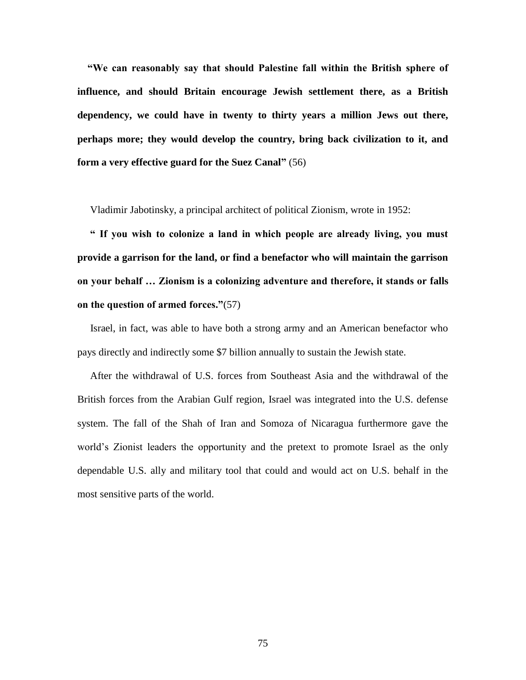**"We can reasonably say that should Palestine fall within the British sphere of influence, and should Britain encourage Jewish settlement there, as a British dependency, we could have in twenty to thirty years a million Jews out there, perhaps more; they would develop the country, bring back civilization to it, and form a very effective guard for the Suez Canal"** (56)

Vladimir Jabotinsky, a principal architect of political Zionism, wrote in 1952:

 **" If you wish to colonize a land in which people are already living, you must provide a garrison for the land, or find a benefactor who will maintain the garrison on your behalf … Zionism is a colonizing adventure and therefore, it stands or falls on the question of armed forces."**(57)

 Israel, in fact, was able to have both a strong army and an American benefactor who pays directly and indirectly some \$7 billion annually to sustain the Jewish state.

 After the withdrawal of U.S. forces from Southeast Asia and the withdrawal of the British forces from the Arabian Gulf region, Israel was integrated into the U.S. defense system. The fall of the Shah of Iran and Somoza of Nicaragua furthermore gave the world's Zionist leaders the opportunity and the pretext to promote Israel as the only dependable U.S. ally and military tool that could and would act on U.S. behalf in the most sensitive parts of the world.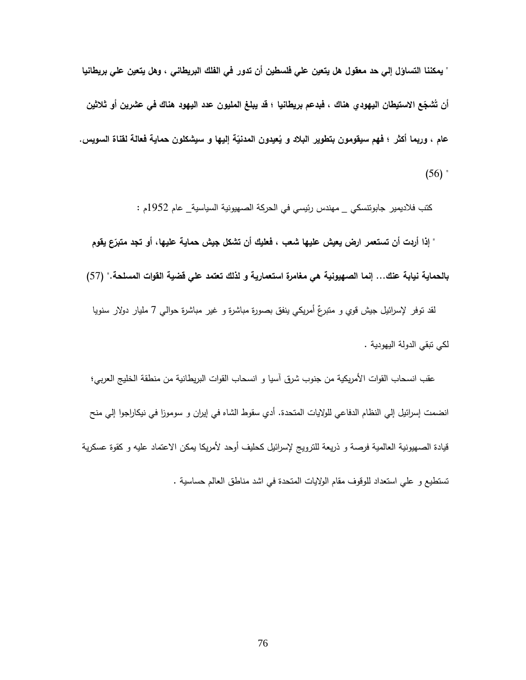**" يمكننا التساؤل إلي حد معقول هل يتعين علي فلسطين أن تدور في الفلك البريطاني ، وهل يتعين علي بريطانيا**  أن تَشْجِّع الاستيطان اليهودي هناك ، فبدعم بريطانيا ؛ قد يبلغ المليون عدد اليهود هناك في عشرين أو ثلاثين عام ، وربِما أكثر ؛ فهم سيقومون بتطوير البلاد و يُعيدون المدنيّة إليها و سيشكلون حماية فعالمة لقناة السويس.  $(56)$ 

كتب فالديمير جابو تنسكي \_ مهندس رئيسي في الحركة الصهيونية السياسية\_ عام 1792م :

 **" إذا أردت أن تستعمر ارض يعيش عليها شعب ، فعليك أن تشكل جيش ع يقوم ّ حماية عليها، أو تجد متبر بالحماية نيابة عنك... إنما الصهيونية هي مغامرة استعمارية و لذلك تعتمد علي قضية القوات المسلحة.**" )99( لقد توفر لإسرائيل جيش قوي و متبرعٌ أمريكي ينفق بصورة مباشرة و غير مباشرة حوالـي 7 مليار دولار سنويا لكي تبقي الدولة اليهودية .

عقب انسحاب القوات الأمريكية من جنوب شرق آسيا و انسحاب القوات البريطانية من منطقة الخليج العربي؛ انضمت إسرائيل إلي النظام الدفاعي للواليات المتحدة. أدي سقوط الشاه في إيران و سوموزا في نيكاراجوا إلي منح قيادة الصهيونية العالمية فرصة و ذريعة للترويج إلسرائيل كحليف أوحد ألمريكا يمكن االعتماد عليه و كقوة عسكرية تستطيع و علي استعداد للوقوف مقام الواليات المتحدة في اشد مناطق العالم حساسية .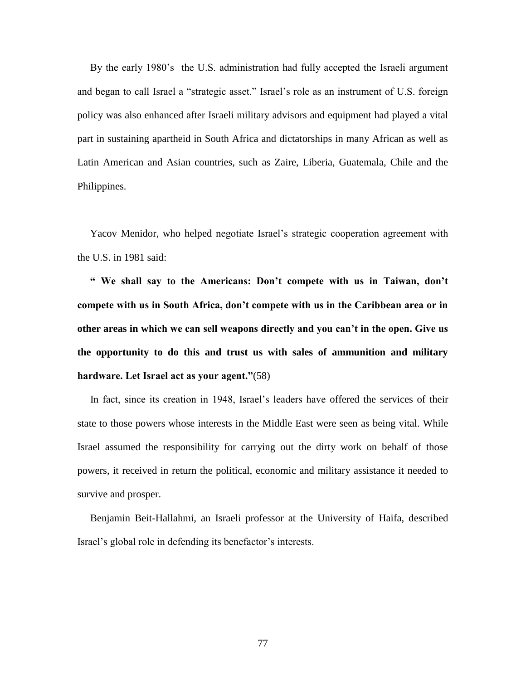By the early 1980's the U.S. administration had fully accepted the Israeli argument and began to call Israel a "strategic asset." Israel's role as an instrument of U.S. foreign policy was also enhanced after Israeli military advisors and equipment had played a vital part in sustaining apartheid in South Africa and dictatorships in many African as well as Latin American and Asian countries, such as Zaire, Liberia, Guatemala, Chile and the Philippines.

 Yacov Menidor, who helped negotiate Israel's strategic cooperation agreement with the U.S. in 1981 said:

 **" We shall say to the Americans: Don't compete with us in Taiwan, don't compete with us in South Africa, don't compete with us in the Caribbean area or in other areas in which we can sell weapons directly and you can't in the open. Give us the opportunity to do this and trust us with sales of ammunition and military hardware. Let Israel act as your agent."**(58)

 In fact, since its creation in 1948, Israel's leaders have offered the services of their state to those powers whose interests in the Middle East were seen as being vital. While Israel assumed the responsibility for carrying out the dirty work on behalf of those powers, it received in return the political, economic and military assistance it needed to survive and prosper.

 Benjamin Beit-Hallahmi, an Israeli professor at the University of Haifa, described Israel's global role in defending its benefactor's interests.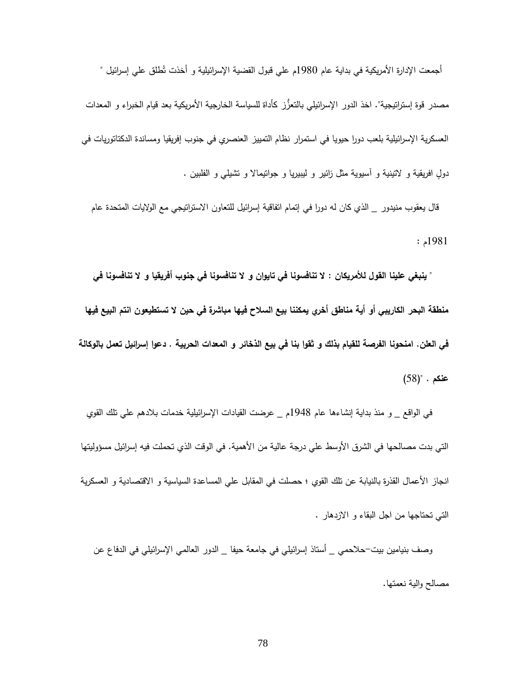أجمعت الإدارة الأمريكية في بداية عام 1980م علي قبول القضية الإسرائيلية و أخذت تُطلق علي إسرائيل " مصدر قوة إستراتيجية". اخذ الدور الإسرائيلي بالتعزُّز كأداة للسياسة الخارجية الأمريكية بعد قيام الخبراء و المعدات العسكرية اإلسرائيلية بلعب دورا حيويا في استمرار نظام التمييز العنصري في جنوب إفريقيا ومساندة الدكتاتوريات في دول افريقية و لاتينية و أسيوية مثل زائير و ليبيريا و جوانيمالا و تشيلبي و الفلبين .

 قال يعقوب منيدور \_ الذي كان له دورا في إتمام اتفاقية إسرائيل للتعاون االستراتيجي مع الواليات المتحدة عام 1781م :

 **" ينبغي علينا القول لألمريكان : ال تنافسونا في تايوان و ال تنافسونا في جنوب أفريقيا و ال تنافسونا في منطقة البحر الكاريبي أو أية مناطق أخري يمكننا بيع السالح فيها مباشرة في حين ال تستطيعون انتم البيع فيها في العلن. امنحونا الفرصة للقيام بذلك و ثقوا بنا في بيع الذخائر و المعدات الحربية . دعوا إسرائيل تعمل بالوكالة عنكم .** ")98(

 في الواقع \_ و منذ بداية إنشاءها عام 1798م \_ عرضت القيادات اإلسرائيلية خدمات بالدهم علي تلك القوي التي بدت مصالحها في الشرق الأوسط علي درجة عالية من الأهمية. في الوقت الذي تحملت فيه إسرائيل مسؤوليتها انجاز الأعمال القذرة بالنيابة عن تلك القوي ؛ حصلت في المقابل علي المساعدة السياسية و الاقتصادية و العسكرية التي تحتاجها من اجل البقاء و االزدهار .

 وصف بنيامين بيت-حالحمي \_ أستاذ إسرائيلي في جامعة حيفا \_ الدور العالمي اإلسرائيلي في الدفاع عن مصالح والية نعمتها.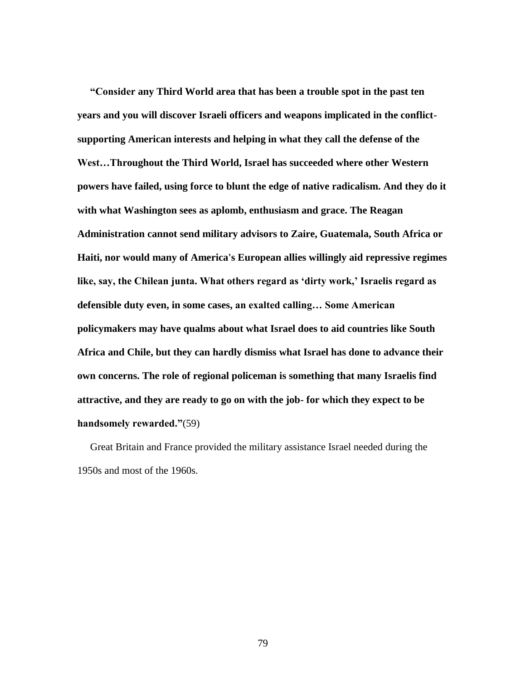**"Consider any Third World area that has been a trouble spot in the past ten years and you will discover Israeli officers and weapons implicated in the conflictsupporting American interests and helping in what they call the defense of the West…Throughout the Third World, Israel has succeeded where other Western powers have failed, using force to blunt the edge of native radicalism. And they do it with what Washington sees as aplomb, enthusiasm and grace. The Reagan Administration cannot send military advisors to Zaire, Guatemala, South Africa or Haiti, nor would many of America's European allies willingly aid repressive regimes like, say, the Chilean junta. What others regard as 'dirty work,' Israelis regard as defensible duty even, in some cases, an exalted calling… Some American policymakers may have qualms about what Israel does to aid countries like South Africa and Chile, but they can hardly dismiss what Israel has done to advance their own concerns. The role of regional policeman is something that many Israelis find attractive, and they are ready to go on with the job- for which they expect to be handsomely rewarded."**(59)

 Great Britain and France provided the military assistance Israel needed during the 1950s and most of the 1960s.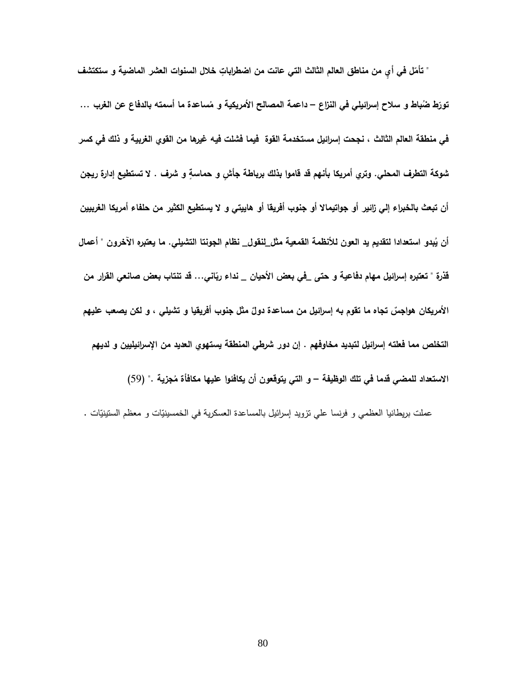" تأمّل في أيٍ من مناطق العالم الثالث التي عانت من اضطراباتٍ خلال السنوات العشر الماضية و ستكتشف تورّط ضُباط و سلاح إسرائيلي في النزاع – داعمة المصالح الأمريكية و مُساعدة ما أسمته بالدفاع عن الغرب … **في منطقة العالم الثالث ، نجحت إسرائيل مستخدمة القوة فيما فشلت فيه غيرها من القوي الغربية و ذلك في كسر**  شوكة التطرف المحلي. وتري أمريكا بأنهم قد قاموا بذلك برباطة جأش و حماسةٍ و شرف . لا تستطيع إدارة ريجن **أن تبعث بالخبراء إلي زائير أو جواتيماال أو جنوب أفريقا أو هاييتي و ال يستطيع الكثير من حلفاء أمريكا الغربيين**  أن يُبدو استعدادا لتقديم يد العون للأنظمة القمعية مث<u>ل ل</u>نقول\_ نظام الجونتا التشيلي. ما يعتبره الاخرون " أعمال قذرة " تعتبره إسرائيل مهام دفَّاعية و حتى في بعض الأحيان \_ نداء ربّاني… قد تنتاب بعض صانعي القرار من الأمريكان هواجسٌ تجاه ما تقوم به إسرائيل من مساعدة دولٌ مثّل جنوب أفريقيا و تشيلي ، و لكن يصعب عليهم **التخلص مما فعلته إسرائيل لتبديد مخاوفهم . إن دور شرطي المنطقة يستهوي العديد من اإلسرائيليين و لديهم**  الاستعداد للمض*ي* قدما في تلك الوظيفة – و التي يتوقعون أن يكافئوا عليها مكافأة مُجزية ." (59)

عملت بريطانيا العظمي و فرنسا علي نزويد إسرائيل بالمساعدة العسكرية في الخمسينيّات و معظم الستينيّات .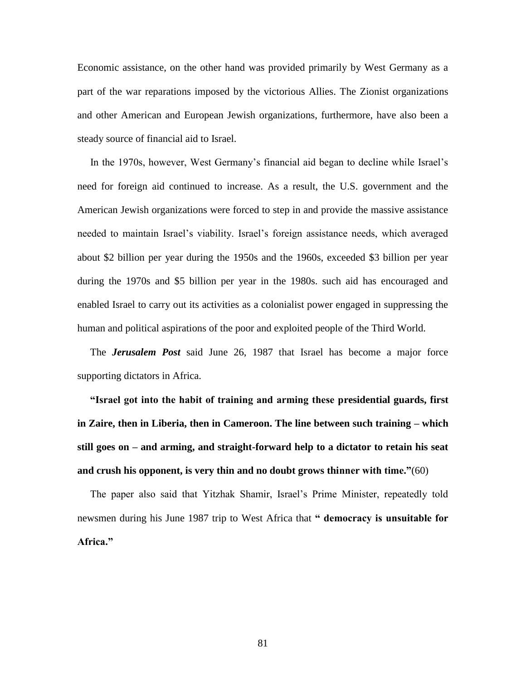Economic assistance, on the other hand was provided primarily by West Germany as a part of the war reparations imposed by the victorious Allies. The Zionist organizations and other American and European Jewish organizations, furthermore, have also been a steady source of financial aid to Israel.

 In the 1970s, however, West Germany's financial aid began to decline while Israel's need for foreign aid continued to increase. As a result, the U.S. government and the American Jewish organizations were forced to step in and provide the massive assistance needed to maintain Israel's viability. Israel's foreign assistance needs, which averaged about \$2 billion per year during the 1950s and the 1960s, exceeded \$3 billion per year during the 1970s and \$5 billion per year in the 1980s. such aid has encouraged and enabled Israel to carry out its activities as a colonialist power engaged in suppressing the human and political aspirations of the poor and exploited people of the Third World.

 The *Jerusalem Post* said June 26, 1987 that Israel has become a major force supporting dictators in Africa.

 **"Israel got into the habit of training and arming these presidential guards, first in Zaire, then in Liberia, then in Cameroon. The line between such training – which still goes on – and arming, and straight-forward help to a dictator to retain his seat and crush his opponent, is very thin and no doubt grows thinner with time."**(60)

 The paper also said that Yitzhak Shamir, Israel's Prime Minister, repeatedly told newsmen during his June 1987 trip to West Africa that **" democracy is unsuitable for Africa."**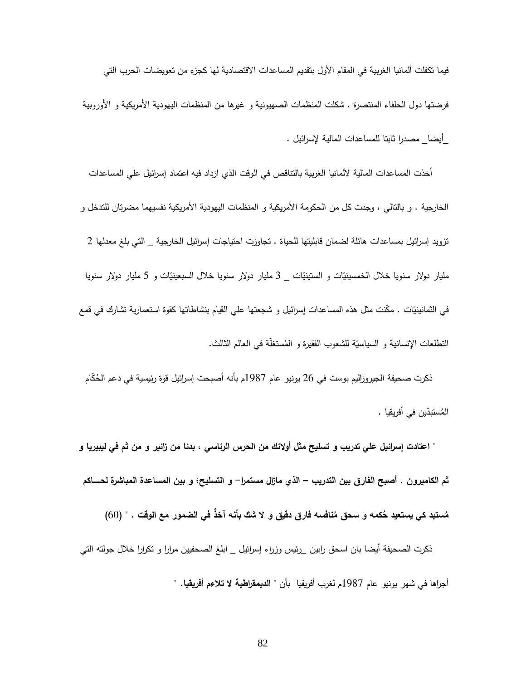فيما تكفلت ألمانيا الغربية في المقام األول بتقديم المساعدات االقتصادية لها كجزء من تعويضات الحرب التي فرضتها دول الحلفاء المنتصرة . شكلت المنظمات الصهيونية و غيرها من المنظمات اليهودية الأمريكية و الأوروبية \_أيضا\_ مصدرا ثابتا للمساعدات المالية إلسرائيل .

أخذت المساعدات المالية لألمانيا الغربية بالتناقص في الوقت الذي ازداد فيه اعتماد إسرائيل على المساعدات الخارجية . و بالتالي ، وجدت كل من الحكومة الأمريكية و المنظمات اليهودية الأمريكية نفسيهما مضرتان للتدخل و تزويد إسرائيل بمساعدات هائلة لضمان قابليتها للحياة . تجاوزت احتياجات إسرائيل الخارجية \_ التي بلغ معدلها 2 مليار دولار سنويا خلال الخمسينيّات و الستينيّات \_ 3 مليار دولار سنويا خلال السبعينيّات و 5 مليار دولار سنويا في الثمانينيّات . مكّنت مثل هذه المساعدات إسرائيل و شجعتها علي القيام بنشاطاتها كقوة استعمارية تشارك في قمع التطلعات الإنسانية و السياسيّة للشعوب الفقيرة و المُستغلّة في العالم الثالث.

ذكرت صحيفة الجيروزاليم بوست في 26 يونيو عام 1987م بأنه أصبحت إسرائيل قوة رئيسية في دعم الحُكَام ين في أفريقيا . ّ ستبد ُ الم

 **" اعتادت إسرائيل علي تدريب و تسليح مثل أوالئك من الحرس الرئاسي ، بدئا من زائير و من ثم في ليبيريا و ثم الكاميرون . أصبح الفارق بين التدريب – الذي مازال مستمرا- و التسليح؛ و بين المساعدة المباشرة لحــــــاكم**  مُستبد كي يستعيد حُكمه و سحق مُنافسه فَارق دقيق و لا شَكَّ بأنه اخذ في الضمور مع الوقت . " (60)

ذكرت الصحيفة أيضا بان اسحق رابين \_رئيس وزراء إسرائيل \_ ابلغ الصحفيين مرارا و نكرارا خلال جولته التي أجراها في شهر يونيو عام 1789م لغرب أفريقيا بأن **" الديمقراطية ال تالءم أفريقيا. "**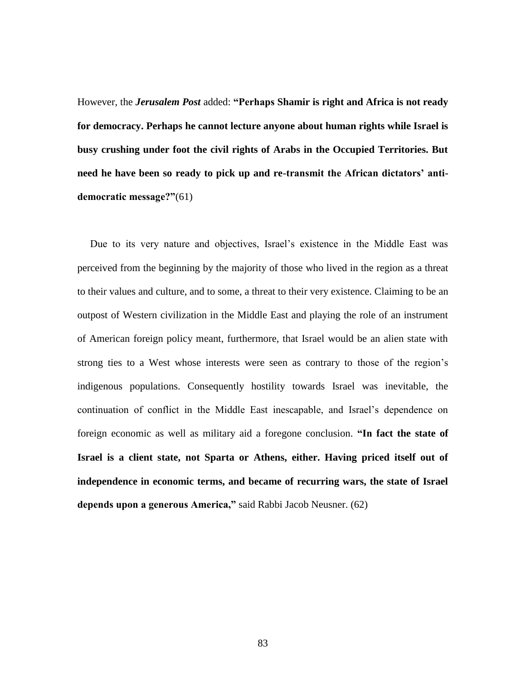However, the *Jerusalem Post* added: **"Perhaps Shamir is right and Africa is not ready for democracy. Perhaps he cannot lecture anyone about human rights while Israel is busy crushing under foot the civil rights of Arabs in the Occupied Territories. But need he have been so ready to pick up and re-transmit the African dictators' antidemocratic message?"**(61)

 Due to its very nature and objectives, Israel's existence in the Middle East was perceived from the beginning by the majority of those who lived in the region as a threat to their values and culture, and to some, a threat to their very existence. Claiming to be an outpost of Western civilization in the Middle East and playing the role of an instrument of American foreign policy meant, furthermore, that Israel would be an alien state with strong ties to a West whose interests were seen as contrary to those of the region's indigenous populations. Consequently hostility towards Israel was inevitable, the continuation of conflict in the Middle East inescapable, and Israel's dependence on foreign economic as well as military aid a foregone conclusion. **"In fact the state of Israel is a client state, not Sparta or Athens, either. Having priced itself out of independence in economic terms, and became of recurring wars, the state of Israel depends upon a generous America,"** said Rabbi Jacob Neusner. (62)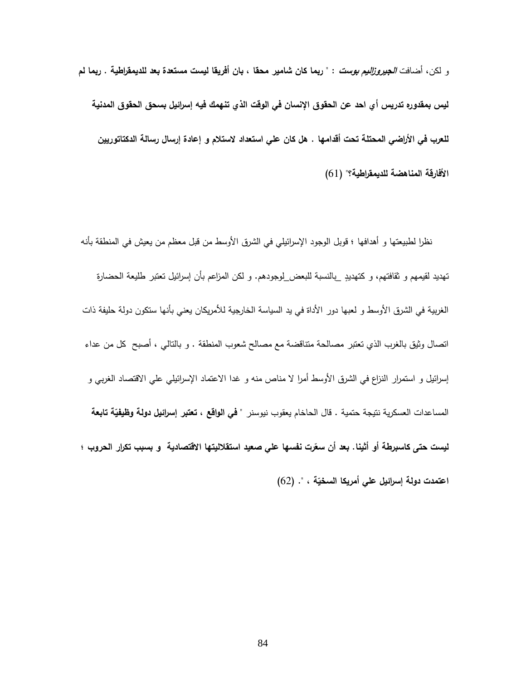و لكن، أضافت **الجيروزاليم بوست** : " **ربما كان شامير محقا ، بان أفريقا ليست مستعدة بعد للديمقراطية . ربما لم ليس بمقدوره تدريس أي احد عن الحقوق اإلنسان في الوقت الذي تنهمك فيه إسرائيل بسحق الحقوق المدنية للعرب في األراضي المحتلة تحت أقدامها . هل كان علي استعداد الستالم و إعادة إرسال رسالة الدكتاتوريين**  الأفارقة المناهضة للديمقراطية؟" (61)

 نظرا لطبيعتها و أهدافها ؛ قوبل الوجود اإلسرائيلي في الشرق األوسط من قبل معظم من يعيش في المنطقة بأنه تهديد لقيمهم و ثقافتهم، و كتهديدٍ \_بالنسبة للبعض\_لوجودهم. و لكن المزاعم بأن إسرائيل تعتبر طليعة الحضارة الغربية في الشرق األوسط و لعبها دور األداة في يد السياسة الخارجية لألمريكان يعني بأنها ستكون دولة حليفة ذات اتصال وثيق بالغرب الذي تعتبر مصالحة متناقضة مع مصالح شعوب المنطقة . و بالتالي ، أصبح كل من عداء إسرائيل و استمرار النزاع في الشرق الأوسط أمرا لا مناص منه و غدا الاعتماد الإسرائيلي علي الاقتصاد الغربي و المساعدات العسكرية نتيجة حتمية . قال الحاخام يعقوب نيوسنر " **في الواقع ، تعتب**ر إسرائ**يل دولة وظيفيّة تابعة ليست حتى كاسبرطة رت نفسها علي صعيد استقالليت ّ أو أثينا. بعد أن سع ها االقتصادية و بسبب تكرار الحروب ؛ ة ، ". ّ اعتمدت دولة إس ارئيل علي أمريكا السخي** )92(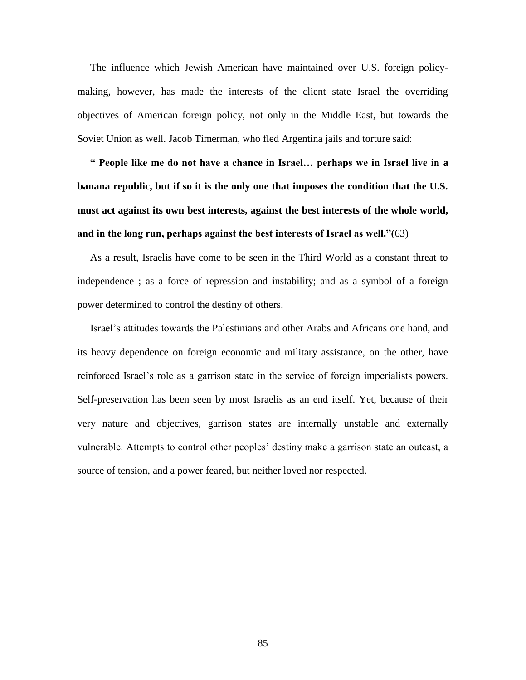The influence which Jewish American have maintained over U.S. foreign policymaking, however, has made the interests of the client state Israel the overriding objectives of American foreign policy, not only in the Middle East, but towards the Soviet Union as well. Jacob Timerman, who fled Argentina jails and torture said:

 **" People like me do not have a chance in Israel… perhaps we in Israel live in a banana republic, but if so it is the only one that imposes the condition that the U.S. must act against its own best interests, against the best interests of the whole world, and in the long run, perhaps against the best interests of Israel as well."(**63)

 As a result, Israelis have come to be seen in the Third World as a constant threat to independence ; as a force of repression and instability; and as a symbol of a foreign power determined to control the destiny of others.

 Israel's attitudes towards the Palestinians and other Arabs and Africans one hand, and its heavy dependence on foreign economic and military assistance, on the other, have reinforced Israel's role as a garrison state in the service of foreign imperialists powers. Self-preservation has been seen by most Israelis as an end itself. Yet, because of their very nature and objectives, garrison states are internally unstable and externally vulnerable. Attempts to control other peoples' destiny make a garrison state an outcast, a source of tension, and a power feared, but neither loved nor respected.

85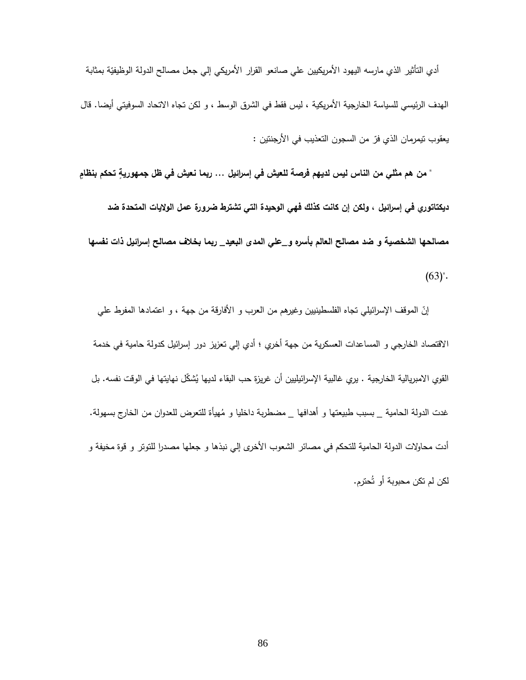أدي التأثير الذي مارسه اليهود الأمريكيين علي صانعو القرار الأمريكي إلي جعل مصالح الدولة الوظيفيّة بمثابة الهدف الرئيسي للسياسة الخارجية الأمريكية ، ليس فقط في الشرق الوسط ، و لكن تجاه الاتحاد السوفيتي أيضا. قال يعقوب تيمرمان الذي فرّ من السجون التعذيب في الأرجنتين :

 **" من هم مثلي من الناس ليس لديهم فرصة للعيش في إسرائيل ... ربما نعيش في ظل تحكم بنظامٍ جمهوريةٍ ديكتاتوري في إسرائيل ، ولكن إن كانت كذلك فهي الوحيدة التي تشترط ضرورة عمل الواليات المتحدة ضد مصالحها الشخصية و ضد مصالح العالم بأسره و\_علي المدى البعيد\_ ربما بخالف مصالح إسرائيل ذات نفسها**   $(63)$ ".

إنّ الموقف الإسرائيلي تجاه الفلسطينيين وغيرهم من العرب و الأفارقة من جهة ، و اعتمادها المفرط علي االقتصاد الخارجي و المساعدات العسكرية من جهة أخري ؛ أدي إلي تعزيز دور إسرائيل كدولة حامية في خدمة القوي الامبريالية الخارجية . يري غالبية الإسرائيليين أن غريزة حب البقاء لديها يُشكّل نهايتها في الوقت نفسه. بل<br>-غدت الدولة الحامية \_ بسبب طبيعتها و أهدافها \_ مضطربة داخليا و مُهيأة للتعرض للعدوان من الخارج بسهولة.<br>-أدت محاولات الدولة الحامية للتحكم في مصائر الشعوب الأخرى إلى نبذها و جعلها مصدرا للتوتر و قوة مخيفة و لكن لم تكن محبوبة أو تُحترم.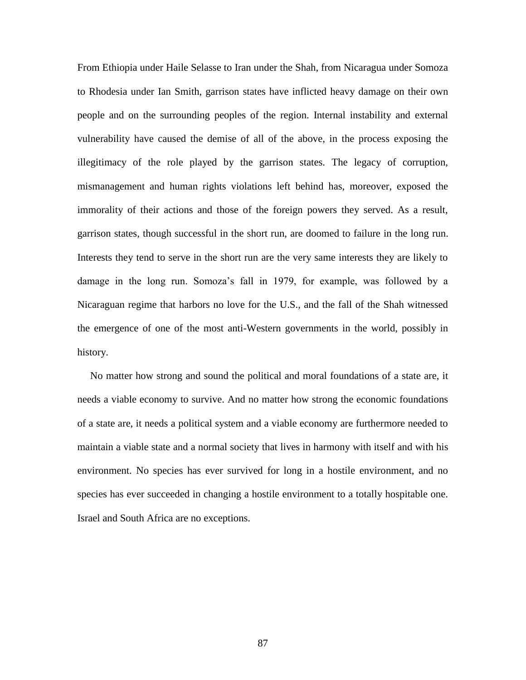From Ethiopia under Haile Selasse to Iran under the Shah, from Nicaragua under Somoza to Rhodesia under Ian Smith, garrison states have inflicted heavy damage on their own people and on the surrounding peoples of the region. Internal instability and external vulnerability have caused the demise of all of the above, in the process exposing the illegitimacy of the role played by the garrison states. The legacy of corruption, mismanagement and human rights violations left behind has, moreover, exposed the immorality of their actions and those of the foreign powers they served. As a result, garrison states, though successful in the short run, are doomed to failure in the long run. Interests they tend to serve in the short run are the very same interests they are likely to damage in the long run. Somoza's fall in 1979, for example, was followed by a Nicaraguan regime that harbors no love for the U.S., and the fall of the Shah witnessed the emergence of one of the most anti-Western governments in the world, possibly in history.

 No matter how strong and sound the political and moral foundations of a state are, it needs a viable economy to survive. And no matter how strong the economic foundations of a state are, it needs a political system and a viable economy are furthermore needed to maintain a viable state and a normal society that lives in harmony with itself and with his environment. No species has ever survived for long in a hostile environment, and no species has ever succeeded in changing a hostile environment to a totally hospitable one. Israel and South Africa are no exceptions.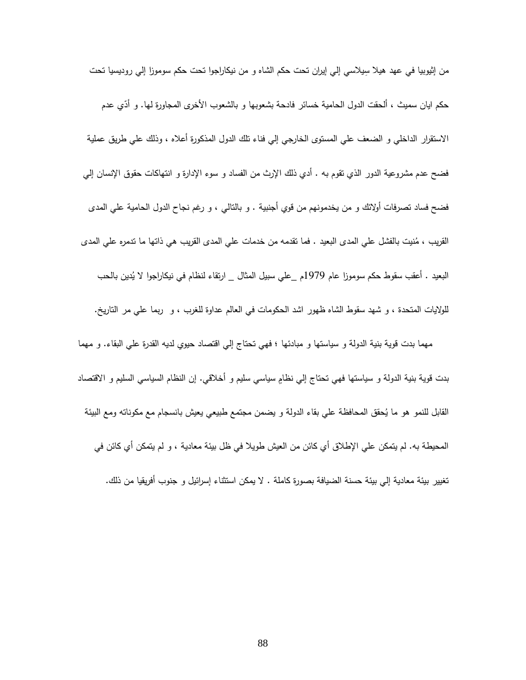ِمن إثيوبيا في عهد هيلا سِيلاسي إلي إيران تحت حكم الشاه و من نيكاراجوا تحت حكم سوموزا إلي روديسيا تحت حكم ايان سميث ، ألحقت الدول الحامية خسائر فادحة بشعوبها و بالشعوب الأخرى المجاورة لمها. و أدّي عدم االستقرار الداخلي و الضعف علي المستو ى الخارجي إلي فناء تلك الدول المذكورة أعاله ، وذلك علي طريق عملية فضح عدم مشروعية الدور الذي تقوم به . أدي ذلك الإرث من الفساد و سوء الإدارة و انتهاكات حقوق الإنسان إلي فضح فساد تصرفات أوالئك و من يخدمونهم من قوي أجنبية . و بالتالي ، و رغم نجاح الدول الحامية علي المدى نيت بالفشل علي المدى ُ القريب ، م البعيد . فما تقدمه من خدمات علي المدى القريب هي ذاتها ما تدمره علي المدى البعيد . أعقب سقوط حكم سوموزا عام 1797 دين بالحب ُ م \_علي سبيل المثال \_ ارتقاء لنظام في نيكا ارجوا ال ي للواليات المتحدة ، و شهد سقوط الشاه ظهور اشد الحكومات في العالم عداوة للغرب ، و ر بما علي مر التاريخ. مهما بدت قوية بنية الدولة و سياستها و مبادئها ؛ فهي تحتاج إلي اقتصاد حيوي لديه القدرة علي البقاء. و مهما بدت قوية بنية الدولة و سياستها فهي تحتاج إلى نظام سياسي سليم و أخلاقي. إن النظام السياسي السليم و الاقتصاد القابل للنمو هو ما يُحقق المحافظة علي بقاء الدولة و يضمن مجتمع طبيعي يعيش بانسجام مع مكوناته ومع البيئة المحيطة به. لم يتمكن علي اإلطالق أي كائن من العيش طويال في ظل بيئة معادية ، و لم يتمكن أي كائن في

تغيير بيئة معادية إلي بيئة حسنة الضيافة بصورة كاملة . ال يمكن استثناء إسرائيل و جنوب أفريقيا من ذلك.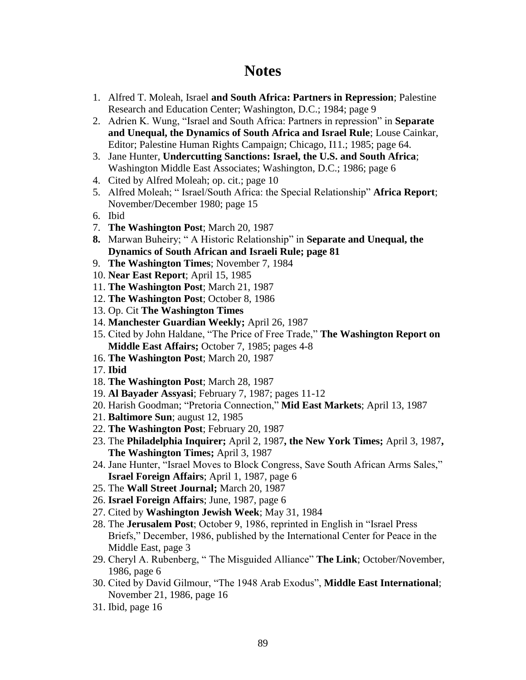## **Notes**

- 1. Alfred T. Moleah, Israel **and South Africa: Partners in Repression**; Palestine Research and Education Center; Washington, D.C.; 1984; page 9
- 2. Adrien K. Wung, "Israel and South Africa: Partners in repression" in **Separate and Unequal, the Dynamics of South Africa and Israel Rule**; Louse Cainkar, Editor; Palestine Human Rights Campaign; Chicago, I11.; 1985; page 64.
- 3. Jane Hunter, **Undercutting Sanctions: Israel, the U.S. and South Africa**; Washington Middle East Associates; Washington, D.C.; 1986; page 6
- 4. Cited by Alfred Moleah; op. cit.; page 10
- 5. Alfred Moleah; " Israel/South Africa: the Special Relationship" **Africa Report**; November/December 1980; page 15
- 6. Ibid
- 7. **The Washington Post**; March 20, 1987
- **8.** Marwan Buheiry; " A Historic Relationship" in **Separate and Unequal, the Dynamics of South African and Israeli Rule; page 81**
- 9. **The Washington Times**; November 7, 1984
- 10. **Near East Report**; April 15, 1985
- 11. **The Washington Post**; March 21, 1987
- 12. **The Washington Post**; October 8, 1986
- 13. Op. Cit **The Washington Times**
- 14. **Manchester Guardian Weekly;** April 26, 1987
- 15. Cited by John Haldane, "The Price of Free Trade," **The Washington Report on Middle East Affairs;** October 7, 1985; pages 4-8
- 16. **The Washington Post**; March 20, 1987
- 17. **Ibid**
- 18. **The Washington Post**; March 28, 1987
- 19. **Al Bayader Assyasi**; February 7, 1987; pages 11-12
- 20. Harish Goodman; "Pretoria Connection," **Mid East Markets**; April 13, 1987
- 21. **Baltimore Sun**; august 12, 1985
- 22. **The Washington Post**; February 20, 1987
- 23. The **Philadelphia Inquirer;** April 2, 1987**, the New York Times;** April 3, 1987**, The Washington Times;** April 3, 1987
- 24. Jane Hunter, "Israel Moves to Block Congress, Save South African Arms Sales," **Israel Foreign Affairs**; April 1, 1987, page 6
- 25. The **Wall Street Journal;** March 20, 1987
- 26. **Israel Foreign Affairs**; June, 1987, page 6
- 27. Cited by **Washington Jewish Week**; May 31, 1984
- 28. The **Jerusalem Post**; October 9, 1986, reprinted in English in "Israel Press Briefs," December, 1986, published by the International Center for Peace in the Middle East, page 3
- 29. Cheryl A. Rubenberg, " The Misguided Alliance" **The Link**; October/November, 1986, page 6
- 30. Cited by David Gilmour, "The 1948 Arab Exodus", **Middle East International**; November 21, 1986, page 16
- 31. Ibid, page 16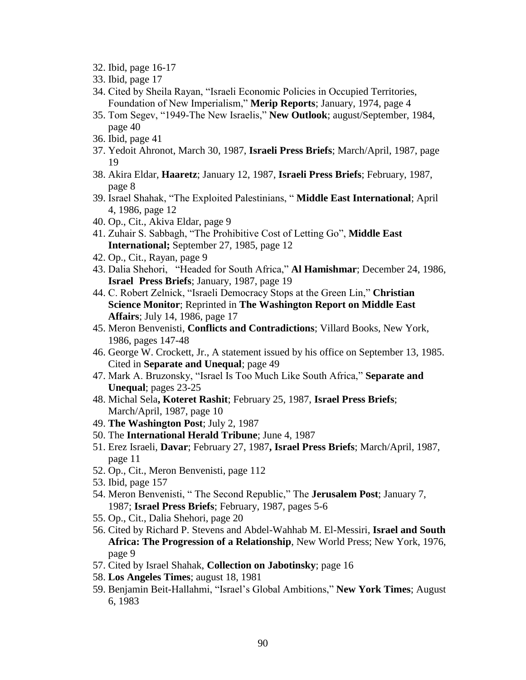- 32. Ibid, page 16-17
- 33. Ibid, page 17
- 34. Cited by Sheila Rayan, "Israeli Economic Policies in Occupied Territories, Foundation of New Imperialism," **Merip Reports**; January, 1974, page 4
- 35. Tom Segev, "1949-The New Israelis," **New Outlook**; august/September, 1984, page 40
- 36. Ibid, page 41
- 37. Yedoit Ahronot, March 30, 1987, **Israeli Press Briefs**; March/April, 1987, page 19
- 38. Akira Eldar, **Haaretz**; January 12, 1987, **Israeli Press Briefs**; February, 1987, page 8
- 39. Israel Shahak, "The Exploited Palestinians, " **Middle East International**; April 4, 1986, page 12
- 40. Op., Cit., Akiva Eldar, page 9
- 41. Zuhair S. Sabbagh, "The Prohibitive Cost of Letting Go", **Middle East International;** September 27, 1985, page 12
- 42. Op., Cit., Rayan, page 9
- 43. Dalia Shehori, "Headed for South Africa," **Al Hamishmar**; December 24, 1986, **Israel Press Briefs**; January, 1987, page 19
- 44. C. Robert Zelnick, "Israeli Democracy Stops at the Green Lin," **Christian Science Monitor**; Reprinted in **The Washington Report on Middle East Affairs**; July 14, 1986, page 17
- 45. Meron Benvenisti, **Conflicts and Contradictions**; Villard Books, New York, 1986, pages 147-48
- 46. George W. Crockett, Jr., A statement issued by his office on September 13, 1985. Cited in **Separate and Unequal**; page 49
- 47. Mark A. Bruzonsky, "Israel Is Too Much Like South Africa," **Separate and Unequal**; pages 23-25
- 48. Michal Sela**, Koteret Rashit**; February 25, 1987, **Israel Press Briefs**; March/April, 1987, page 10
- 49. **The Washington Post**; July 2, 1987
- 50. The **International Herald Tribune**; June 4, 1987
- 51. Erez Israeli, **Davar**; February 27, 1987**, Israel Press Briefs**; March/April, 1987, page 11
- 52. Op., Cit., Meron Benvenisti, page 112
- 53. Ibid, page 157
- 54. Meron Benvenisti, " The Second Republic," The **Jerusalem Post**; January 7, 1987; **Israel Press Briefs**; February, 1987, pages 5-6
- 55. Op., Cit., Dalia Shehori, page 20
- 56. Cited by Richard P. Stevens and Abdel-Wahhab M. El-Messiri, **Israel and South Africa: The Progression of a Relationship**, New World Press; New York, 1976, page 9
- 57. Cited by Israel Shahak, **Collection on Jabotinsky**; page 16
- 58. **Los Angeles Times**; august 18, 1981
- 59. Benjamin Beit-Hallahmi, "Israel's Global Ambitions," **New York Times**; August 6, 1983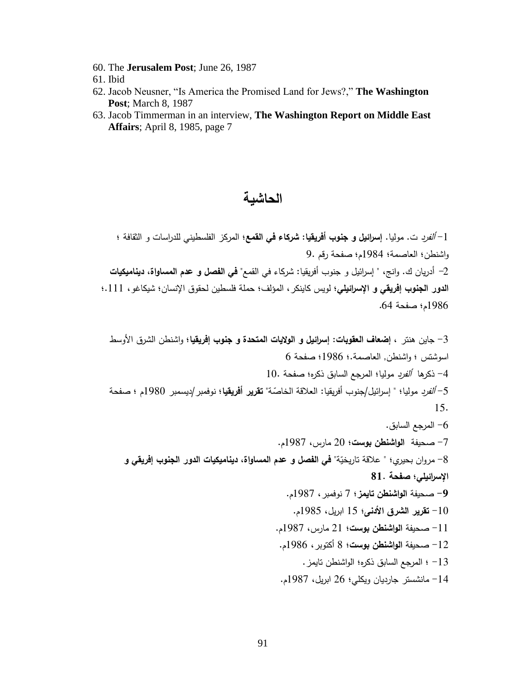- 60. The **Jerusalem Post**; June 26, 1987
- 61. Ibid
- 62. Jacob Neusner, "Is America the Promised Land for Jews?," **The Washington Post**; March 8, 1987
- 63. Jacob Timmerman in an interview, **The Washington Report on Middle East Affairs**; April 8, 1985, page 7

## **الحاشية**

-1 ألفرد ت. موليا. **إسرائيل و جنوب أفريقيا: شركاء في القمع**؛ المركز الفلسطيني للدراسات و الثقافة ؛ واشنطن؛ العاصمة؛ 1789م؛ صفحة رقم 7. -2 أدريان ك. وانج، " إسرائيل و جنوب أفريقيا: شركاء في القمع" **في الفصل و عدم المساواة، ديناميكيات الدور الجنوب إفريقي و اإلسرائيلي**؛ لويس كاينكر، المؤلف؛ حملة فلسطين لحقوق اإلنسان؛ شيكاغو، .111؛ 1789م؛ صفحة .99

-1 جاين هنتر **، إضعاف العقوبات: إسرائيل و الواليات المتحدة و جنوب إفريقيا**؛ واشنطن الشرق األوسط اسوشتس ؛ واشنطن, العاصمة.؛ 1789؛ صفحة 9 -9 ذكرها ألفرد موليا؛ المرجع السابق ذكره؛ صفحة 11. ّص -9 ألفرد مولي ة" ا؛ " إس ارئيل/جنوب أفريقيا: العالقة الخا **تقرير أفريقيا**؛ نوفمبر/ديسمبر 1781م ؛ صفحة 19. -9 المرجع السابق. -9 صحيفة **الواشنطن بوست**؛ 21 مارس، 1789م. ّ -8 ة" مروان بحيري؛ " عالقة تاريخي **في الفصل و عدم المساواة، ديناميكيات الدور الجنوب إفريقي و اإلسرائيلي؛ صفحة 07. -6** صحيفة **الواشنطن تايمز**؛ 9 نوفمبر، 1789م. -11 **تقرير الشرق األدنى**؛ 19 ابريل، 1789م. -11 صحيفة **الواشنطن بوست**؛ 21 مارس، 1789م. -12 صحيفة **الواشنطن بوست**؛ 8 أكتوبر، 1789م. -11 ؛ المرجع السابق ذكره؛ الواشنطن تايمز. -19 مانشستر جارديان ويكلي؛ 29 ابريل، 1789م.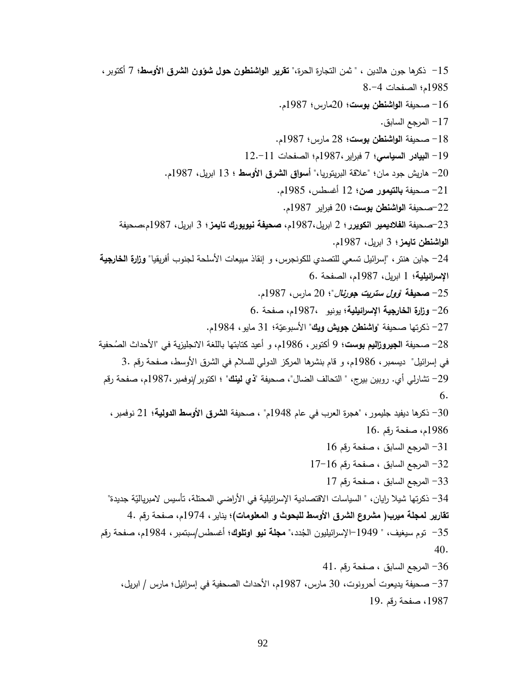-19 ذكرها جون هالدين ، " ثمن التجارة الحرة،" **تقرير الواشنطون حول شؤون الشرق األوسط**؛ 9 أكتوبر، 1789م؛ الصفحات 8.-9 -19 صحيفة **الواشنطن بوست**؛ 21مارس؛ 1789م. -19 المرجع السابق. -18 صحيفة **الواشنطن بوست**؛ 28 مارس؛ 1789م. -17 **البيادر السياسي**؛ 9 فبراير1789،م؛ الصفحات 12.-11 -21 هاريش جود مان؛ "عالقة البريتوريا،" **أسواق الشرق األوسط** ؛ 11 ابريل، 1789م. -21 صحيفة **بالتيمور صن**؛ 12 أغسطس، 1789م. -22صحيفة **الواشنطن بوست**؛ 21 فبراير 1789م. -21صحيفة **الفالديمير انكويرر**؛ 2 ابريل1789،م، **صحيفة نيويورك تايمز؛** 1 ابريل، 1789م،صحيفة **الواشنطن تايمز**؛ 1 ابريل، 1789م. -29 جاين هنتر، "إسرائيل تسعي للتصدي للكونجرس، و إنقاذ مبيعات األسلحة لجنوب أفريقيا**" وزارة الخارجية اإلسرائيلية**؛ 1 ابريل، 1789م، الصفحة 9. -29 **صحيفة "وول ستريت جورنا**ل"؛ 21 مارس، 1789م. -29 **وزارة الخارجية اإلسرائيلية**؛ يونيو 1789،م، صفحة 9. 27– ذكرتها صحيفة "**واشنطن جويش ويك**" الأسبوعيّة؛ 31 مايو ، 1984م.<br>-28– صحيفة ا**لجيروزاليم بوست؛** 9 أكتوبر ، 1986م، و أعيد كتابتها باللغة الانجليزية في "الأحداث الصُحفية في إسرائيل" ديسمبر، 1789م، و قام بنشرها المركز الدولي للسالم في الشرق األوسط، صفحة رقم 1. -27 تشارلي أي. روبين بيرج، " التحالف الضال"، صحيفة "**ذي لينك**" ؛ اكتوبر/نوفمبر1789،م، صفحة رقم 6. -11 ذكرها ديفيد جليمور، "هجرة العرب في عام 1798م" ، صحيفة **الشرق األوسط الدولية**؛ 21 نوفمبر، 1789م، صفحة رقم 19.  $16$  المرجع السابق ، صفحة رقم  $-31$ -12 المرجع السابق ، صفحة رقم 19-19 -11 المرجع السابق ، صفحة رقم 19 34– نكرتها شيلا رايان، " السياسات الاقتصادية الإسرائيلية في الأراضي المحتلة، تأسيس لامبرياليّة جديدة" **تقارير لمجلة ميرب) مشروع الشرق األوسط للبحوث و المعلومات(**؛ يناير، 1799م، صفحة رقم 9. 35– توم سيغيف، " 1949–الإسرائيليون الجُدد،" **مجلة نيو اوتلوك؛** أغسطس/سبتمبر ، 1984م، صفحة رقم 40. -19 المرجع السابق ، صفحة رقم 91. -19 صحيفة يديعوت أحرونوت، 11 مارس، 1789م، األحداث الصحفية في إسرائيل؛ مارس / ابريل، ،1789 صفحة رقم 17.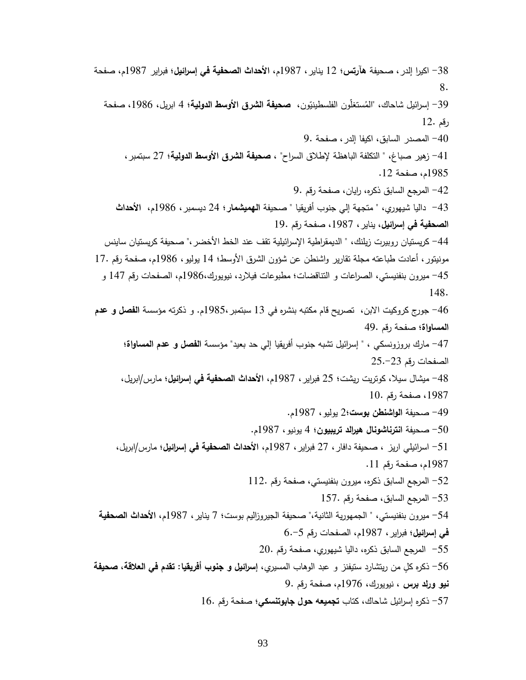-18 اكيرا إلدر، صحيفة **هآرتس**؛ 12 يناير، 1789م، **األحداث الصحفية في إسرائيل**؛ فبراير 1789م، صفحة 8. 39– إسرائيل شاحاك، "المُستغلون الفلسطينيّون، <mark>صحيفة الشرق الأوسط الدولي</mark>ة؛ 4 ابريل، 1986، صفحة رقم 12. -91 المصدر السابق، اكيفا إلدر، صفحة 7. -91 زهير صباغ، " التكلفة الباهظة إلطالق السراح" ، **صحيفة الشرق األوسط الدولية؛** 29 سبتمبر، 1789م، صفحة .12 -92 المرجع السابق ذكره، رايان، صفحة رقم 7. -91 داليا شيهوري، " متجهة إلي جنوب أفريقيا " صحيفة **الهميشمار**؛ 29 ديسمبر، 1789م، **األحداث الصحفية في إسرائيل**، يناير، ،1789 صفحة رقم 17. 44– كريستيان روبيرت زيلنك، " الديمقراطية الإسرائيلية تقف عند الخط الأخضر ،" صحيفة كريستيان ساينس مونيتور، أعادت طباعته مجلة تقارير واشنطن عن شؤون الشرق األوسط؛ 19 يوليو، 1789م، صفحة رقم 19. -99 ميرون بنفنيستي، الصراعات و التناقضات؛ مطبوعات فيالرد، نيويورك1789،م، الصفحات رقم 199 و 198. -99 جورج كروكيت االبن، تصريح قام مكتبه بنشره في 11 سبتمبر1789،م. و ذكرته مؤسسة **الفصل و عدم المساواة**؛ صفحة رقم 97. -99 مارك بروزونسكي ، " إسرائيل تشبه جنوب أفريقيا إلي حد بعيد" مؤسسة **الفصل و عدم المساواة**؛ الصفحات رقم 29.-21 -98 ميشال سيال، كوتريت ريشت؛ 29 فبراير، 1789م، **األحداث الصحفية في إسرائيل؛** مارس**/**ابريل، ،1789 صفحة رقم 11. -97 صحيفة **الواشنطن بوست**؛2 يوليو، 1789م. -91 صحيفة **انترناشونال هيرالد تريبيون**؛ 9 يونيو، 1789م. -91 اسرائيلي اريز ، صحيفة دافار، 29 فبراير، 1789م، **األحداث الصحفية في إسرائيل**؛ مارس/ابريل، 1789م، صفحة رقم .11 -92 المرجع السابق ذكره، ميرون بنفنيستي، صفحة رقم 112. -91 المرجع السابق، صفحة رقم 199. -99 ميرون بنفنيستي، " الجمهورية الثانية،" صحيفة الجيروزاليم بوست؛ 9 يناير، 1789م، **األحداث الصحفية في إسرائيل؛** فبراير، 1789م، الصفحات رقم 9.-9 -99 المرجع السابق ذكره، داليا شيهوري، صفحة رقم 21. -99 ذكره ك ل من ريتشارد ستيفنز و عبد الوهاب المسيري**، إسرائيل و جنوب أفريقيا: تقدم في العالقة**، **صحيفة نيو ورلد برس** ، نيويورك، 1799م، صفحة رقم 7. -99 ذكره إسرائيل شاحاك، كتاب **تجميعه حول جابوتنسكي**؛ صفحة رقم 19.